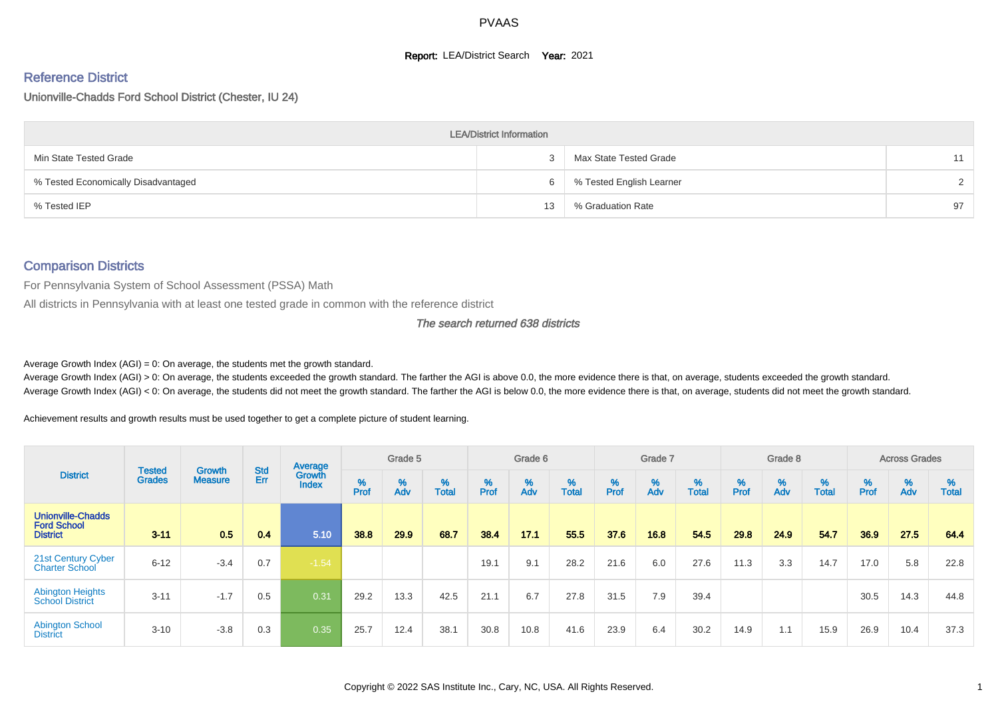#### **Report: LEA/District Search Year: 2021**

# Reference District

Unionville-Chadds Ford School District (Chester, IU 24)

|                                     | <b>LEA/District Information</b> |                          |               |
|-------------------------------------|---------------------------------|--------------------------|---------------|
| Min State Tested Grade              |                                 | Max State Tested Grade   | 11            |
| % Tested Economically Disadvantaged | 6                               | % Tested English Learner | $\mathcal{D}$ |
| % Tested IEP                        | 13                              | % Graduation Rate        | 97            |

#### Comparison Districts

For Pennsylvania System of School Assessment (PSSA) Math

All districts in Pennsylvania with at least one tested grade in common with the reference district

The search returned 638 districts

Average Growth Index  $(AGI) = 0$ : On average, the students met the growth standard.

Average Growth Index (AGI) > 0: On average, the students exceeded the growth standard. The farther the AGI is above 0.0, the more evidence there is that, on average, students exceeded the growth standard. Average Growth Index (AGI) < 0: On average, the students did not meet the growth standard. The farther the AGI is below 0.0, the more evidence there is that, on average, students did not meet the growth standard.

Achievement results and growth results must be used together to get a complete picture of student learning.

|                                                                   |                                |                                 |            | Average                |           | Grade 5  |                   |           | Grade 6  |                   |           | Grade 7  |                   |          | Grade 8  |                   |           | <b>Across Grades</b> |                   |
|-------------------------------------------------------------------|--------------------------------|---------------------------------|------------|------------------------|-----------|----------|-------------------|-----------|----------|-------------------|-----------|----------|-------------------|----------|----------|-------------------|-----------|----------------------|-------------------|
| <b>District</b>                                                   | <b>Tested</b><br><b>Grades</b> | <b>Growth</b><br><b>Measure</b> | Std<br>Err | Growth<br><b>Index</b> | %<br>Prof | %<br>Adv | %<br><b>Total</b> | %<br>Prof | %<br>Adv | %<br><b>Total</b> | %<br>Prof | %<br>Adv | %<br><b>Total</b> | $%$ Prof | %<br>Adv | %<br><b>Total</b> | %<br>Prof | %<br>Adv             | %<br><b>Total</b> |
| <b>Unionville-Chadds</b><br><b>Ford School</b><br><b>District</b> | $3 - 11$                       | 0.5                             | 0.4        | 5.10                   | 38.8      | 29.9     | 68.7              | 38.4      | 17.1     | 55.5              | 37.6      | 16.8     | 54.5              | 29.8     | 24.9     | 54.7              | 36.9      | 27.5                 | 64.4              |
| 21st Century Cyber<br><b>Charter School</b>                       | $6 - 12$                       | $-3.4$                          | 0.7        | $-1.54$                |           |          |                   | 19.1      | 9.1      | 28.2              | 21.6      | 6.0      | 27.6              | 11.3     | 3.3      | 14.7              | 17.0      | 5.8                  | 22.8              |
| <b>Abington Heights</b><br><b>School District</b>                 | $3 - 11$                       | $-1.7$                          | 0.5        | 0.31                   | 29.2      | 13.3     | 42.5              | 21.1      | 6.7      | 27.8              | 31.5      | 7.9      | 39.4              |          |          |                   | 30.5      | 14.3                 | 44.8              |
| <b>Abington School</b><br><b>District</b>                         | $3 - 10$                       | $-3.8$                          | 0.3        | 0.35                   | 25.7      | 12.4     | 38.1              | 30.8      | 10.8     | 41.6              | 23.9      | 6.4      | 30.2              | 14.9     | 1.1      | 15.9              | 26.9      | 10.4                 | 37.3              |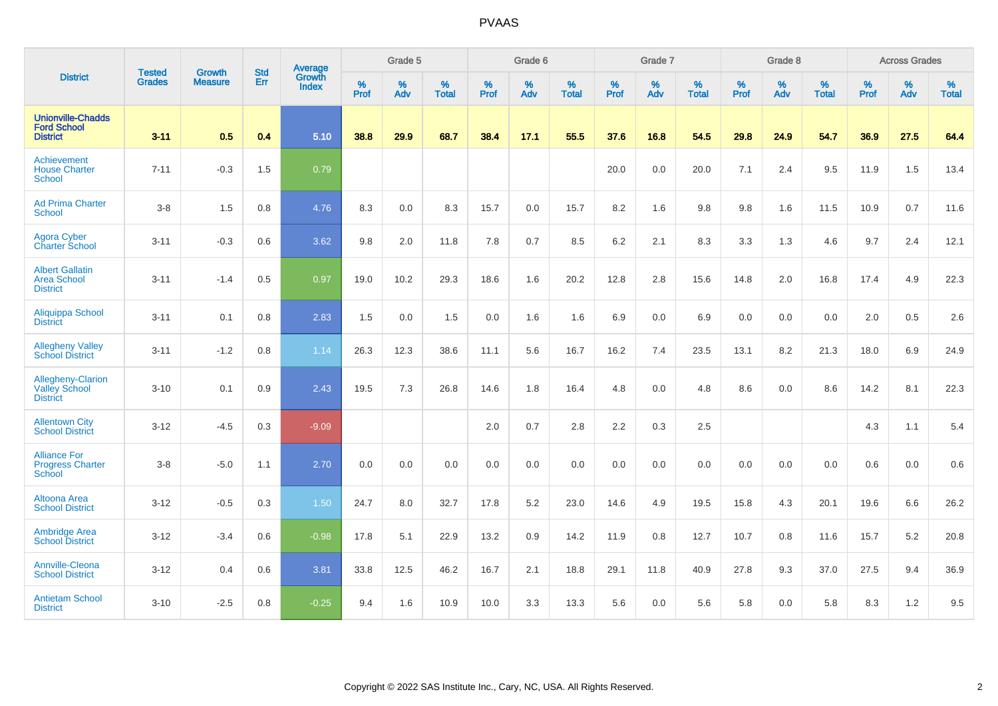|                                                                   | <b>Tested</b> | <b>Growth</b>  | <b>Std</b> | Average                |              | Grade 5     |                      |              | Grade 6  |                   |              | Grade 7     |                      |              | Grade 8     |                      |                     | <b>Across Grades</b> |                   |
|-------------------------------------------------------------------|---------------|----------------|------------|------------------------|--------------|-------------|----------------------|--------------|----------|-------------------|--------------|-------------|----------------------|--------------|-------------|----------------------|---------------------|----------------------|-------------------|
| <b>District</b>                                                   | <b>Grades</b> | <b>Measure</b> | Err        | Growth<br><b>Index</b> | $\%$<br>Prof | $\%$<br>Adv | $\%$<br><b>Total</b> | $\%$<br>Prof | %<br>Adv | %<br><b>Total</b> | $\%$<br>Prof | $\%$<br>Adv | $\%$<br><b>Total</b> | $\%$<br>Prof | $\%$<br>Adv | $\%$<br><b>Total</b> | $\%$<br><b>Prof</b> | $\%$<br>Adv          | %<br><b>Total</b> |
| <b>Unionville-Chadds</b><br><b>Ford School</b><br><b>District</b> | $3 - 11$      | 0.5            | 0.4        | 5.10                   | 38.8         | 29.9        | 68.7                 | 38.4         | 17.1     | 55.5              | 37.6         | 16.8        | 54.5                 | 29.8         | 24.9        | 54.7                 | 36.9                | 27.5                 | 64.4              |
| <b>Achievement</b><br><b>House Charter</b><br><b>School</b>       | $7 - 11$      | $-0.3$         | 1.5        | 0.79                   |              |             |                      |              |          |                   | 20.0         | 0.0         | 20.0                 | 7.1          | 2.4         | 9.5                  | 11.9                | 1.5                  | 13.4              |
| <b>Ad Prima Charter</b><br><b>School</b>                          | $3-8$         | 1.5            | 0.8        | 4.76                   | 8.3          | 0.0         | 8.3                  | 15.7         | 0.0      | 15.7              | 8.2          | 1.6         | 9.8                  | 9.8          | 1.6         | 11.5                 | 10.9                | 0.7                  | 11.6              |
| <b>Agora Cyber</b><br><b>Charter School</b>                       | $3 - 11$      | $-0.3$         | 0.6        | 3.62                   | 9.8          | 2.0         | 11.8                 | 7.8          | 0.7      | 8.5               | 6.2          | 2.1         | 8.3                  | 3.3          | 1.3         | 4.6                  | 9.7                 | 2.4                  | 12.1              |
| <b>Albert Gallatin</b><br><b>Area School</b><br><b>District</b>   | $3 - 11$      | $-1.4$         | 0.5        | 0.97                   | 19.0         | 10.2        | 29.3                 | 18.6         | 1.6      | 20.2              | 12.8         | 2.8         | 15.6                 | 14.8         | 2.0         | 16.8                 | 17.4                | 4.9                  | 22.3              |
| Aliquippa School<br><b>District</b>                               | $3 - 11$      | 0.1            | 0.8        | 2.83                   | 1.5          | 0.0         | 1.5                  | $0.0\,$      | 1.6      | 1.6               | 6.9          | 0.0         | 6.9                  | 0.0          | 0.0         | 0.0                  | 2.0                 | 0.5                  | 2.6               |
| <b>Allegheny Valley</b><br><b>School District</b>                 | $3 - 11$      | $-1.2$         | 0.8        | 1.14                   | 26.3         | 12.3        | 38.6                 | 11.1         | 5.6      | 16.7              | 16.2         | 7.4         | 23.5                 | 13.1         | 8.2         | 21.3                 | 18.0                | 6.9                  | 24.9              |
| Allegheny-Clarion<br><b>Valley School</b><br><b>District</b>      | $3 - 10$      | 0.1            | 0.9        | 2.43                   | 19.5         | 7.3         | 26.8                 | 14.6         | 1.8      | 16.4              | 4.8          | 0.0         | 4.8                  | 8.6          | 0.0         | 8.6                  | 14.2                | 8.1                  | 22.3              |
| <b>Allentown City</b><br><b>School District</b>                   | $3 - 12$      | $-4.5$         | 0.3        | $-9.09$                |              |             |                      | 2.0          | 0.7      | 2.8               | 2.2          | 0.3         | 2.5                  |              |             |                      | 4.3                 | 1.1                  | 5.4               |
| <b>Alliance For</b><br><b>Progress Charter</b><br>School          | $3-8$         | $-5.0$         | 1.1        | 2.70                   | 0.0          | 0.0         | 0.0                  | 0.0          | 0.0      | 0.0               | 0.0          | 0.0         | 0.0                  | 0.0          | 0.0         | 0.0                  | 0.6                 | 0.0                  | 0.6               |
| Altoona Area<br><b>School District</b>                            | $3 - 12$      | $-0.5$         | 0.3        | 1.50                   | 24.7         | 8.0         | 32.7                 | 17.8         | $5.2\,$  | 23.0              | 14.6         | 4.9         | 19.5                 | 15.8         | 4.3         | 20.1                 | 19.6                | 6.6                  | 26.2              |
| <b>Ambridge Area</b><br><b>School District</b>                    | $3 - 12$      | $-3.4$         | 0.6        | $-0.98$                | 17.8         | 5.1         | 22.9                 | 13.2         | 0.9      | 14.2              | 11.9         | 0.8         | 12.7                 | 10.7         | 0.8         | 11.6                 | 15.7                | 5.2                  | 20.8              |
| Annville-Cleona<br><b>School District</b>                         | $3 - 12$      | 0.4            | 0.6        | 3.81                   | 33.8         | 12.5        | 46.2                 | 16.7         | 2.1      | 18.8              | 29.1         | 11.8        | 40.9                 | 27.8         | 9.3         | 37.0                 | 27.5                | 9.4                  | 36.9              |
| <b>Antietam School</b><br><b>District</b>                         | $3 - 10$      | $-2.5$         | 0.8        | $-0.25$                | 9.4          | 1.6         | 10.9                 | 10.0         | 3.3      | 13.3              | 5.6          | 0.0         | 5.6                  | 5.8          | 0.0         | 5.8                  | 8.3                 | 1.2                  | 9.5               |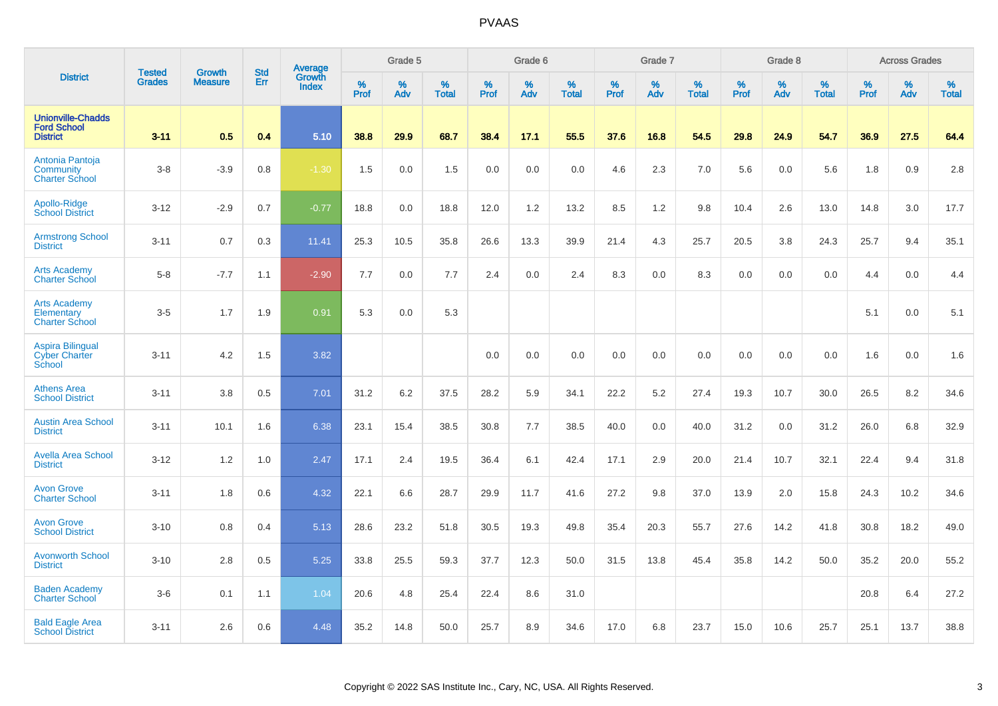| <b>District</b>                                                   |                                |                                 | <b>Std</b> | Average                |              | Grade 5  |                   |           | Grade 6  |                   |           | Grade 7  |                   |           | Grade 8  |                   |           | <b>Across Grades</b> |                   |
|-------------------------------------------------------------------|--------------------------------|---------------------------------|------------|------------------------|--------------|----------|-------------------|-----------|----------|-------------------|-----------|----------|-------------------|-----------|----------|-------------------|-----------|----------------------|-------------------|
|                                                                   | <b>Tested</b><br><b>Grades</b> | <b>Growth</b><br><b>Measure</b> | Err        | Growth<br><b>Index</b> | $\%$<br>Prof | %<br>Adv | %<br><b>Total</b> | %<br>Prof | %<br>Adv | %<br><b>Total</b> | %<br>Prof | %<br>Adv | %<br><b>Total</b> | %<br>Prof | %<br>Adv | %<br><b>Total</b> | %<br>Prof | %<br>Adv             | %<br><b>Total</b> |
| <b>Unionville-Chadds</b><br><b>Ford School</b><br><b>District</b> | $3 - 11$                       | 0.5                             | 0.4        | 5.10                   | 38.8         | 29.9     | 68.7              | 38.4      | 17.1     | 55.5              | 37.6      | 16.8     | 54.5              | 29.8      | 24.9     | 54.7              | 36.9      | 27.5                 | 64.4              |
| Antonia Pantoja<br>Community<br><b>Charter School</b>             | $3-8$                          | $-3.9$                          | 0.8        | $-1.30$                | 1.5          | 0.0      | 1.5               | $0.0\,$   | 0.0      | 0.0               | 4.6       | 2.3      | 7.0               | 5.6       | 0.0      | 5.6               | 1.8       | 0.9                  | 2.8               |
| Apollo-Ridge<br><b>School District</b>                            | $3 - 12$                       | $-2.9$                          | 0.7        | $-0.77$                | 18.8         | 0.0      | 18.8              | 12.0      | 1.2      | 13.2              | 8.5       | 1.2      | 9.8               | 10.4      | 2.6      | 13.0              | 14.8      | 3.0                  | 17.7              |
| <b>Armstrong School</b><br><b>District</b>                        | $3 - 11$                       | 0.7                             | 0.3        | 11.41                  | 25.3         | 10.5     | 35.8              | 26.6      | 13.3     | 39.9              | 21.4      | 4.3      | 25.7              | 20.5      | 3.8      | 24.3              | 25.7      | 9.4                  | 35.1              |
| <b>Arts Academy</b><br><b>Charter School</b>                      | $5-8$                          | $-7.7$                          | 1.1        | $-2.90$                | 7.7          | 0.0      | 7.7               | 2.4       | 0.0      | 2.4               | 8.3       | 0.0      | 8.3               | 0.0       | 0.0      | 0.0               | 4.4       | 0.0                  | 4.4               |
| <b>Arts Academy</b><br>Elementary<br><b>Charter School</b>        | $3-5$                          | 1.7                             | 1.9        | 0.91                   | 5.3          | 0.0      | 5.3               |           |          |                   |           |          |                   |           |          |                   | 5.1       | 0.0                  | 5.1               |
| <b>Aspira Bilingual</b><br><b>Cyber Charter</b><br>School         | $3 - 11$                       | 4.2                             | 1.5        | 3.82                   |              |          |                   | 0.0       | 0.0      | 0.0               | 0.0       | 0.0      | 0.0               | 0.0       | 0.0      | 0.0               | 1.6       | 0.0                  | 1.6               |
| <b>Athens Area</b><br><b>School District</b>                      | $3 - 11$                       | 3.8                             | 0.5        | 7.01                   | 31.2         | 6.2      | 37.5              | 28.2      | 5.9      | 34.1              | 22.2      | 5.2      | 27.4              | 19.3      | 10.7     | 30.0              | 26.5      | 8.2                  | 34.6              |
| <b>Austin Area School</b><br><b>District</b>                      | $3 - 11$                       | 10.1                            | 1.6        | 6.38                   | 23.1         | 15.4     | 38.5              | 30.8      | 7.7      | 38.5              | 40.0      | 0.0      | 40.0              | 31.2      | 0.0      | 31.2              | 26.0      | 6.8                  | 32.9              |
| <b>Avella Area School</b><br><b>District</b>                      | $3 - 12$                       | 1.2                             | 1.0        | 2.47                   | 17.1         | 2.4      | 19.5              | 36.4      | 6.1      | 42.4              | 17.1      | 2.9      | 20.0              | 21.4      | 10.7     | 32.1              | 22.4      | 9.4                  | 31.8              |
| <b>Avon Grove</b><br><b>Charter School</b>                        | $3 - 11$                       | 1.8                             | 0.6        | 4.32                   | 22.1         | 6.6      | 28.7              | 29.9      | 11.7     | 41.6              | 27.2      | 9.8      | 37.0              | 13.9      | 2.0      | 15.8              | 24.3      | 10.2                 | 34.6              |
| <b>Avon Grove</b><br><b>School District</b>                       | $3 - 10$                       | 0.8                             | 0.4        | 5.13                   | 28.6         | 23.2     | 51.8              | 30.5      | 19.3     | 49.8              | 35.4      | 20.3     | 55.7              | 27.6      | 14.2     | 41.8              | 30.8      | 18.2                 | 49.0              |
| <b>Avonworth School</b><br><b>District</b>                        | $3 - 10$                       | 2.8                             | 0.5        | 5.25                   | 33.8         | 25.5     | 59.3              | 37.7      | 12.3     | 50.0              | 31.5      | 13.8     | 45.4              | 35.8      | 14.2     | 50.0              | 35.2      | 20.0                 | 55.2              |
| <b>Baden Academy</b><br><b>Charter School</b>                     | $3-6$                          | 0.1                             | 1.1        | 1.04                   | 20.6         | 4.8      | 25.4              | 22.4      | 8.6      | 31.0              |           |          |                   |           |          |                   | 20.8      | 6.4                  | 27.2              |
| <b>Bald Eagle Area</b><br><b>School District</b>                  | $3 - 11$                       | 2.6                             | 0.6        | 4.48                   | 35.2         | 14.8     | 50.0              | 25.7      | 8.9      | 34.6              | 17.0      | 6.8      | 23.7              | 15.0      | 10.6     | 25.7              | 25.1      | 13.7                 | 38.8              |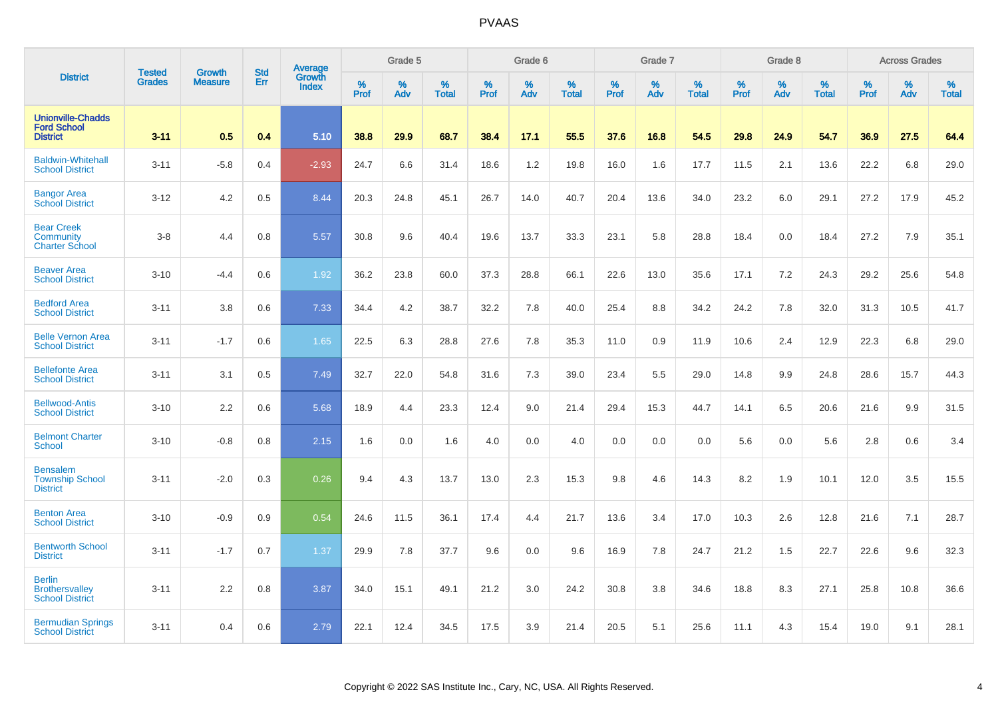|                                                                   |                                |                                 | <b>Std</b> | Average                |              | Grade 5  |                   |           | Grade 6  |                   |           | Grade 7  |                   |           | Grade 8  |                   |           | <b>Across Grades</b> |                   |
|-------------------------------------------------------------------|--------------------------------|---------------------------------|------------|------------------------|--------------|----------|-------------------|-----------|----------|-------------------|-----------|----------|-------------------|-----------|----------|-------------------|-----------|----------------------|-------------------|
| <b>District</b>                                                   | <b>Tested</b><br><b>Grades</b> | <b>Growth</b><br><b>Measure</b> | Err        | Growth<br><b>Index</b> | $\%$<br>Prof | %<br>Adv | %<br><b>Total</b> | %<br>Prof | %<br>Adv | %<br><b>Total</b> | %<br>Prof | %<br>Adv | %<br><b>Total</b> | %<br>Prof | %<br>Adv | %<br><b>Total</b> | %<br>Prof | %<br>Adv             | %<br><b>Total</b> |
| <b>Unionville-Chadds</b><br><b>Ford School</b><br><b>District</b> | $3 - 11$                       | 0.5                             | 0.4        | 5.10                   | 38.8         | 29.9     | 68.7              | 38.4      | 17.1     | 55.5              | 37.6      | 16.8     | 54.5              | 29.8      | 24.9     | 54.7              | 36.9      | 27.5                 | 64.4              |
| <b>Baldwin-Whitehall</b><br><b>School District</b>                | $3 - 11$                       | $-5.8$                          | 0.4        | $-2.93$                | 24.7         | 6.6      | 31.4              | 18.6      | 1.2      | 19.8              | 16.0      | 1.6      | 17.7              | 11.5      | 2.1      | 13.6              | 22.2      | 6.8                  | 29.0              |
| <b>Bangor Area</b><br><b>School District</b>                      | $3 - 12$                       | 4.2                             | 0.5        | 8.44                   | 20.3         | 24.8     | 45.1              | 26.7      | 14.0     | 40.7              | 20.4      | 13.6     | 34.0              | 23.2      | 6.0      | 29.1              | 27.2      | 17.9                 | 45.2              |
| <b>Bear Creek</b><br>Community<br><b>Charter School</b>           | $3-8$                          | 4.4                             | 0.8        | 5.57                   | 30.8         | 9.6      | 40.4              | 19.6      | 13.7     | 33.3              | 23.1      | 5.8      | 28.8              | 18.4      | 0.0      | 18.4              | 27.2      | 7.9                  | 35.1              |
| <b>Beaver Area</b><br><b>School District</b>                      | $3 - 10$                       | $-4.4$                          | 0.6        | 1.92                   | 36.2         | 23.8     | 60.0              | 37.3      | 28.8     | 66.1              | 22.6      | 13.0     | 35.6              | 17.1      | 7.2      | 24.3              | 29.2      | 25.6                 | 54.8              |
| <b>Bedford Area</b><br><b>School District</b>                     | $3 - 11$                       | 3.8                             | 0.6        | 7.33                   | 34.4         | 4.2      | 38.7              | 32.2      | 7.8      | 40.0              | 25.4      | 8.8      | 34.2              | 24.2      | 7.8      | 32.0              | 31.3      | 10.5                 | 41.7              |
| <b>Belle Vernon Area</b><br><b>School District</b>                | $3 - 11$                       | $-1.7$                          | 0.6        | 1.65                   | 22.5         | 6.3      | 28.8              | 27.6      | 7.8      | 35.3              | 11.0      | 0.9      | 11.9              | 10.6      | 2.4      | 12.9              | 22.3      | 6.8                  | 29.0              |
| <b>Bellefonte Area</b><br><b>School District</b>                  | $3 - 11$                       | 3.1                             | 0.5        | 7.49                   | 32.7         | 22.0     | 54.8              | 31.6      | 7.3      | 39.0              | 23.4      | 5.5      | 29.0              | 14.8      | 9.9      | 24.8              | 28.6      | 15.7                 | 44.3              |
| <b>Bellwood-Antis</b><br><b>School District</b>                   | $3 - 10$                       | 2.2                             | 0.6        | 5.68                   | 18.9         | 4.4      | 23.3              | 12.4      | 9.0      | 21.4              | 29.4      | 15.3     | 44.7              | 14.1      | 6.5      | 20.6              | 21.6      | 9.9                  | 31.5              |
| <b>Belmont Charter</b><br><b>School</b>                           | $3 - 10$                       | $-0.8$                          | 0.8        | 2.15                   | 1.6          | 0.0      | 1.6               | 4.0       | 0.0      | 4.0               | 0.0       | 0.0      | 0.0               | 5.6       | 0.0      | 5.6               | 2.8       | 0.6                  | 3.4               |
| <b>Bensalem</b><br><b>Township School</b><br><b>District</b>      | $3 - 11$                       | $-2.0$                          | 0.3        | 0.26                   | 9.4          | 4.3      | 13.7              | 13.0      | 2.3      | 15.3              | 9.8       | 4.6      | 14.3              | 8.2       | 1.9      | 10.1              | 12.0      | 3.5                  | 15.5              |
| <b>Benton Area</b><br><b>School District</b>                      | $3 - 10$                       | $-0.9$                          | 0.9        | 0.54                   | 24.6         | 11.5     | 36.1              | 17.4      | 4.4      | 21.7              | 13.6      | 3.4      | 17.0              | 10.3      | 2.6      | 12.8              | 21.6      | 7.1                  | 28.7              |
| <b>Bentworth School</b><br><b>District</b>                        | $3 - 11$                       | $-1.7$                          | 0.7        | 1.37                   | 29.9         | 7.8      | 37.7              | 9.6       | 0.0      | 9.6               | 16.9      | 7.8      | 24.7              | 21.2      | 1.5      | 22.7              | 22.6      | 9.6                  | 32.3              |
| <b>Berlin</b><br><b>Brothersvalley</b><br><b>School District</b>  | $3 - 11$                       | 2.2                             | 0.8        | 3.87                   | 34.0         | 15.1     | 49.1              | 21.2      | 3.0      | 24.2              | 30.8      | 3.8      | 34.6              | 18.8      | 8.3      | 27.1              | 25.8      | 10.8                 | 36.6              |
| <b>Bermudian Springs</b><br><b>School District</b>                | $3 - 11$                       | 0.4                             | 0.6        | 2.79                   | 22.1         | 12.4     | 34.5              | 17.5      | 3.9      | 21.4              | 20.5      | 5.1      | 25.6              | 11.1      | 4.3      | 15.4              | 19.0      | 9.1                  | 28.1              |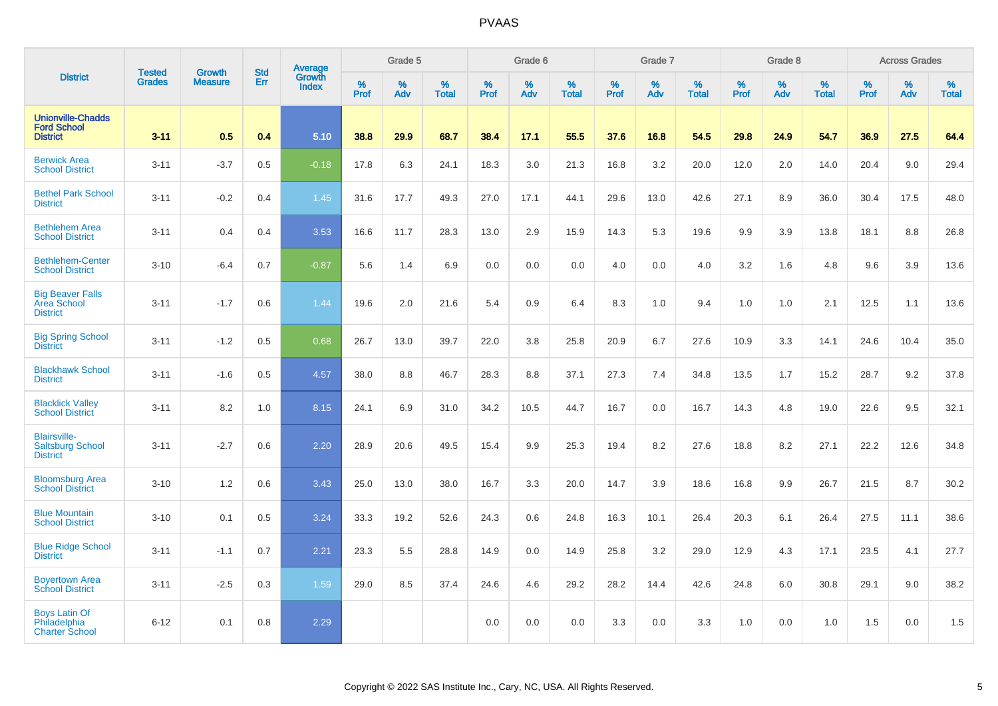| <b>District</b>                                                   |                                |                                 | <b>Std</b> | Average                |                     | Grade 5  |                   |                  | Grade 6  |                   |                  | Grade 7  |                   |           | Grade 8  |                   |           | <b>Across Grades</b> |                   |
|-------------------------------------------------------------------|--------------------------------|---------------------------------|------------|------------------------|---------------------|----------|-------------------|------------------|----------|-------------------|------------------|----------|-------------------|-----------|----------|-------------------|-----------|----------------------|-------------------|
|                                                                   | <b>Tested</b><br><b>Grades</b> | <b>Growth</b><br><b>Measure</b> | Err        | Growth<br><b>Index</b> | $\%$<br><b>Prof</b> | %<br>Adv | %<br><b>Total</b> | %<br><b>Prof</b> | %<br>Adv | %<br><b>Total</b> | %<br><b>Prof</b> | %<br>Adv | %<br><b>Total</b> | %<br>Prof | %<br>Adv | %<br><b>Total</b> | %<br>Prof | %<br>Adv             | %<br><b>Total</b> |
| <b>Unionville-Chadds</b><br><b>Ford School</b><br><b>District</b> | $3 - 11$                       | 0.5                             | 0.4        | 5.10                   | 38.8                | 29.9     | 68.7              | 38.4             | 17.1     | 55.5              | 37.6             | 16.8     | 54.5              | 29.8      | 24.9     | 54.7              | 36.9      | 27.5                 | 64.4              |
| <b>Berwick Area</b><br><b>School District</b>                     | $3 - 11$                       | $-3.7$                          | 0.5        | $-0.18$                | 17.8                | 6.3      | 24.1              | 18.3             | 3.0      | 21.3              | 16.8             | 3.2      | 20.0              | 12.0      | 2.0      | 14.0              | 20.4      | 9.0                  | 29.4              |
| <b>Bethel Park School</b><br><b>District</b>                      | $3 - 11$                       | $-0.2$                          | 0.4        | 1.45                   | 31.6                | 17.7     | 49.3              | 27.0             | 17.1     | 44.1              | 29.6             | 13.0     | 42.6              | 27.1      | 8.9      | 36.0              | 30.4      | 17.5                 | 48.0              |
| <b>Bethlehem Area</b><br><b>School District</b>                   | $3 - 11$                       | 0.4                             | 0.4        | 3.53                   | 16.6                | 11.7     | 28.3              | 13.0             | 2.9      | 15.9              | 14.3             | 5.3      | 19.6              | 9.9       | 3.9      | 13.8              | 18.1      | 8.8                  | 26.8              |
| <b>Bethlehem-Center</b><br><b>School District</b>                 | $3 - 10$                       | $-6.4$                          | 0.7        | $-0.87$                | 5.6                 | 1.4      | 6.9               | 0.0              | 0.0      | 0.0               | 4.0              | 0.0      | 4.0               | 3.2       | 1.6      | 4.8               | 9.6       | 3.9                  | 13.6              |
| <b>Big Beaver Falls</b><br><b>Area School</b><br><b>District</b>  | $3 - 11$                       | $-1.7$                          | 0.6        | 1.44                   | 19.6                | 2.0      | 21.6              | 5.4              | 0.9      | 6.4               | 8.3              | 1.0      | 9.4               | 1.0       | 1.0      | 2.1               | 12.5      | 1.1                  | 13.6              |
| <b>Big Spring School</b><br><b>District</b>                       | $3 - 11$                       | $-1.2$                          | 0.5        | 0.68                   | 26.7                | 13.0     | 39.7              | 22.0             | 3.8      | 25.8              | 20.9             | 6.7      | 27.6              | 10.9      | 3.3      | 14.1              | 24.6      | 10.4                 | 35.0              |
| <b>Blackhawk School</b><br><b>District</b>                        | $3 - 11$                       | $-1.6$                          | 0.5        | 4.57                   | 38.0                | 8.8      | 46.7              | 28.3             | 8.8      | 37.1              | 27.3             | 7.4      | 34.8              | 13.5      | 1.7      | 15.2              | 28.7      | 9.2                  | 37.8              |
| <b>Blacklick Valley</b><br><b>School District</b>                 | $3 - 11$                       | 8.2                             | 1.0        | 8.15                   | 24.1                | 6.9      | 31.0              | 34.2             | 10.5     | 44.7              | 16.7             | 0.0      | 16.7              | 14.3      | 4.8      | 19.0              | 22.6      | 9.5                  | 32.1              |
| <b>Blairsville-</b><br><b>Saltsburg School</b><br><b>District</b> | $3 - 11$                       | $-2.7$                          | 0.6        | 2.20                   | 28.9                | 20.6     | 49.5              | 15.4             | 9.9      | 25.3              | 19.4             | 8.2      | 27.6              | 18.8      | 8.2      | 27.1              | 22.2      | 12.6                 | 34.8              |
| <b>Bloomsburg Area</b><br><b>School District</b>                  | $3 - 10$                       | 1.2                             | 0.6        | 3.43                   | 25.0                | 13.0     | 38.0              | 16.7             | 3.3      | 20.0              | 14.7             | 3.9      | 18.6              | 16.8      | 9.9      | 26.7              | 21.5      | 8.7                  | 30.2              |
| <b>Blue Mountain</b><br><b>School District</b>                    | $3 - 10$                       | 0.1                             | 0.5        | 3.24                   | 33.3                | 19.2     | 52.6              | 24.3             | 0.6      | 24.8              | 16.3             | 10.1     | 26.4              | 20.3      | 6.1      | 26.4              | 27.5      | 11.1                 | 38.6              |
| <b>Blue Ridge School</b><br><b>District</b>                       | $3 - 11$                       | $-1.1$                          | 0.7        | 2.21                   | 23.3                | 5.5      | 28.8              | 14.9             | 0.0      | 14.9              | 25.8             | 3.2      | 29.0              | 12.9      | 4.3      | 17.1              | 23.5      | 4.1                  | 27.7              |
| <b>Boyertown Area</b><br><b>School District</b>                   | $3 - 11$                       | $-2.5$                          | 0.3        | 1.59                   | 29.0                | 8.5      | 37.4              | 24.6             | 4.6      | 29.2              | 28.2             | 14.4     | 42.6              | 24.8      | 6.0      | 30.8              | 29.1      | 9.0                  | 38.2              |
| <b>Boys Latin Of</b><br>Philadelphia<br><b>Charter School</b>     | $6 - 12$                       | 0.1                             | 0.8        | 2.29                   |                     |          |                   | 0.0              | 0.0      | 0.0               | 3.3              | 0.0      | 3.3               | 1.0       | 0.0      | 1.0               | 1.5       | 0.0                  | 1.5               |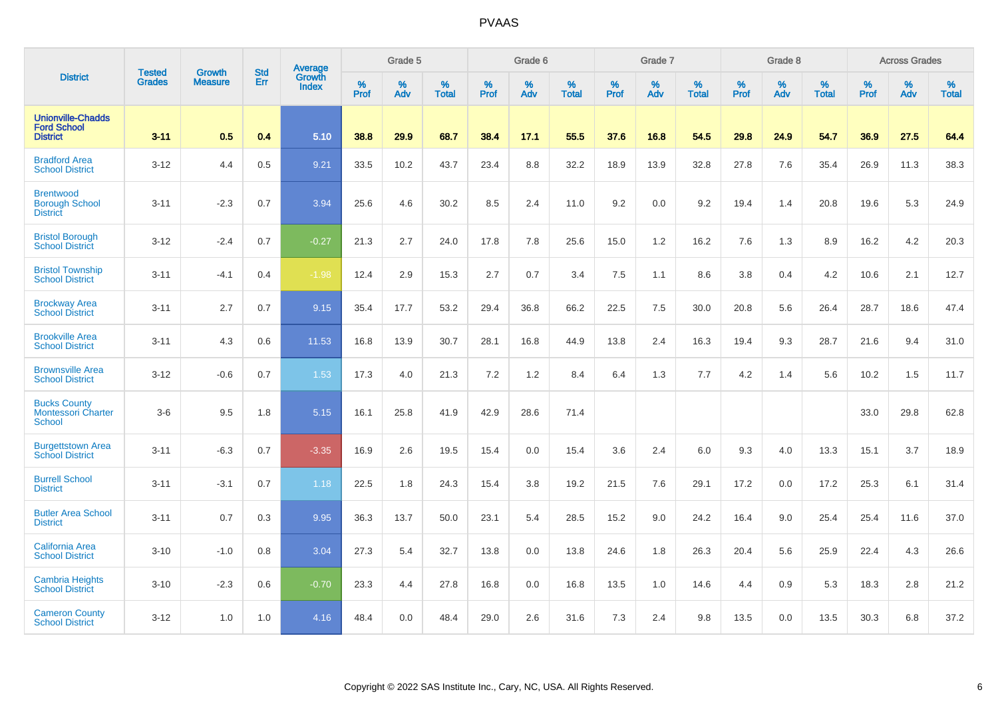| <b>District</b>                                                   | <b>Tested</b> | <b>Growth</b>  | <b>Std</b> | Average                       |           | Grade 5  |                   |           | Grade 6  |                   |           | Grade 7  |                   |           | Grade 8  |                   |           | <b>Across Grades</b> |                   |
|-------------------------------------------------------------------|---------------|----------------|------------|-------------------------------|-----------|----------|-------------------|-----------|----------|-------------------|-----------|----------|-------------------|-----------|----------|-------------------|-----------|----------------------|-------------------|
|                                                                   | <b>Grades</b> | <b>Measure</b> | Err        | <b>Growth</b><br><b>Index</b> | %<br>Prof | %<br>Adv | %<br><b>Total</b> | %<br>Prof | %<br>Adv | %<br><b>Total</b> | %<br>Prof | %<br>Adv | %<br><b>Total</b> | %<br>Prof | %<br>Adv | %<br><b>Total</b> | %<br>Prof | %<br>Adv             | %<br><b>Total</b> |
| <b>Unionville-Chadds</b><br><b>Ford School</b><br><b>District</b> | $3 - 11$      | 0.5            | 0.4        | 5.10                          | 38.8      | 29.9     | 68.7              | 38.4      | 17.1     | 55.5              | 37.6      | 16.8     | 54.5              | 29.8      | 24.9     | 54.7              | 36.9      | 27.5                 | 64.4              |
| <b>Bradford Area</b><br><b>School District</b>                    | $3 - 12$      | 4.4            | 0.5        | 9.21                          | 33.5      | 10.2     | 43.7              | 23.4      | 8.8      | 32.2              | 18.9      | 13.9     | 32.8              | 27.8      | 7.6      | 35.4              | 26.9      | 11.3                 | 38.3              |
| <b>Brentwood</b><br><b>Borough School</b><br><b>District</b>      | $3 - 11$      | $-2.3$         | 0.7        | 3.94                          | 25.6      | 4.6      | 30.2              | 8.5       | 2.4      | 11.0              | 9.2       | 0.0      | 9.2               | 19.4      | 1.4      | 20.8              | 19.6      | 5.3                  | 24.9              |
| <b>Bristol Borough</b><br><b>School District</b>                  | $3 - 12$      | $-2.4$         | 0.7        | $-0.27$                       | 21.3      | 2.7      | 24.0              | 17.8      | 7.8      | 25.6              | 15.0      | 1.2      | 16.2              | 7.6       | 1.3      | 8.9               | 16.2      | 4.2                  | 20.3              |
| <b>Bristol Township</b><br><b>School District</b>                 | $3 - 11$      | $-4.1$         | 0.4        | $-1.98$                       | 12.4      | 2.9      | 15.3              | 2.7       | 0.7      | 3.4               | 7.5       | 1.1      | 8.6               | 3.8       | 0.4      | 4.2               | 10.6      | 2.1                  | 12.7              |
| <b>Brockway Area</b><br><b>School District</b>                    | $3 - 11$      | 2.7            | 0.7        | 9.15                          | 35.4      | 17.7     | 53.2              | 29.4      | 36.8     | 66.2              | 22.5      | 7.5      | 30.0              | 20.8      | 5.6      | 26.4              | 28.7      | 18.6                 | 47.4              |
| <b>Brookville Area</b><br><b>School District</b>                  | $3 - 11$      | 4.3            | 0.6        | 11.53                         | 16.8      | 13.9     | 30.7              | 28.1      | 16.8     | 44.9              | 13.8      | 2.4      | 16.3              | 19.4      | 9.3      | 28.7              | 21.6      | 9.4                  | 31.0              |
| <b>Brownsville Area</b><br><b>School District</b>                 | $3 - 12$      | $-0.6$         | 0.7        | 1.53                          | 17.3      | 4.0      | 21.3              | 7.2       | 1.2      | 8.4               | 6.4       | 1.3      | 7.7               | 4.2       | 1.4      | 5.6               | 10.2      | 1.5                  | 11.7              |
| <b>Bucks County</b><br><b>Montessori Charter</b><br>School        | $3-6$         | 9.5            | 1.8        | 5.15                          | 16.1      | 25.8     | 41.9              | 42.9      | 28.6     | 71.4              |           |          |                   |           |          |                   | 33.0      | 29.8                 | 62.8              |
| <b>Burgettstown Area</b><br><b>School District</b>                | $3 - 11$      | $-6.3$         | 0.7        | $-3.35$                       | 16.9      | 2.6      | 19.5              | 15.4      | 0.0      | 15.4              | 3.6       | 2.4      | 6.0               | 9.3       | 4.0      | 13.3              | 15.1      | 3.7                  | 18.9              |
| <b>Burrell School</b><br><b>District</b>                          | $3 - 11$      | $-3.1$         | 0.7        | 1.18                          | 22.5      | 1.8      | 24.3              | 15.4      | 3.8      | 19.2              | 21.5      | 7.6      | 29.1              | 17.2      | 0.0      | 17.2              | 25.3      | 6.1                  | 31.4              |
| <b>Butler Area School</b><br><b>District</b>                      | $3 - 11$      | 0.7            | 0.3        | 9.95                          | 36.3      | 13.7     | 50.0              | 23.1      | 5.4      | 28.5              | 15.2      | 9.0      | 24.2              | 16.4      | 9.0      | 25.4              | 25.4      | 11.6                 | 37.0              |
| California Area<br><b>School District</b>                         | $3 - 10$      | $-1.0$         | 0.8        | 3.04                          | 27.3      | 5.4      | 32.7              | 13.8      | 0.0      | 13.8              | 24.6      | 1.8      | 26.3              | 20.4      | 5.6      | 25.9              | 22.4      | 4.3                  | 26.6              |
| <b>Cambria Heights</b><br><b>School District</b>                  | $3 - 10$      | $-2.3$         | 0.6        | $-0.70$                       | 23.3      | 4.4      | 27.8              | 16.8      | 0.0      | 16.8              | 13.5      | 1.0      | 14.6              | 4.4       | 0.9      | 5.3               | 18.3      | 2.8                  | 21.2              |
| <b>Cameron County</b><br><b>School District</b>                   | $3 - 12$      | 1.0            | 1.0        | 4.16                          | 48.4      | 0.0      | 48.4              | 29.0      | 2.6      | 31.6              | 7.3       | 2.4      | 9.8               | 13.5      | 0.0      | 13.5              | 30.3      | 6.8                  | 37.2              |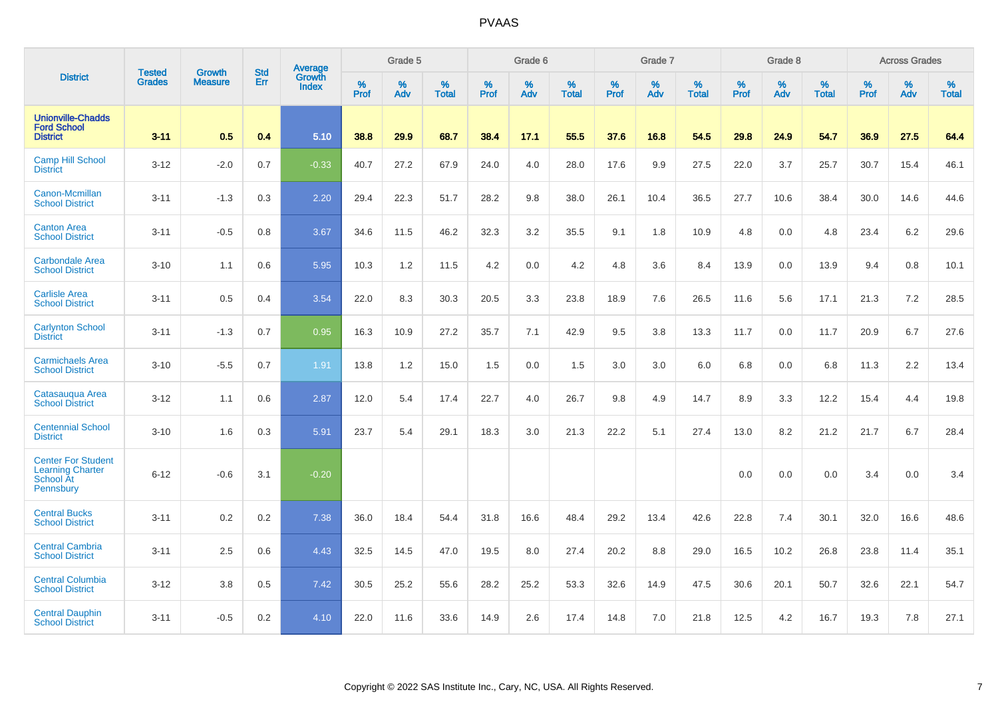| <b>District</b>                                                                | <b>Tested</b> | <b>Growth</b>  | <b>Std</b> | Average                       |           | Grade 5  |                   |           | Grade 6  |                   |           | Grade 7  |                   |           | Grade 8  |                   |           | <b>Across Grades</b> |                   |
|--------------------------------------------------------------------------------|---------------|----------------|------------|-------------------------------|-----------|----------|-------------------|-----------|----------|-------------------|-----------|----------|-------------------|-----------|----------|-------------------|-----------|----------------------|-------------------|
|                                                                                | <b>Grades</b> | <b>Measure</b> | Err        | <b>Growth</b><br><b>Index</b> | %<br>Prof | %<br>Adv | %<br><b>Total</b> | %<br>Prof | %<br>Adv | %<br><b>Total</b> | %<br>Prof | %<br>Adv | %<br><b>Total</b> | %<br>Prof | %<br>Adv | %<br><b>Total</b> | %<br>Prof | %<br>Adv             | %<br><b>Total</b> |
| <b>Unionville-Chadds</b><br><b>Ford School</b><br><b>District</b>              | $3 - 11$      | 0.5            | 0.4        | 5.10                          | 38.8      | 29.9     | 68.7              | 38.4      | 17.1     | 55.5              | 37.6      | 16.8     | 54.5              | 29.8      | 24.9     | 54.7              | 36.9      | 27.5                 | 64.4              |
| <b>Camp Hill School</b><br><b>District</b>                                     | $3 - 12$      | $-2.0$         | 0.7        | $-0.33$                       | 40.7      | 27.2     | 67.9              | 24.0      | 4.0      | 28.0              | 17.6      | 9.9      | 27.5              | 22.0      | 3.7      | 25.7              | 30.7      | 15.4                 | 46.1              |
| Canon-Mcmillan<br><b>School District</b>                                       | $3 - 11$      | $-1.3$         | 0.3        | 2.20                          | 29.4      | 22.3     | 51.7              | 28.2      | 9.8      | 38.0              | 26.1      | 10.4     | 36.5              | 27.7      | 10.6     | 38.4              | 30.0      | 14.6                 | 44.6              |
| <b>Canton Area</b><br><b>School District</b>                                   | $3 - 11$      | $-0.5$         | 0.8        | 3.67                          | 34.6      | 11.5     | 46.2              | 32.3      | 3.2      | 35.5              | 9.1       | 1.8      | 10.9              | 4.8       | 0.0      | 4.8               | 23.4      | 6.2                  | 29.6              |
| <b>Carbondale Area</b><br><b>School District</b>                               | $3 - 10$      | 1.1            | 0.6        | 5.95                          | 10.3      | 1.2      | 11.5              | 4.2       | 0.0      | 4.2               | 4.8       | 3.6      | 8.4               | 13.9      | 0.0      | 13.9              | 9.4       | 0.8                  | 10.1              |
| <b>Carlisle Area</b><br><b>School District</b>                                 | $3 - 11$      | 0.5            | 0.4        | 3.54                          | 22.0      | 8.3      | 30.3              | 20.5      | 3.3      | 23.8              | 18.9      | 7.6      | 26.5              | 11.6      | 5.6      | 17.1              | 21.3      | 7.2                  | 28.5              |
| <b>Carlynton School</b><br><b>District</b>                                     | $3 - 11$      | $-1.3$         | 0.7        | 0.95                          | 16.3      | 10.9     | 27.2              | 35.7      | 7.1      | 42.9              | 9.5       | 3.8      | 13.3              | 11.7      | 0.0      | 11.7              | 20.9      | 6.7                  | 27.6              |
| <b>Carmichaels Area</b><br><b>School District</b>                              | $3 - 10$      | $-5.5$         | 0.7        | 1.91                          | 13.8      | 1.2      | 15.0              | 1.5       | 0.0      | 1.5               | 3.0       | 3.0      | 6.0               | 6.8       | 0.0      | 6.8               | 11.3      | 2.2                  | 13.4              |
| Catasaugua Area<br><b>School District</b>                                      | $3 - 12$      | 1.1            | 0.6        | 2.87                          | 12.0      | 5.4      | 17.4              | 22.7      | 4.0      | 26.7              | 9.8       | 4.9      | 14.7              | 8.9       | 3.3      | 12.2              | 15.4      | 4.4                  | 19.8              |
| <b>Centennial School</b><br><b>District</b>                                    | $3 - 10$      | 1.6            | 0.3        | 5.91                          | 23.7      | 5.4      | 29.1              | 18.3      | 3.0      | 21.3              | 22.2      | 5.1      | 27.4              | 13.0      | 8.2      | 21.2              | 21.7      | 6.7                  | 28.4              |
| <b>Center For Student</b><br><b>Learning Charter</b><br>School At<br>Pennsbury | $6 - 12$      | $-0.6$         | 3.1        | $-0.20$                       |           |          |                   |           |          |                   |           |          |                   | 0.0       | 0.0      | 0.0               | 3.4       | 0.0                  | 3.4               |
| <b>Central Bucks</b><br><b>School District</b>                                 | $3 - 11$      | 0.2            | 0.2        | 7.38                          | 36.0      | 18.4     | 54.4              | 31.8      | 16.6     | 48.4              | 29.2      | 13.4     | 42.6              | 22.8      | 7.4      | 30.1              | 32.0      | 16.6                 | 48.6              |
| <b>Central Cambria</b><br><b>School District</b>                               | $3 - 11$      | 2.5            | 0.6        | 4.43                          | 32.5      | 14.5     | 47.0              | 19.5      | 8.0      | 27.4              | 20.2      | 8.8      | 29.0              | 16.5      | 10.2     | 26.8              | 23.8      | 11.4                 | 35.1              |
| <b>Central Columbia</b><br><b>School District</b>                              | $3 - 12$      | 3.8            | 0.5        | 7.42                          | 30.5      | 25.2     | 55.6              | 28.2      | 25.2     | 53.3              | 32.6      | 14.9     | 47.5              | 30.6      | 20.1     | 50.7              | 32.6      | 22.1                 | 54.7              |
| <b>Central Dauphin</b><br><b>School District</b>                               | $3 - 11$      | $-0.5$         | 0.2        | 4.10                          | 22.0      | 11.6     | 33.6              | 14.9      | 2.6      | 17.4              | 14.8      | 7.0      | 21.8              | 12.5      | 4.2      | 16.7              | 19.3      | 7.8                  | 27.1              |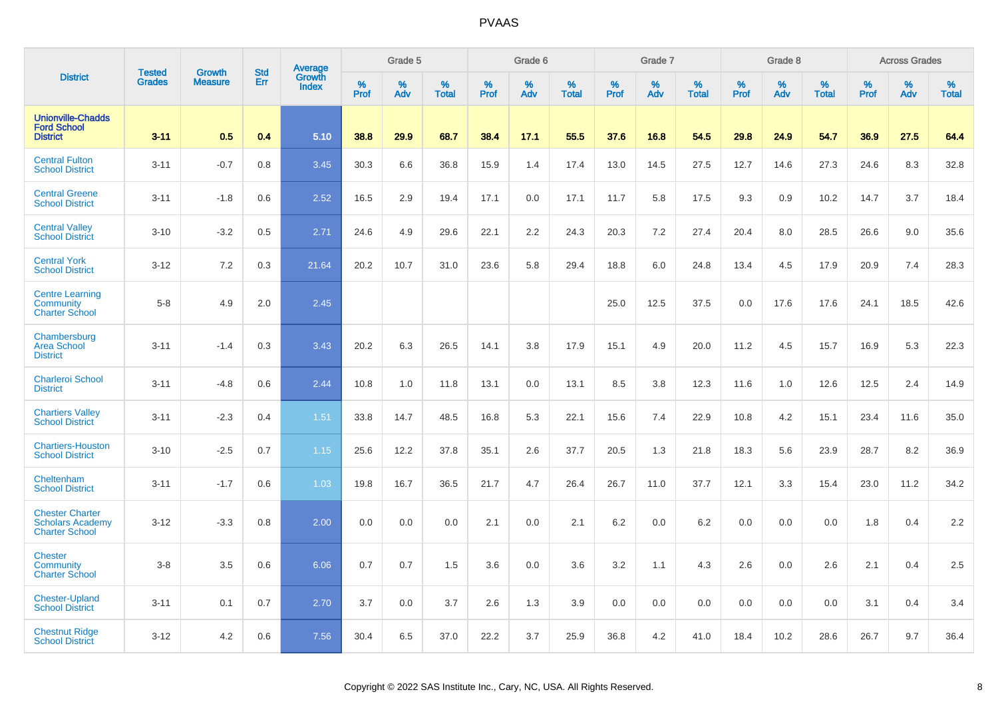|                                                                            | <b>Tested</b> | <b>Growth</b>  | <b>Std</b> | <b>Average</b>         |                     | Grade 5  |                   |                  | Grade 6  |                   |                  | Grade 7  |                   |           | Grade 8  |                   |           | <b>Across Grades</b> |                   |
|----------------------------------------------------------------------------|---------------|----------------|------------|------------------------|---------------------|----------|-------------------|------------------|----------|-------------------|------------------|----------|-------------------|-----------|----------|-------------------|-----------|----------------------|-------------------|
| <b>District</b>                                                            | <b>Grades</b> | <b>Measure</b> | Err        | Growth<br><b>Index</b> | $\%$<br><b>Prof</b> | %<br>Adv | %<br><b>Total</b> | %<br><b>Prof</b> | %<br>Adv | %<br><b>Total</b> | %<br><b>Prof</b> | %<br>Adv | %<br><b>Total</b> | %<br>Prof | %<br>Adv | %<br><b>Total</b> | %<br>Prof | %<br>Adv             | %<br><b>Total</b> |
| <b>Unionville-Chadds</b><br><b>Ford School</b><br><b>District</b>          | $3 - 11$      | 0.5            | 0.4        | 5.10                   | 38.8                | 29.9     | 68.7              | 38.4             | 17.1     | 55.5              | 37.6             | 16.8     | 54.5              | 29.8      | 24.9     | 54.7              | 36.9      | 27.5                 | 64.4              |
| <b>Central Fulton</b><br><b>School District</b>                            | $3 - 11$      | $-0.7$         | 0.8        | 3.45                   | 30.3                | 6.6      | 36.8              | 15.9             | 1.4      | 17.4              | 13.0             | 14.5     | 27.5              | 12.7      | 14.6     | 27.3              | 24.6      | 8.3                  | 32.8              |
| <b>Central Greene</b><br><b>School District</b>                            | $3 - 11$      | $-1.8$         | 0.6        | 2.52                   | 16.5                | 2.9      | 19.4              | 17.1             | 0.0      | 17.1              | 11.7             | 5.8      | 17.5              | 9.3       | 0.9      | 10.2              | 14.7      | 3.7                  | 18.4              |
| <b>Central Vallev</b><br><b>School District</b>                            | $3 - 10$      | $-3.2$         | 0.5        | 2.71                   | 24.6                | 4.9      | 29.6              | 22.1             | 2.2      | 24.3              | 20.3             | 7.2      | 27.4              | 20.4      | 8.0      | 28.5              | 26.6      | 9.0                  | 35.6              |
| <b>Central York</b><br><b>School District</b>                              | $3 - 12$      | 7.2            | 0.3        | 21.64                  | 20.2                | 10.7     | 31.0              | 23.6             | 5.8      | 29.4              | 18.8             | 6.0      | 24.8              | 13.4      | 4.5      | 17.9              | 20.9      | 7.4                  | 28.3              |
| <b>Centre Learning</b><br><b>Community</b><br><b>Charter School</b>        | $5 - 8$       | 4.9            | 2.0        | 2.45                   |                     |          |                   |                  |          |                   | 25.0             | 12.5     | 37.5              | 0.0       | 17.6     | 17.6              | 24.1      | 18.5                 | 42.6              |
| Chambersburg<br><b>Area School</b><br><b>District</b>                      | $3 - 11$      | $-1.4$         | 0.3        | 3.43                   | 20.2                | 6.3      | 26.5              | 14.1             | 3.8      | 17.9              | 15.1             | 4.9      | 20.0              | 11.2      | 4.5      | 15.7              | 16.9      | 5.3                  | 22.3              |
| <b>Charleroi School</b><br><b>District</b>                                 | $3 - 11$      | $-4.8$         | 0.6        | 2.44                   | 10.8                | 1.0      | 11.8              | 13.1             | 0.0      | 13.1              | 8.5              | 3.8      | 12.3              | 11.6      | 1.0      | 12.6              | 12.5      | 2.4                  | 14.9              |
| <b>Chartiers Valley</b><br><b>School District</b>                          | $3 - 11$      | $-2.3$         | 0.4        | 1.51                   | 33.8                | 14.7     | 48.5              | 16.8             | 5.3      | 22.1              | 15.6             | 7.4      | 22.9              | 10.8      | 4.2      | 15.1              | 23.4      | 11.6                 | 35.0              |
| <b>Chartiers-Houston</b><br><b>School District</b>                         | $3 - 10$      | $-2.5$         | 0.7        | 1.15                   | 25.6                | 12.2     | 37.8              | 35.1             | 2.6      | 37.7              | 20.5             | 1.3      | 21.8              | 18.3      | 5.6      | 23.9              | 28.7      | 8.2                  | 36.9              |
| Cheltenham<br><b>School District</b>                                       | $3 - 11$      | $-1.7$         | 0.6        | 1.03                   | 19.8                | 16.7     | 36.5              | 21.7             | 4.7      | 26.4              | 26.7             | 11.0     | 37.7              | 12.1      | 3.3      | 15.4              | 23.0      | 11.2                 | 34.2              |
| <b>Chester Charter</b><br><b>Scholars Academy</b><br><b>Charter School</b> | $3 - 12$      | $-3.3$         | 0.8        | 2.00                   | 0.0                 | 0.0      | 0.0               | 2.1              | 0.0      | 2.1               | 6.2              | 0.0      | 6.2               | 0.0       | 0.0      | 0.0               | 1.8       | 0.4                  | 2.2               |
| <b>Chester</b><br>Community<br><b>Charter School</b>                       | $3 - 8$       | 3.5            | 0.6        | 6.06                   | 0.7                 | 0.7      | 1.5               | 3.6              | 0.0      | 3.6               | 3.2              | 1.1      | 4.3               | 2.6       | 0.0      | 2.6               | 2.1       | 0.4                  | 2.5               |
| <b>Chester-Upland</b><br><b>School District</b>                            | $3 - 11$      | 0.1            | 0.7        | 2.70                   | 3.7                 | 0.0      | 3.7               | 2.6              | 1.3      | 3.9               | 0.0              | 0.0      | 0.0               | 0.0       | 0.0      | 0.0               | 3.1       | 0.4                  | 3.4               |
| <b>Chestnut Ridge</b><br><b>School District</b>                            | $3 - 12$      | 4.2            | 0.6        | 7.56                   | 30.4                | 6.5      | 37.0              | 22.2             | 3.7      | 25.9              | 36.8             | 4.2      | 41.0              | 18.4      | 10.2     | 28.6              | 26.7      | 9.7                  | 36.4              |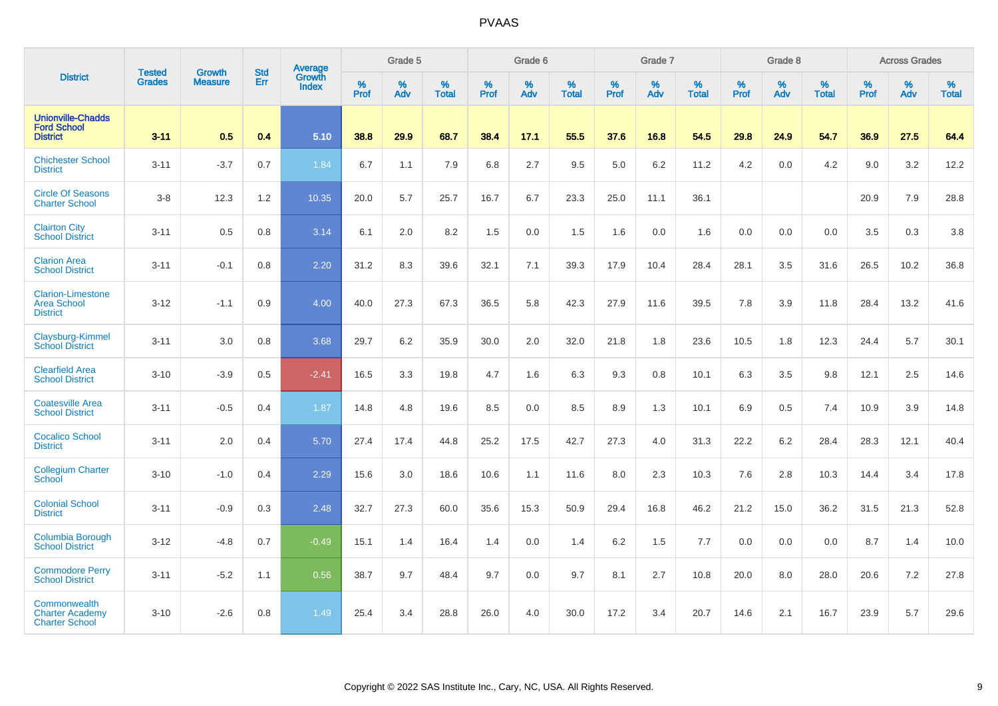| <b>District</b>                                                   | <b>Tested</b> |                                 | <b>Std</b> | Average         |           | Grade 5  |                   |           | Grade 6  |                   |           | Grade 7  |                   |           | Grade 8  |                   |                  | <b>Across Grades</b> |                   |
|-------------------------------------------------------------------|---------------|---------------------------------|------------|-----------------|-----------|----------|-------------------|-----------|----------|-------------------|-----------|----------|-------------------|-----------|----------|-------------------|------------------|----------------------|-------------------|
|                                                                   | <b>Grades</b> | <b>Growth</b><br><b>Measure</b> | Err        | Growth<br>Index | %<br>Prof | %<br>Adv | %<br><b>Total</b> | %<br>Prof | %<br>Adv | %<br><b>Total</b> | %<br>Prof | %<br>Adv | %<br><b>Total</b> | %<br>Prof | %<br>Adv | %<br><b>Total</b> | %<br><b>Prof</b> | %<br>Adv             | %<br><b>Total</b> |
| <b>Unionville-Chadds</b><br><b>Ford School</b><br><b>District</b> | $3 - 11$      | 0.5                             | 0.4        | 5.10            | 38.8      | 29.9     | 68.7              | 38.4      | 17.1     | 55.5              | 37.6      | 16.8     | 54.5              | 29.8      | 24.9     | 54.7              | 36.9             | 27.5                 | 64.4              |
| <b>Chichester School</b><br><b>District</b>                       | $3 - 11$      | $-3.7$                          | 0.7        | 1.84            | 6.7       | 1.1      | 7.9               | 6.8       | 2.7      | 9.5               | 5.0       | 6.2      | 11.2              | 4.2       | 0.0      | 4.2               | 9.0              | 3.2                  | 12.2              |
| <b>Circle Of Seasons</b><br><b>Charter School</b>                 | $3-8$         | 12.3                            | 1.2        | 10.35           | 20.0      | 5.7      | 25.7              | 16.7      | 6.7      | 23.3              | 25.0      | 11.1     | 36.1              |           |          |                   | 20.9             | 7.9                  | 28.8              |
| <b>Clairton City</b><br><b>School District</b>                    | $3 - 11$      | 0.5                             | 0.8        | 3.14            | 6.1       | 2.0      | 8.2               | 1.5       | 0.0      | 1.5               | 1.6       | 0.0      | 1.6               | 0.0       | 0.0      | 0.0               | 3.5              | 0.3                  | 3.8               |
| <b>Clarion Area</b><br><b>School District</b>                     | $3 - 11$      | $-0.1$                          | 0.8        | 2.20            | 31.2      | 8.3      | 39.6              | 32.1      | 7.1      | 39.3              | 17.9      | 10.4     | 28.4              | 28.1      | 3.5      | 31.6              | 26.5             | 10.2                 | 36.8              |
| <b>Clarion-Limestone</b><br><b>Area School</b><br><b>District</b> | $3 - 12$      | $-1.1$                          | 0.9        | 4.00            | 40.0      | 27.3     | 67.3              | 36.5      | 5.8      | 42.3              | 27.9      | 11.6     | 39.5              | 7.8       | 3.9      | 11.8              | 28.4             | 13.2                 | 41.6              |
| Claysburg-Kimmel<br><b>School District</b>                        | $3 - 11$      | 3.0                             | 0.8        | 3.68            | 29.7      | 6.2      | 35.9              | 30.0      | 2.0      | 32.0              | 21.8      | 1.8      | 23.6              | 10.5      | 1.8      | 12.3              | 24.4             | 5.7                  | 30.1              |
| <b>Clearfield Area</b><br><b>School District</b>                  | $3 - 10$      | $-3.9$                          | 0.5        | $-2.41$         | 16.5      | 3.3      | 19.8              | 4.7       | 1.6      | 6.3               | 9.3       | 0.8      | 10.1              | 6.3       | 3.5      | 9.8               | 12.1             | 2.5                  | 14.6              |
| <b>Coatesville Area</b><br><b>School District</b>                 | $3 - 11$      | $-0.5$                          | 0.4        | 1.87            | 14.8      | 4.8      | 19.6              | 8.5       | $0.0\,$  | 8.5               | 8.9       | 1.3      | 10.1              | 6.9       | 0.5      | 7.4               | 10.9             | 3.9                  | 14.8              |
| <b>Cocalico School</b><br><b>District</b>                         | $3 - 11$      | 2.0                             | 0.4        | 5.70            | 27.4      | 17.4     | 44.8              | 25.2      | 17.5     | 42.7              | 27.3      | 4.0      | 31.3              | 22.2      | $6.2\,$  | 28.4              | 28.3             | 12.1                 | 40.4              |
| <b>Collegium Charter</b><br>School                                | $3 - 10$      | $-1.0$                          | 0.4        | 2.29            | 15.6      | 3.0      | 18.6              | 10.6      | 1.1      | 11.6              | 8.0       | 2.3      | 10.3              | 7.6       | 2.8      | 10.3              | 14.4             | 3.4                  | 17.8              |
| <b>Colonial School</b><br><b>District</b>                         | $3 - 11$      | $-0.9$                          | 0.3        | 2.48            | 32.7      | 27.3     | 60.0              | 35.6      | 15.3     | 50.9              | 29.4      | 16.8     | 46.2              | 21.2      | 15.0     | 36.2              | 31.5             | 21.3                 | 52.8              |
| Columbia Borough<br><b>School District</b>                        | $3 - 12$      | $-4.8$                          | 0.7        | $-0.49$         | 15.1      | 1.4      | 16.4              | 1.4       | 0.0      | 1.4               | 6.2       | 1.5      | 7.7               | 0.0       | 0.0      | 0.0               | 8.7              | 1.4                  | 10.0              |
| <b>Commodore Perry</b><br><b>School District</b>                  | $3 - 11$      | $-5.2$                          | 1.1        | 0.56            | 38.7      | 9.7      | 48.4              | 9.7       | 0.0      | 9.7               | 8.1       | 2.7      | 10.8              | 20.0      | 8.0      | 28.0              | 20.6             | 7.2                  | 27.8              |
| Commonwealth<br><b>Charter Academy</b><br><b>Charter School</b>   | $3 - 10$      | $-2.6$                          | 0.8        | 1.49            | 25.4      | 3.4      | 28.8              | 26.0      | 4.0      | 30.0              | 17.2      | 3.4      | 20.7              | 14.6      | 2.1      | 16.7              | 23.9             | 5.7                  | 29.6              |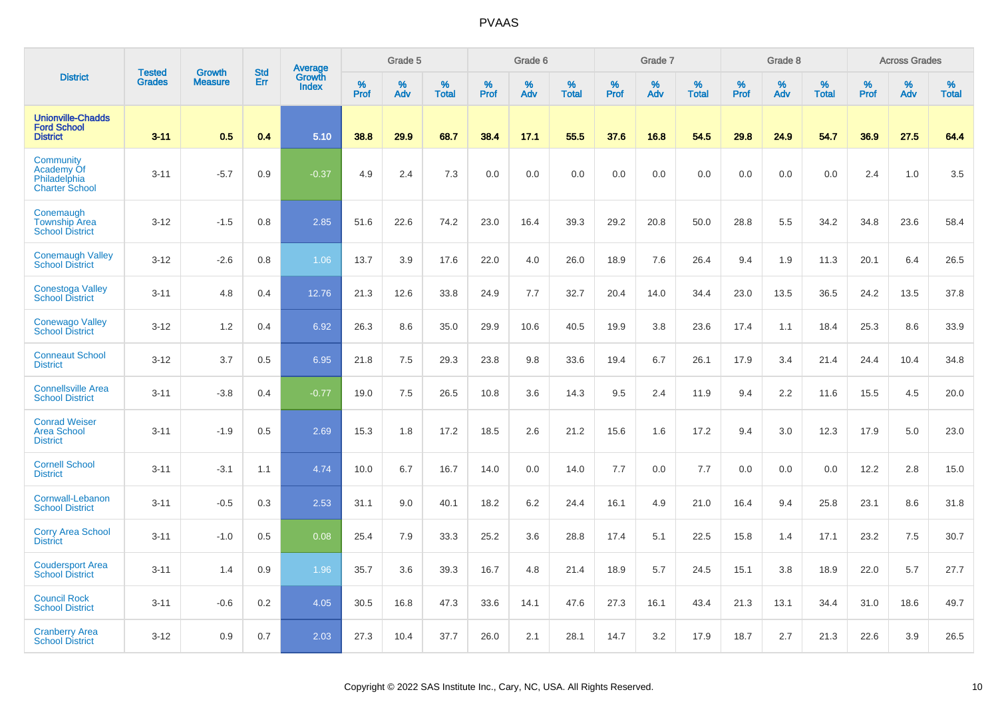|                                                                         | Tested        | Growth         | <b>Std</b> | <b>Average</b><br>Growth |              | Grade 5     |                   |           | Grade 6  |                      |                  | Grade 7  |                   |           | Grade 8  |                   |           | <b>Across Grades</b> |                   |
|-------------------------------------------------------------------------|---------------|----------------|------------|--------------------------|--------------|-------------|-------------------|-----------|----------|----------------------|------------------|----------|-------------------|-----------|----------|-------------------|-----------|----------------------|-------------------|
| <b>District</b>                                                         | <b>Grades</b> | <b>Measure</b> | Err        | <b>Index</b>             | $\%$<br>Prof | $\%$<br>Adv | %<br><b>Total</b> | %<br>Prof | %<br>Adv | $\%$<br><b>Total</b> | %<br><b>Prof</b> | %<br>Adv | %<br><b>Total</b> | %<br>Prof | %<br>Adv | %<br><b>Total</b> | %<br>Prof | %<br>Adv             | %<br><b>Total</b> |
| <b>Unionville-Chadds</b><br><b>Ford School</b><br><b>District</b>       | $3 - 11$      | 0.5            | 0.4        | 5.10                     | 38.8         | 29.9        | 68.7              | 38.4      | 17.1     | 55.5                 | 37.6             | 16.8     | 54.5              | 29.8      | 24.9     | 54.7              | 36.9      | 27.5                 | 64.4              |
| Community<br><b>Academy Of</b><br>Philadelphia<br><b>Charter School</b> | $3 - 11$      | $-5.7$         | 0.9        | $-0.37$                  | 4.9          | 2.4         | 7.3               | 0.0       | 0.0      | 0.0                  | 0.0              | 0.0      | 0.0               | 0.0       | 0.0      | 0.0               | 2.4       | 1.0                  | 3.5               |
| Conemaugh<br><b>Township Area</b><br><b>School District</b>             | $3 - 12$      | $-1.5$         | 0.8        | 2.85                     | 51.6         | 22.6        | 74.2              | 23.0      | 16.4     | 39.3                 | 29.2             | 20.8     | 50.0              | 28.8      | 5.5      | 34.2              | 34.8      | 23.6                 | 58.4              |
| <b>Conemaugh Valley</b><br><b>School District</b>                       | $3 - 12$      | $-2.6$         | 0.8        | 1.06                     | 13.7         | 3.9         | 17.6              | 22.0      | 4.0      | 26.0                 | 18.9             | 7.6      | 26.4              | 9.4       | 1.9      | 11.3              | 20.1      | 6.4                  | 26.5              |
| <b>Conestoga Valley</b><br><b>School District</b>                       | $3 - 11$      | 4.8            | 0.4        | 12.76                    | 21.3         | 12.6        | 33.8              | 24.9      | 7.7      | 32.7                 | 20.4             | 14.0     | 34.4              | 23.0      | 13.5     | 36.5              | 24.2      | 13.5                 | 37.8              |
| <b>Conewago Valley</b><br><b>School District</b>                        | $3 - 12$      | 1.2            | 0.4        | 6.92                     | 26.3         | 8.6         | 35.0              | 29.9      | 10.6     | 40.5                 | 19.9             | 3.8      | 23.6              | 17.4      | 1.1      | 18.4              | 25.3      | 8.6                  | 33.9              |
| <b>Conneaut School</b><br><b>District</b>                               | $3 - 12$      | 3.7            | 0.5        | 6.95                     | 21.8         | 7.5         | 29.3              | 23.8      | 9.8      | 33.6                 | 19.4             | 6.7      | 26.1              | 17.9      | 3.4      | 21.4              | 24.4      | 10.4                 | 34.8              |
| <b>Connellsville Area</b><br><b>School District</b>                     | $3 - 11$      | $-3.8$         | 0.4        | $-0.77$                  | 19.0         | 7.5         | 26.5              | 10.8      | 3.6      | 14.3                 | 9.5              | 2.4      | 11.9              | 9.4       | 2.2      | 11.6              | 15.5      | 4.5                  | 20.0              |
| <b>Conrad Weiser</b><br><b>Area School</b><br><b>District</b>           | $3 - 11$      | $-1.9$         | 0.5        | 2.69                     | 15.3         | 1.8         | 17.2              | 18.5      | 2.6      | 21.2                 | 15.6             | 1.6      | 17.2              | 9.4       | 3.0      | 12.3              | 17.9      | 5.0                  | 23.0              |
| <b>Cornell School</b><br><b>District</b>                                | $3 - 11$      | $-3.1$         | 1.1        | 4.74                     | 10.0         | 6.7         | 16.7              | 14.0      | 0.0      | 14.0                 | 7.7              | 0.0      | 7.7               | 0.0       | 0.0      | 0.0               | 12.2      | 2.8                  | 15.0              |
| <b>Cornwall-Lebanon</b><br><b>School District</b>                       | $3 - 11$      | $-0.5$         | 0.3        | 2.53                     | 31.1         | 9.0         | 40.1              | 18.2      | 6.2      | 24.4                 | 16.1             | 4.9      | 21.0              | 16.4      | 9.4      | 25.8              | 23.1      | 8.6                  | 31.8              |
| <b>Corry Area School</b><br><b>District</b>                             | $3 - 11$      | $-1.0$         | 0.5        | 0.08                     | 25.4         | 7.9         | 33.3              | 25.2      | 3.6      | 28.8                 | 17.4             | 5.1      | 22.5              | 15.8      | 1.4      | 17.1              | 23.2      | 7.5                  | 30.7              |
| <b>Coudersport Area</b><br><b>School District</b>                       | $3 - 11$      | 1.4            | 0.9        | 1.96                     | 35.7         | 3.6         | 39.3              | 16.7      | 4.8      | 21.4                 | 18.9             | 5.7      | 24.5              | 15.1      | 3.8      | 18.9              | 22.0      | 5.7                  | 27.7              |
| <b>Council Rock</b><br><b>School District</b>                           | $3 - 11$      | $-0.6$         | 0.2        | 4.05                     | 30.5         | 16.8        | 47.3              | 33.6      | 14.1     | 47.6                 | 27.3             | 16.1     | 43.4              | 21.3      | 13.1     | 34.4              | 31.0      | 18.6                 | 49.7              |
| <b>Cranberry Area</b><br><b>School District</b>                         | $3 - 12$      | 0.9            | 0.7        | 2.03                     | 27.3         | 10.4        | 37.7              | 26.0      | 2.1      | 28.1                 | 14.7             | 3.2      | 17.9              | 18.7      | 2.7      | 21.3              | 22.6      | 3.9                  | 26.5              |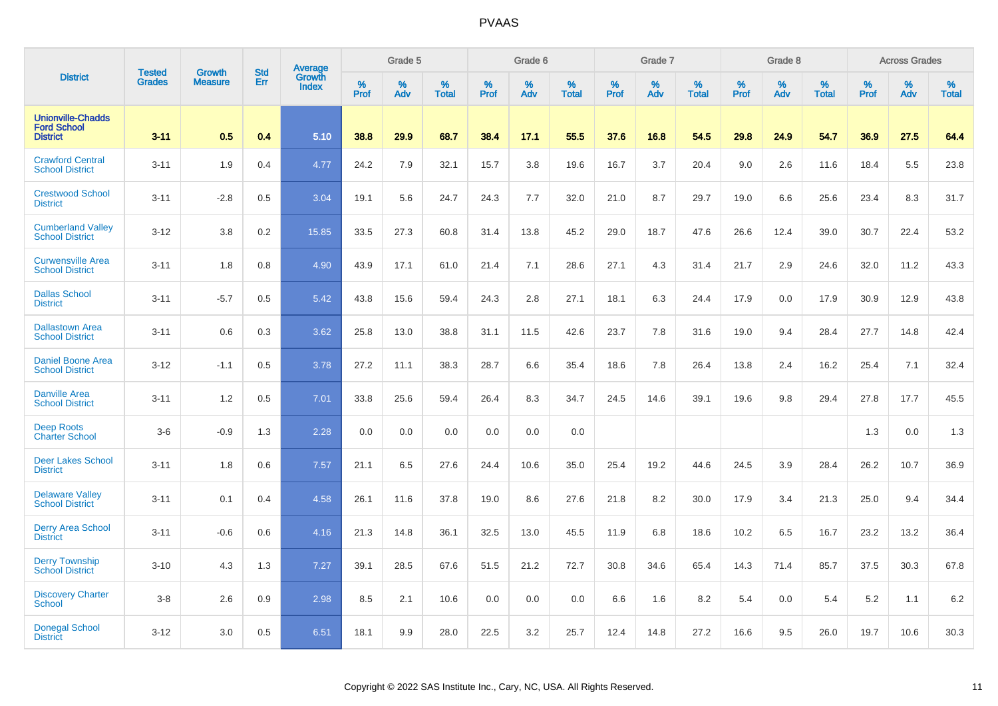| <b>District</b>                                                   |                         | <b>Growth</b>  | <b>Std</b> | Average                |                     | Grade 5  |                      |                     | Grade 6  |                      |                     | Grade 7     |                      |                     | Grade 8     |                      |                     | <b>Across Grades</b> |                   |
|-------------------------------------------------------------------|-------------------------|----------------|------------|------------------------|---------------------|----------|----------------------|---------------------|----------|----------------------|---------------------|-------------|----------------------|---------------------|-------------|----------------------|---------------------|----------------------|-------------------|
|                                                                   | <b>Tested</b><br>Grades | <b>Measure</b> | Err        | Growth<br><b>Index</b> | $\%$<br><b>Prof</b> | %<br>Adv | $\%$<br><b>Total</b> | $\%$<br><b>Prof</b> | %<br>Adv | $\%$<br><b>Total</b> | $\%$<br><b>Prof</b> | $\%$<br>Adv | $\%$<br><b>Total</b> | $\%$<br><b>Prof</b> | $\%$<br>Adv | $\%$<br><b>Total</b> | $\%$<br><b>Prof</b> | %<br>Adv             | %<br><b>Total</b> |
| <b>Unionville-Chadds</b><br><b>Ford School</b><br><b>District</b> | $3 - 11$                | 0.5            | 0.4        | 5.10                   | 38.8                | 29.9     | 68.7                 | 38.4                | 17.1     | 55.5                 | 37.6                | 16.8        | 54.5                 | 29.8                | 24.9        | 54.7                 | 36.9                | 27.5                 | 64.4              |
| <b>Crawford Central</b><br><b>School District</b>                 | $3 - 11$                | 1.9            | 0.4        | 4.77                   | 24.2                | 7.9      | 32.1                 | 15.7                | 3.8      | 19.6                 | 16.7                | 3.7         | 20.4                 | 9.0                 | 2.6         | 11.6                 | 18.4                | 5.5                  | 23.8              |
| <b>Crestwood School</b><br><b>District</b>                        | $3 - 11$                | $-2.8$         | 0.5        | 3.04                   | 19.1                | 5.6      | 24.7                 | 24.3                | 7.7      | 32.0                 | 21.0                | 8.7         | 29.7                 | 19.0                | 6.6         | 25.6                 | 23.4                | 8.3                  | 31.7              |
| <b>Cumberland Valley</b><br><b>School District</b>                | $3 - 12$                | 3.8            | 0.2        | 15.85                  | 33.5                | 27.3     | 60.8                 | 31.4                | 13.8     | 45.2                 | 29.0                | 18.7        | 47.6                 | 26.6                | 12.4        | 39.0                 | 30.7                | 22.4                 | 53.2              |
| <b>Curwensville Area</b><br><b>School District</b>                | $3 - 11$                | 1.8            | 0.8        | 4.90                   | 43.9                | 17.1     | 61.0                 | 21.4                | 7.1      | 28.6                 | 27.1                | 4.3         | 31.4                 | 21.7                | 2.9         | 24.6                 | 32.0                | 11.2                 | 43.3              |
| <b>Dallas School</b><br><b>District</b>                           | $3 - 11$                | $-5.7$         | 0.5        | 5.42                   | 43.8                | 15.6     | 59.4                 | 24.3                | 2.8      | 27.1                 | 18.1                | 6.3         | 24.4                 | 17.9                | 0.0         | 17.9                 | 30.9                | 12.9                 | 43.8              |
| <b>Dallastown Area</b><br><b>School District</b>                  | $3 - 11$                | 0.6            | 0.3        | 3.62                   | 25.8                | 13.0     | 38.8                 | 31.1                | 11.5     | 42.6                 | 23.7                | 7.8         | 31.6                 | 19.0                | 9.4         | 28.4                 | 27.7                | 14.8                 | 42.4              |
| <b>Daniel Boone Area</b><br><b>School District</b>                | $3 - 12$                | $-1.1$         | 0.5        | 3.78                   | 27.2                | 11.1     | 38.3                 | 28.7                | 6.6      | 35.4                 | 18.6                | 7.8         | 26.4                 | 13.8                | 2.4         | 16.2                 | 25.4                | 7.1                  | 32.4              |
| <b>Danville Area</b><br><b>School District</b>                    | $3 - 11$                | 1.2            | 0.5        | 7.01                   | 33.8                | 25.6     | 59.4                 | 26.4                | 8.3      | 34.7                 | 24.5                | 14.6        | 39.1                 | 19.6                | 9.8         | 29.4                 | 27.8                | 17.7                 | 45.5              |
| <b>Deep Roots</b><br><b>Charter School</b>                        | $3-6$                   | $-0.9$         | 1.3        | 2.28                   | 0.0                 | 0.0      | 0.0                  | 0.0                 | 0.0      | 0.0                  |                     |             |                      |                     |             |                      | 1.3                 | 0.0                  | 1.3               |
| Deer Lakes School<br><b>District</b>                              | $3 - 11$                | 1.8            | 0.6        | 7.57                   | 21.1                | 6.5      | 27.6                 | 24.4                | 10.6     | 35.0                 | 25.4                | 19.2        | 44.6                 | 24.5                | 3.9         | 28.4                 | 26.2                | 10.7                 | 36.9              |
| <b>Delaware Valley</b><br><b>School District</b>                  | $3 - 11$                | 0.1            | 0.4        | 4.58                   | 26.1                | 11.6     | 37.8                 | 19.0                | 8.6      | 27.6                 | 21.8                | 8.2         | 30.0                 | 17.9                | 3.4         | 21.3                 | 25.0                | 9.4                  | 34.4              |
| <b>Derry Area School</b><br><b>District</b>                       | $3 - 11$                | $-0.6$         | 0.6        | 4.16                   | 21.3                | 14.8     | 36.1                 | 32.5                | 13.0     | 45.5                 | 11.9                | 6.8         | 18.6                 | 10.2                | 6.5         | 16.7                 | 23.2                | 13.2                 | 36.4              |
| <b>Derry Township</b><br><b>School District</b>                   | $3 - 10$                | 4.3            | 1.3        | 7.27                   | 39.1                | 28.5     | 67.6                 | 51.5                | 21.2     | 72.7                 | 30.8                | 34.6        | 65.4                 | 14.3                | 71.4        | 85.7                 | 37.5                | 30.3                 | 67.8              |
| <b>Discovery Charter</b><br><b>School</b>                         | $3-8$                   | 2.6            | 0.9        | 2.98                   | 8.5                 | 2.1      | 10.6                 | 0.0                 | 0.0      | 0.0                  | 6.6                 | 1.6         | 8.2                  | 5.4                 | 0.0         | 5.4                  | 5.2                 | 1.1                  | 6.2               |
| <b>Donegal School</b><br><b>District</b>                          | $3 - 12$                | 3.0            | 0.5        | 6.51                   | 18.1                | 9.9      | 28.0                 | 22.5                | 3.2      | 25.7                 | 12.4                | 14.8        | 27.2                 | 16.6                | 9.5         | 26.0                 | 19.7                | 10.6                 | 30.3              |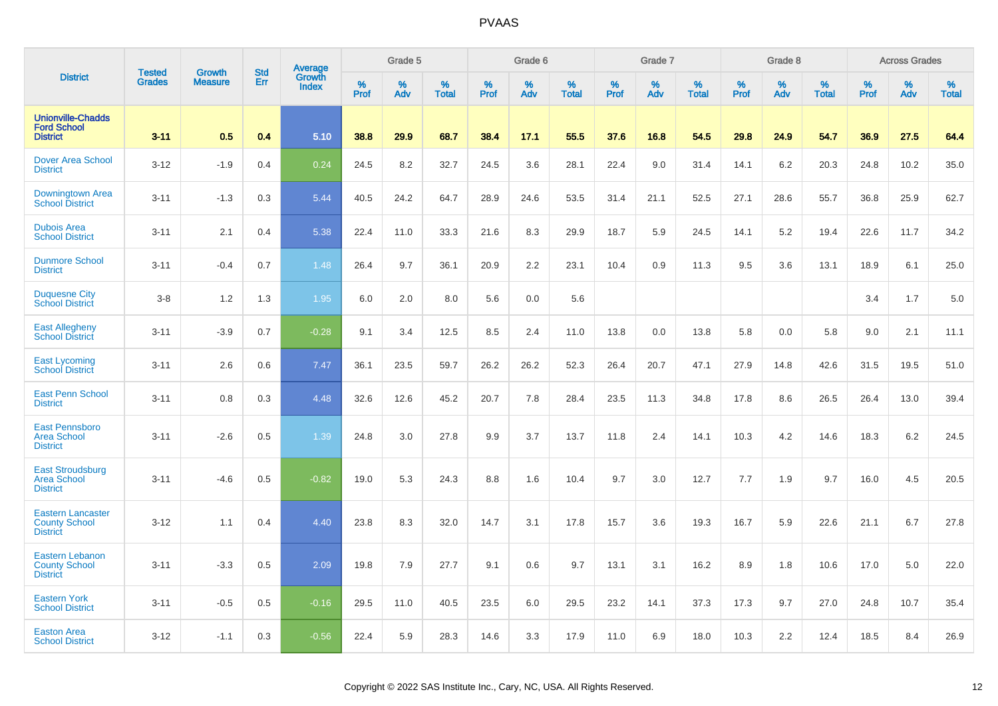|                                                                     | <b>Tested</b> | <b>Growth</b>  | <b>Std</b> |                                          |              | Grade 5  |                   |           | Grade 6  |                   |           | Grade 7  |                   |           | Grade 8  |                   |           | <b>Across Grades</b> |                   |
|---------------------------------------------------------------------|---------------|----------------|------------|------------------------------------------|--------------|----------|-------------------|-----------|----------|-------------------|-----------|----------|-------------------|-----------|----------|-------------------|-----------|----------------------|-------------------|
| <b>District</b>                                                     | <b>Grades</b> | <b>Measure</b> | Err        | <b>Average</b><br>Growth<br><b>Index</b> | $\%$<br>Prof | %<br>Adv | %<br><b>Total</b> | %<br>Prof | %<br>Adv | %<br><b>Total</b> | %<br>Prof | %<br>Adv | %<br><b>Total</b> | %<br>Prof | %<br>Adv | %<br><b>Total</b> | %<br>Prof | %<br>Adv             | %<br><b>Total</b> |
| <b>Unionville-Chadds</b><br><b>Ford School</b><br><b>District</b>   | $3 - 11$      | 0.5            | 0.4        | 5.10                                     | 38.8         | 29.9     | 68.7              | 38.4      | 17.1     | 55.5              | 37.6      | 16.8     | 54.5              | 29.8      | 24.9     | 54.7              | 36.9      | 27.5                 | 64.4              |
| <b>Dover Area School</b><br><b>District</b>                         | $3 - 12$      | $-1.9$         | 0.4        | 0.24                                     | 24.5         | 8.2      | 32.7              | 24.5      | 3.6      | 28.1              | 22.4      | 9.0      | 31.4              | 14.1      | 6.2      | 20.3              | 24.8      | 10.2                 | 35.0              |
| Downingtown Area<br><b>School District</b>                          | $3 - 11$      | $-1.3$         | 0.3        | 5.44                                     | 40.5         | 24.2     | 64.7              | 28.9      | 24.6     | 53.5              | 31.4      | 21.1     | 52.5              | 27.1      | 28.6     | 55.7              | 36.8      | 25.9                 | 62.7              |
| <b>Dubois Area</b><br><b>School District</b>                        | $3 - 11$      | 2.1            | 0.4        | 5.38                                     | 22.4         | 11.0     | 33.3              | 21.6      | 8.3      | 29.9              | 18.7      | 5.9      | 24.5              | 14.1      | 5.2      | 19.4              | 22.6      | 11.7                 | 34.2              |
| <b>Dunmore School</b><br><b>District</b>                            | $3 - 11$      | $-0.4$         | 0.7        | 1.48                                     | 26.4         | 9.7      | 36.1              | 20.9      | 2.2      | 23.1              | 10.4      | 0.9      | 11.3              | 9.5       | 3.6      | 13.1              | 18.9      | 6.1                  | 25.0              |
| <b>Duquesne City</b><br><b>School District</b>                      | $3 - 8$       | 1.2            | 1.3        | 1.95                                     | 6.0          | 2.0      | 8.0               | 5.6       | 0.0      | 5.6               |           |          |                   |           |          |                   | 3.4       | 1.7                  | 5.0               |
| <b>East Allegheny</b><br><b>School District</b>                     | $3 - 11$      | $-3.9$         | 0.7        | $-0.28$                                  | 9.1          | 3.4      | 12.5              | 8.5       | 2.4      | 11.0              | 13.8      | 0.0      | 13.8              | 5.8       | 0.0      | 5.8               | 9.0       | 2.1                  | 11.1              |
| <b>East Lycoming</b><br><b>School District</b>                      | $3 - 11$      | 2.6            | 0.6        | 7.47                                     | 36.1         | 23.5     | 59.7              | 26.2      | 26.2     | 52.3              | 26.4      | 20.7     | 47.1              | 27.9      | 14.8     | 42.6              | 31.5      | 19.5                 | 51.0              |
| <b>East Penn School</b><br><b>District</b>                          | $3 - 11$      | 0.8            | 0.3        | 4.48                                     | 32.6         | 12.6     | 45.2              | 20.7      | 7.8      | 28.4              | 23.5      | 11.3     | 34.8              | 17.8      | 8.6      | 26.5              | 26.4      | 13.0                 | 39.4              |
| <b>East Pennsboro</b><br><b>Area School</b><br><b>District</b>      | $3 - 11$      | $-2.6$         | 0.5        | 1.39                                     | 24.8         | 3.0      | 27.8              | 9.9       | 3.7      | 13.7              | 11.8      | 2.4      | 14.1              | 10.3      | 4.2      | 14.6              | 18.3      | 6.2                  | 24.5              |
| <b>East Stroudsburg</b><br><b>Area School</b><br><b>District</b>    | $3 - 11$      | $-4.6$         | 0.5        | $-0.82$                                  | 19.0         | 5.3      | 24.3              | 8.8       | 1.6      | 10.4              | 9.7       | 3.0      | 12.7              | 7.7       | 1.9      | 9.7               | 16.0      | 4.5                  | 20.5              |
| <b>Eastern Lancaster</b><br><b>County School</b><br><b>District</b> | $3 - 12$      | 1.1            | 0.4        | 4.40                                     | 23.8         | 8.3      | 32.0              | 14.7      | 3.1      | 17.8              | 15.7      | 3.6      | 19.3              | 16.7      | 5.9      | 22.6              | 21.1      | 6.7                  | 27.8              |
| Eastern Lebanon<br><b>County School</b><br><b>District</b>          | $3 - 11$      | $-3.3$         | 0.5        | 2.09                                     | 19.8         | 7.9      | 27.7              | 9.1       | 0.6      | 9.7               | 13.1      | 3.1      | 16.2              | 8.9       | 1.8      | 10.6              | 17.0      | 5.0                  | 22.0              |
| <b>Eastern York</b><br><b>School District</b>                       | $3 - 11$      | $-0.5$         | 0.5        | $-0.16$                                  | 29.5         | 11.0     | 40.5              | 23.5      | 6.0      | 29.5              | 23.2      | 14.1     | 37.3              | 17.3      | 9.7      | 27.0              | 24.8      | 10.7                 | 35.4              |
| <b>Easton Area</b><br><b>School District</b>                        | $3 - 12$      | $-1.1$         | 0.3        | $-0.56$                                  | 22.4         | 5.9      | 28.3              | 14.6      | 3.3      | 17.9              | 11.0      | 6.9      | 18.0              | 10.3      | 2.2      | 12.4              | 18.5      | 8.4                  | 26.9              |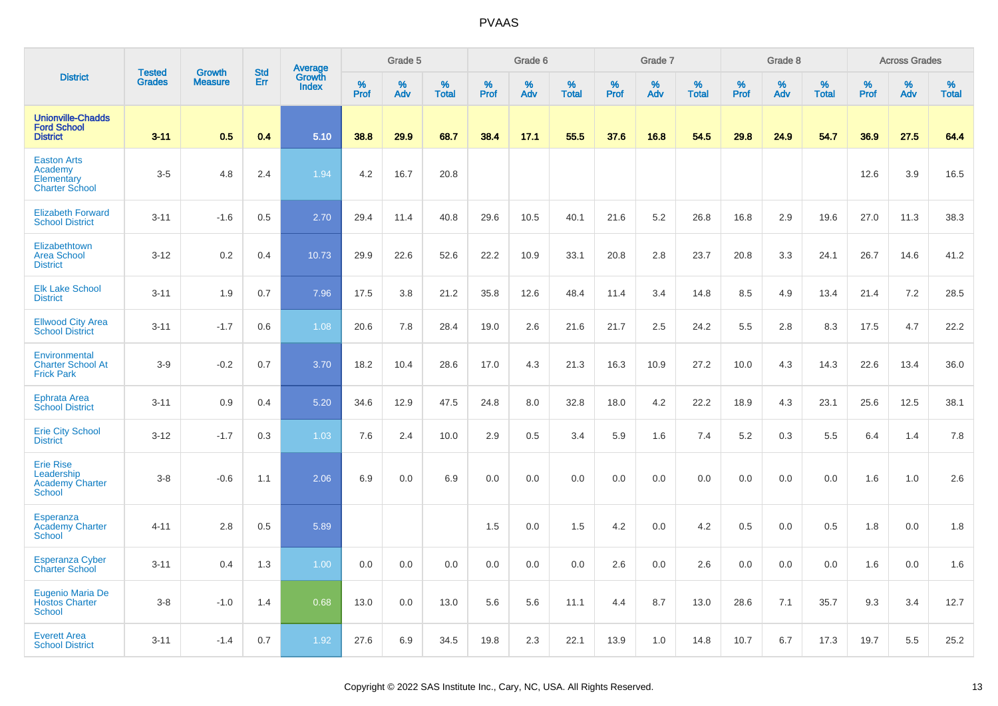|                                                                      | <b>Tested</b> | <b>Growth</b>  | <b>Std</b> | <b>Average</b><br>Growth |           | Grade 5  |                   |           | Grade 6  |                   |           | Grade 7     |                   |           | Grade 8  |                   |           | <b>Across Grades</b> |                   |
|----------------------------------------------------------------------|---------------|----------------|------------|--------------------------|-----------|----------|-------------------|-----------|----------|-------------------|-----------|-------------|-------------------|-----------|----------|-------------------|-----------|----------------------|-------------------|
| <b>District</b>                                                      | <b>Grades</b> | <b>Measure</b> | Err        | <b>Index</b>             | %<br>Prof | %<br>Adv | %<br><b>Total</b> | %<br>Prof | %<br>Adv | %<br><b>Total</b> | %<br>Prof | $\%$<br>Adv | %<br><b>Total</b> | %<br>Prof | %<br>Adv | %<br><b>Total</b> | %<br>Prof | %<br>Adv             | %<br><b>Total</b> |
| <b>Unionville-Chadds</b><br><b>Ford School</b><br><b>District</b>    | $3 - 11$      | 0.5            | 0.4        | 5.10                     | 38.8      | 29.9     | 68.7              | 38.4      | 17.1     | 55.5              | 37.6      | 16.8        | 54.5              | 29.8      | 24.9     | 54.7              | 36.9      | 27.5                 | 64.4              |
| <b>Easton Arts</b><br>Academy<br>Elementary<br><b>Charter School</b> | $3-5$         | 4.8            | 2.4        | 1.94                     | 4.2       | 16.7     | 20.8              |           |          |                   |           |             |                   |           |          |                   | 12.6      | 3.9                  | 16.5              |
| <b>Elizabeth Forward</b><br><b>School District</b>                   | $3 - 11$      | $-1.6$         | 0.5        | 2.70                     | 29.4      | 11.4     | 40.8              | 29.6      | 10.5     | 40.1              | 21.6      | 5.2         | 26.8              | 16.8      | 2.9      | 19.6              | 27.0      | 11.3                 | 38.3              |
| Elizabethtown<br><b>Area School</b><br><b>District</b>               | $3 - 12$      | 0.2            | 0.4        | 10.73                    | 29.9      | 22.6     | 52.6              | 22.2      | 10.9     | 33.1              | 20.8      | 2.8         | 23.7              | 20.8      | 3.3      | 24.1              | 26.7      | 14.6                 | 41.2              |
| <b>Elk Lake School</b><br><b>District</b>                            | $3 - 11$      | 1.9            | 0.7        | 7.96                     | 17.5      | 3.8      | 21.2              | 35.8      | 12.6     | 48.4              | 11.4      | 3.4         | 14.8              | 8.5       | 4.9      | 13.4              | 21.4      | 7.2                  | 28.5              |
| <b>Ellwood City Area</b><br><b>School District</b>                   | $3 - 11$      | $-1.7$         | 0.6        | 1.08                     | 20.6      | 7.8      | 28.4              | 19.0      | 2.6      | 21.6              | 21.7      | 2.5         | 24.2              | 5.5       | 2.8      | 8.3               | 17.5      | 4.7                  | 22.2              |
| Environmental<br><b>Charter School At</b><br><b>Frick Park</b>       | $3-9$         | $-0.2$         | 0.7        | 3.70                     | 18.2      | 10.4     | 28.6              | 17.0      | 4.3      | 21.3              | 16.3      | 10.9        | 27.2              | 10.0      | 4.3      | 14.3              | 22.6      | 13.4                 | 36.0              |
| <b>Ephrata Area</b><br><b>School District</b>                        | $3 - 11$      | 0.9            | 0.4        | 5.20                     | 34.6      | 12.9     | 47.5              | 24.8      | 8.0      | 32.8              | 18.0      | 4.2         | 22.2              | 18.9      | 4.3      | 23.1              | 25.6      | 12.5                 | 38.1              |
| <b>Erie City School</b><br><b>District</b>                           | $3 - 12$      | $-1.7$         | 0.3        | 1.03                     | 7.6       | 2.4      | 10.0              | 2.9       | 0.5      | 3.4               | 5.9       | 1.6         | 7.4               | 5.2       | 0.3      | 5.5               | 6.4       | 1.4                  | 7.8               |
| <b>Erie Rise</b><br>Leadership<br><b>Academy Charter</b><br>School   | $3 - 8$       | $-0.6$         | 1.1        | 2.06                     | 6.9       | 0.0      | 6.9               | 0.0       | 0.0      | 0.0               | 0.0       | 0.0         | 0.0               | 0.0       | 0.0      | 0.0               | 1.6       | 1.0                  | 2.6               |
| Esperanza<br><b>Academy Charter</b><br><b>School</b>                 | $4 - 11$      | 2.8            | 0.5        | 5.89                     |           |          |                   | 1.5       | 0.0      | 1.5               | 4.2       | 0.0         | 4.2               | 0.5       | 0.0      | 0.5               | 1.8       | 0.0                  | 1.8               |
| <b>Esperanza Cyber</b><br><b>Charter School</b>                      | $3 - 11$      | 0.4            | 1.3        | 1.00                     | 0.0       | 0.0      | 0.0               | 0.0       | 0.0      | 0.0               | 2.6       | 0.0         | 2.6               | 0.0       | 0.0      | 0.0               | 1.6       | 0.0                  | 1.6               |
| Eugenio Maria De<br><b>Hostos Charter</b><br><b>School</b>           | $3 - 8$       | $-1.0$         | 1.4        | 0.68                     | 13.0      | 0.0      | 13.0              | 5.6       | 5.6      | 11.1              | 4.4       | 8.7         | 13.0              | 28.6      | 7.1      | 35.7              | 9.3       | 3.4                  | 12.7              |
| <b>Everett Area</b><br><b>School District</b>                        | $3 - 11$      | $-1.4$         | 0.7        | 1.92                     | 27.6      | 6.9      | 34.5              | 19.8      | 2.3      | 22.1              | 13.9      | 1.0         | 14.8              | 10.7      | 6.7      | 17.3              | 19.7      | 5.5                  | 25.2              |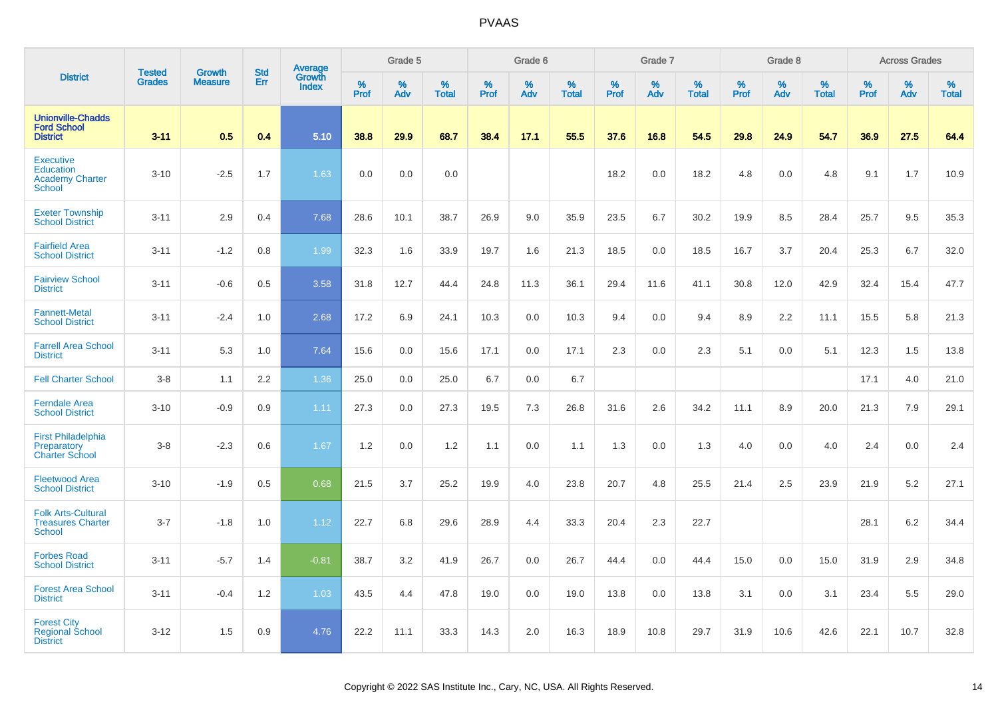|                                                                                 | <b>Tested</b> | <b>Growth</b>  | <b>Std</b> | Average<br>Growth |                     | Grade 5  |                   |                  | Grade 6  |                   |           | Grade 7  |                   |                  | Grade 8  |                   |           | <b>Across Grades</b> |                   |
|---------------------------------------------------------------------------------|---------------|----------------|------------|-------------------|---------------------|----------|-------------------|------------------|----------|-------------------|-----------|----------|-------------------|------------------|----------|-------------------|-----------|----------------------|-------------------|
| <b>District</b>                                                                 | <b>Grades</b> | <b>Measure</b> | Err        | <b>Index</b>      | $\%$<br><b>Prof</b> | %<br>Adv | %<br><b>Total</b> | %<br><b>Prof</b> | %<br>Adv | %<br><b>Total</b> | %<br>Prof | %<br>Adv | %<br><b>Total</b> | %<br><b>Prof</b> | %<br>Adv | %<br><b>Total</b> | %<br>Prof | %<br>Adv             | %<br><b>Total</b> |
| <b>Unionville-Chadds</b><br><b>Ford School</b><br><b>District</b>               | $3 - 11$      | 0.5            | 0.4        | 5.10              | 38.8                | 29.9     | 68.7              | 38.4             | 17.1     | 55.5              | 37.6      | 16.8     | 54.5              | 29.8             | 24.9     | 54.7              | 36.9      | 27.5                 | 64.4              |
| <b>Executive</b><br><b>Education</b><br><b>Academy Charter</b><br><b>School</b> | $3 - 10$      | $-2.5$         | 1.7        | 1.63              | 0.0                 | 0.0      | 0.0               |                  |          |                   | 18.2      | 0.0      | 18.2              | 4.8              | 0.0      | 4.8               | 9.1       | 1.7                  | 10.9              |
| <b>Exeter Township</b><br><b>School District</b>                                | $3 - 11$      | 2.9            | 0.4        | 7.68              | 28.6                | 10.1     | 38.7              | 26.9             | 9.0      | 35.9              | 23.5      | 6.7      | 30.2              | 19.9             | 8.5      | 28.4              | 25.7      | 9.5                  | 35.3              |
| <b>Fairfield Area</b><br><b>School District</b>                                 | $3 - 11$      | $-1.2$         | 0.8        | 1.99              | 32.3                | 1.6      | 33.9              | 19.7             | 1.6      | 21.3              | 18.5      | 0.0      | 18.5              | 16.7             | 3.7      | 20.4              | 25.3      | 6.7                  | 32.0              |
| <b>Fairview School</b><br><b>District</b>                                       | $3 - 11$      | $-0.6$         | 0.5        | 3.58              | 31.8                | 12.7     | 44.4              | 24.8             | 11.3     | 36.1              | 29.4      | 11.6     | 41.1              | 30.8             | 12.0     | 42.9              | 32.4      | 15.4                 | 47.7              |
| <b>Fannett-Metal</b><br><b>School District</b>                                  | $3 - 11$      | $-2.4$         | 1.0        | 2.68              | 17.2                | 6.9      | 24.1              | 10.3             | 0.0      | 10.3              | 9.4       | 0.0      | 9.4               | 8.9              | 2.2      | 11.1              | 15.5      | 5.8                  | 21.3              |
| <b>Farrell Area School</b><br><b>District</b>                                   | $3 - 11$      | 5.3            | 1.0        | 7.64              | 15.6                | 0.0      | 15.6              | 17.1             | 0.0      | 17.1              | 2.3       | 0.0      | 2.3               | 5.1              | 0.0      | 5.1               | 12.3      | 1.5                  | 13.8              |
| <b>Fell Charter School</b>                                                      | $3-8$         | 1.1            | 2.2        | 1.36              | 25.0                | 0.0      | 25.0              | 6.7              | 0.0      | 6.7               |           |          |                   |                  |          |                   | 17.1      | 4.0                  | 21.0              |
| <b>Ferndale Area</b><br><b>School District</b>                                  | $3 - 10$      | $-0.9$         | 0.9        | 1.11              | 27.3                | 0.0      | 27.3              | 19.5             | 7.3      | 26.8              | 31.6      | 2.6      | 34.2              | 11.1             | 8.9      | 20.0              | 21.3      | 7.9                  | 29.1              |
| <b>First Philadelphia</b><br>Preparatory<br><b>Charter School</b>               | $3-8$         | $-2.3$         | 0.6        | 1.67              | 1.2                 | 0.0      | 1.2               | 1.1              | 0.0      | 1.1               | 1.3       | 0.0      | 1.3               | 4.0              | 0.0      | 4.0               | 2.4       | 0.0                  | 2.4               |
| <b>Fleetwood Area</b><br><b>School District</b>                                 | $3 - 10$      | $-1.9$         | 0.5        | 0.68              | 21.5                | 3.7      | 25.2              | 19.9             | 4.0      | 23.8              | 20.7      | 4.8      | 25.5              | 21.4             | 2.5      | 23.9              | 21.9      | 5.2                  | 27.1              |
| <b>Folk Arts-Cultural</b><br><b>Treasures Charter</b><br>School                 | $3 - 7$       | $-1.8$         | 1.0        | 1.12              | 22.7                | 6.8      | 29.6              | 28.9             | 4.4      | 33.3              | 20.4      | 2.3      | 22.7              |                  |          |                   | 28.1      | $6.2\,$              | 34.4              |
| <b>Forbes Road</b><br><b>School District</b>                                    | $3 - 11$      | $-5.7$         | 1.4        | $-0.81$           | 38.7                | 3.2      | 41.9              | 26.7             | 0.0      | 26.7              | 44.4      | 0.0      | 44.4              | 15.0             | 0.0      | 15.0              | 31.9      | 2.9                  | 34.8              |
| <b>Forest Area School</b><br><b>District</b>                                    | $3 - 11$      | $-0.4$         | 1.2        | 1.03              | 43.5                | 4.4      | 47.8              | 19.0             | 0.0      | 19.0              | 13.8      | 0.0      | 13.8              | 3.1              | 0.0      | 3.1               | 23.4      | 5.5                  | 29.0              |
| <b>Forest City</b><br><b>Regional School</b><br><b>District</b>                 | $3 - 12$      | 1.5            | 0.9        | 4.76              | 22.2                | 11.1     | 33.3              | 14.3             | 2.0      | 16.3              | 18.9      | 10.8     | 29.7              | 31.9             | 10.6     | 42.6              | 22.1      | 10.7                 | 32.8              |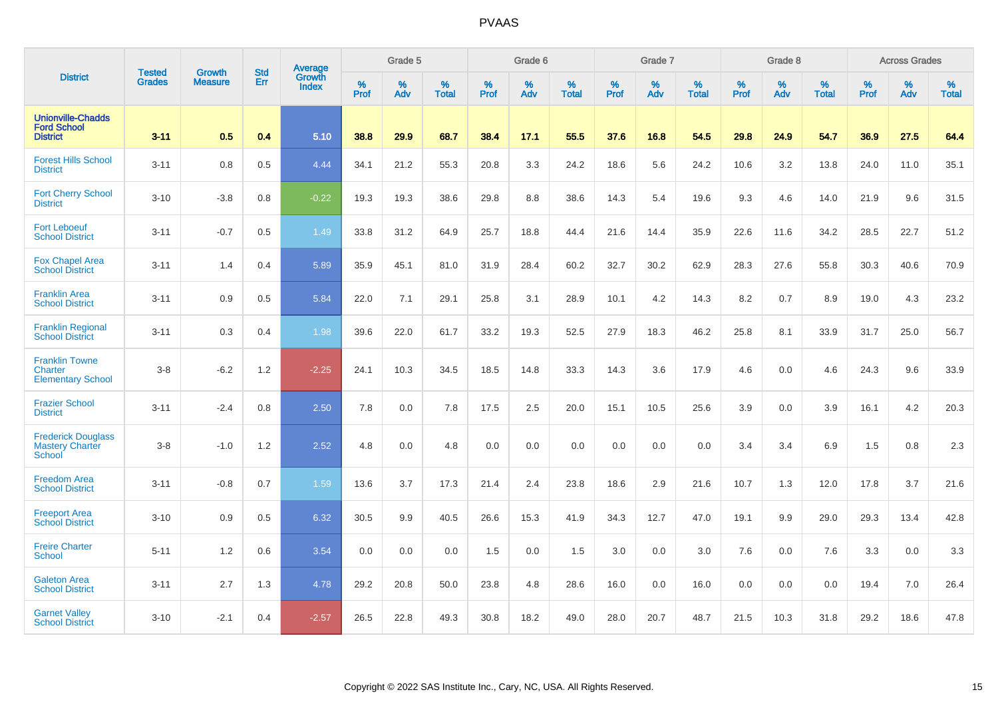|                                                                   | <b>Tested</b> | <b>Growth</b>  | <b>Std</b> | Average                       |              | Grade 5  |                   |           | Grade 6  |                   |           | Grade 7  |                   |           | Grade 8  |                   |           | <b>Across Grades</b> |                   |
|-------------------------------------------------------------------|---------------|----------------|------------|-------------------------------|--------------|----------|-------------------|-----------|----------|-------------------|-----------|----------|-------------------|-----------|----------|-------------------|-----------|----------------------|-------------------|
| <b>District</b>                                                   | <b>Grades</b> | <b>Measure</b> | Err        | <b>Growth</b><br><b>Index</b> | $\%$<br>Prof | %<br>Adv | %<br><b>Total</b> | %<br>Prof | %<br>Adv | %<br><b>Total</b> | %<br>Prof | %<br>Adv | %<br><b>Total</b> | %<br>Prof | %<br>Adv | %<br><b>Total</b> | %<br>Prof | %<br>Adv             | %<br><b>Total</b> |
| <b>Unionville-Chadds</b><br><b>Ford School</b><br><b>District</b> | $3 - 11$      | 0.5            | 0.4        | 5.10                          | 38.8         | 29.9     | 68.7              | 38.4      | 17.1     | 55.5              | 37.6      | 16.8     | 54.5              | 29.8      | 24.9     | 54.7              | 36.9      | 27.5                 | 64.4              |
| <b>Forest Hills School</b><br><b>District</b>                     | $3 - 11$      | 0.8            | 0.5        | 4.44                          | 34.1         | 21.2     | 55.3              | 20.8      | 3.3      | 24.2              | 18.6      | 5.6      | 24.2              | 10.6      | 3.2      | 13.8              | 24.0      | 11.0                 | 35.1              |
| <b>Fort Cherry School</b><br><b>District</b>                      | $3 - 10$      | $-3.8$         | 0.8        | $-0.22$                       | 19.3         | 19.3     | 38.6              | 29.8      | 8.8      | 38.6              | 14.3      | 5.4      | 19.6              | 9.3       | 4.6      | 14.0              | 21.9      | 9.6                  | 31.5              |
| <b>Fort Leboeuf</b><br><b>School District</b>                     | $3 - 11$      | $-0.7$         | 0.5        | 1.49                          | 33.8         | 31.2     | 64.9              | 25.7      | 18.8     | 44.4              | 21.6      | 14.4     | 35.9              | 22.6      | 11.6     | 34.2              | 28.5      | 22.7                 | 51.2              |
| <b>Fox Chapel Area</b><br><b>School District</b>                  | $3 - 11$      | 1.4            | 0.4        | 5.89                          | 35.9         | 45.1     | 81.0              | 31.9      | 28.4     | 60.2              | 32.7      | 30.2     | 62.9              | 28.3      | 27.6     | 55.8              | 30.3      | 40.6                 | 70.9              |
| <b>Franklin Area</b><br><b>School District</b>                    | $3 - 11$      | 0.9            | 0.5        | 5.84                          | 22.0         | 7.1      | 29.1              | 25.8      | 3.1      | 28.9              | 10.1      | 4.2      | 14.3              | 8.2       | 0.7      | 8.9               | 19.0      | 4.3                  | 23.2              |
| <b>Franklin Regional</b><br><b>School District</b>                | $3 - 11$      | 0.3            | 0.4        | 1.98                          | 39.6         | 22.0     | 61.7              | 33.2      | 19.3     | 52.5              | 27.9      | 18.3     | 46.2              | 25.8      | 8.1      | 33.9              | 31.7      | 25.0                 | 56.7              |
| <b>Franklin Towne</b><br>Charter<br><b>Elementary School</b>      | $3-8$         | $-6.2$         | 1.2        | $-2.25$                       | 24.1         | 10.3     | 34.5              | 18.5      | 14.8     | 33.3              | 14.3      | 3.6      | 17.9              | 4.6       | 0.0      | 4.6               | 24.3      | 9.6                  | 33.9              |
| <b>Frazier School</b><br><b>District</b>                          | $3 - 11$      | $-2.4$         | 0.8        | 2.50                          | 7.8          | 0.0      | 7.8               | 17.5      | 2.5      | 20.0              | 15.1      | 10.5     | 25.6              | 3.9       | 0.0      | 3.9               | 16.1      | 4.2                  | 20.3              |
| <b>Frederick Douglass</b><br><b>Mastery Charter</b><br>School     | $3-8$         | $-1.0$         | 1.2        | 2.52                          | 4.8          | 0.0      | 4.8               | 0.0       | 0.0      | 0.0               | 0.0       | 0.0      | 0.0               | 3.4       | 3.4      | 6.9               | 1.5       | 0.8                  | 2.3               |
| <b>Freedom Area</b><br><b>School District</b>                     | $3 - 11$      | $-0.8$         | 0.7        | 1.59                          | 13.6         | 3.7      | 17.3              | 21.4      | 2.4      | 23.8              | 18.6      | 2.9      | 21.6              | 10.7      | 1.3      | 12.0              | 17.8      | 3.7                  | 21.6              |
| <b>Freeport Area</b><br><b>School District</b>                    | $3 - 10$      | 0.9            | 0.5        | 6.32                          | 30.5         | 9.9      | 40.5              | 26.6      | 15.3     | 41.9              | 34.3      | 12.7     | 47.0              | 19.1      | 9.9      | 29.0              | 29.3      | 13.4                 | 42.8              |
| <b>Freire Charter</b><br>School                                   | $5 - 11$      | 1.2            | 0.6        | 3.54                          | 0.0          | 0.0      | 0.0               | 1.5       | 0.0      | 1.5               | 3.0       | 0.0      | 3.0               | 7.6       | 0.0      | 7.6               | 3.3       | 0.0                  | 3.3               |
| <b>Galeton Area</b><br><b>School District</b>                     | $3 - 11$      | 2.7            | 1.3        | 4.78                          | 29.2         | 20.8     | 50.0              | 23.8      | 4.8      | 28.6              | 16.0      | 0.0      | 16.0              | 0.0       | 0.0      | 0.0               | 19.4      | 7.0                  | 26.4              |
| <b>Garnet Valley</b><br><b>School District</b>                    | $3 - 10$      | $-2.1$         | 0.4        | $-2.57$                       | 26.5         | 22.8     | 49.3              | 30.8      | 18.2     | 49.0              | 28.0      | 20.7     | 48.7              | 21.5      | 10.3     | 31.8              | 29.2      | 18.6                 | 47.8              |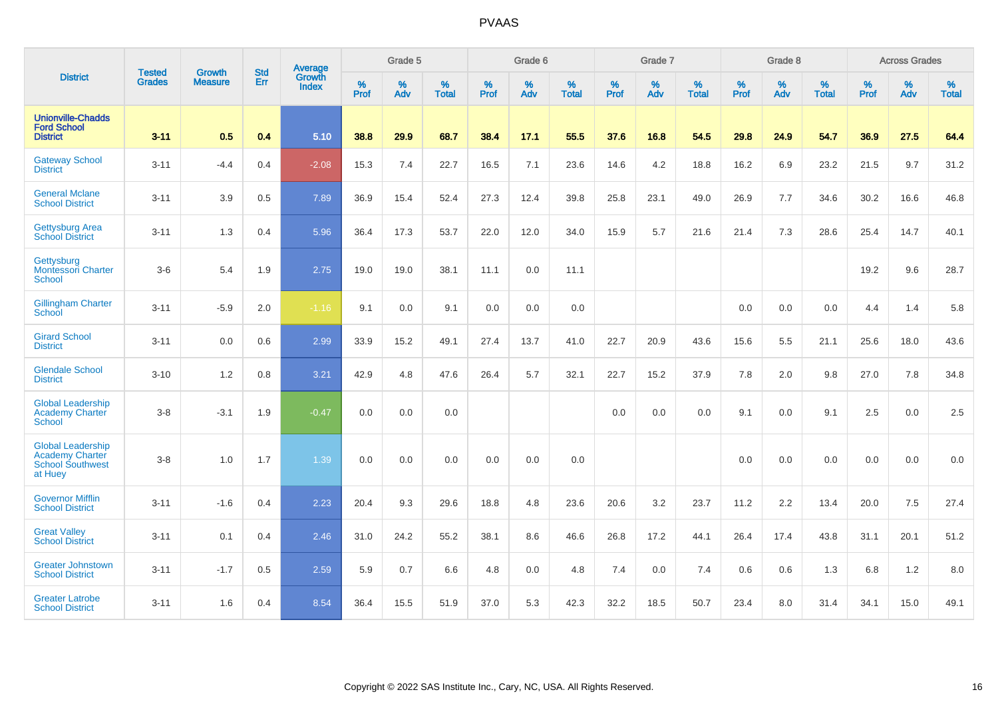|                                                                                          |                                | <b>Growth</b>  | <b>Std</b> | Average                |                     | Grade 5  |                   |                     | Grade 6  |                   |                     | Grade 7  |                   |                     | Grade 8  |                   |                     | <b>Across Grades</b> |                   |
|------------------------------------------------------------------------------------------|--------------------------------|----------------|------------|------------------------|---------------------|----------|-------------------|---------------------|----------|-------------------|---------------------|----------|-------------------|---------------------|----------|-------------------|---------------------|----------------------|-------------------|
| <b>District</b>                                                                          | <b>Tested</b><br><b>Grades</b> | <b>Measure</b> | Err        | Growth<br><b>Index</b> | $\%$<br><b>Prof</b> | %<br>Adv | %<br><b>Total</b> | $\%$<br><b>Prof</b> | %<br>Adv | %<br><b>Total</b> | $\%$<br><b>Prof</b> | %<br>Adv | %<br><b>Total</b> | $\%$<br><b>Prof</b> | %<br>Adv | %<br><b>Total</b> | $\%$<br><b>Prof</b> | %<br>Adv             | %<br><b>Total</b> |
| <b>Unionville-Chadds</b><br><b>Ford School</b><br><b>District</b>                        | $3 - 11$                       | 0.5            | 0.4        | 5.10                   | 38.8                | 29.9     | 68.7              | 38.4                | 17.1     | 55.5              | 37.6                | 16.8     | 54.5              | 29.8                | 24.9     | 54.7              | 36.9                | 27.5                 | 64.4              |
| <b>Gateway School</b><br><b>District</b>                                                 | $3 - 11$                       | $-4.4$         | 0.4        | $-2.08$                | 15.3                | 7.4      | 22.7              | 16.5                | 7.1      | 23.6              | 14.6                | 4.2      | 18.8              | 16.2                | 6.9      | 23.2              | 21.5                | 9.7                  | 31.2              |
| <b>General Mclane</b><br><b>School District</b>                                          | $3 - 11$                       | 3.9            | 0.5        | 7.89                   | 36.9                | 15.4     | 52.4              | 27.3                | 12.4     | 39.8              | 25.8                | 23.1     | 49.0              | 26.9                | 7.7      | 34.6              | 30.2                | 16.6                 | 46.8              |
| <b>Gettysburg Area</b><br><b>School District</b>                                         | $3 - 11$                       | 1.3            | 0.4        | 5.96                   | 36.4                | 17.3     | 53.7              | 22.0                | 12.0     | 34.0              | 15.9                | 5.7      | 21.6              | 21.4                | 7.3      | 28.6              | 25.4                | 14.7                 | 40.1              |
| Gettysburg<br>Montessori Charter<br><b>School</b>                                        | $3-6$                          | 5.4            | 1.9        | 2.75                   | 19.0                | 19.0     | 38.1              | 11.1                | 0.0      | 11.1              |                     |          |                   |                     |          |                   | 19.2                | 9.6                  | 28.7              |
| <b>Gillingham Charter</b><br><b>School</b>                                               | $3 - 11$                       | $-5.9$         | 2.0        | $-1.16$                | 9.1                 | 0.0      | 9.1               | 0.0                 | 0.0      | 0.0               |                     |          |                   | 0.0                 | 0.0      | 0.0               | 4.4                 | 1.4                  | 5.8               |
| <b>Girard School</b><br><b>District</b>                                                  | $3 - 11$                       | 0.0            | 0.6        | 2.99                   | 33.9                | 15.2     | 49.1              | 27.4                | 13.7     | 41.0              | 22.7                | 20.9     | 43.6              | 15.6                | 5.5      | 21.1              | 25.6                | 18.0                 | 43.6              |
| <b>Glendale School</b><br><b>District</b>                                                | $3 - 10$                       | 1.2            | 0.8        | 3.21                   | 42.9                | 4.8      | 47.6              | 26.4                | 5.7      | 32.1              | 22.7                | 15.2     | 37.9              | 7.8                 | 2.0      | 9.8               | 27.0                | 7.8                  | 34.8              |
| <b>Global Leadership</b><br><b>Academy Charter</b><br><b>School</b>                      | $3-8$                          | $-3.1$         | 1.9        | $-0.47$                | 0.0                 | 0.0      | 0.0               |                     |          |                   | 0.0                 | 0.0      | 0.0               | 9.1                 | 0.0      | 9.1               | 2.5                 | 0.0                  | 2.5               |
| <b>Global Leadership</b><br><b>Academy Charter</b><br><b>School Southwest</b><br>at Huey | $3-8$                          | 1.0            | 1.7        | 1.39                   | 0.0                 | 0.0      | 0.0               | 0.0                 | 0.0      | 0.0               |                     |          |                   | 0.0                 | 0.0      | 0.0               | 0.0                 | 0.0                  | 0.0               |
| <b>Governor Mifflin</b><br><b>School District</b>                                        | $3 - 11$                       | $-1.6$         | 0.4        | 2.23                   | 20.4                | 9.3      | 29.6              | 18.8                | 4.8      | 23.6              | 20.6                | 3.2      | 23.7              | 11.2                | 2.2      | 13.4              | 20.0                | 7.5                  | 27.4              |
| <b>Great Valley</b><br><b>School District</b>                                            | $3 - 11$                       | 0.1            | 0.4        | 2.46                   | 31.0                | 24.2     | 55.2              | 38.1                | 8.6      | 46.6              | 26.8                | 17.2     | 44.1              | 26.4                | 17.4     | 43.8              | 31.1                | 20.1                 | 51.2              |
| <b>Greater Johnstown</b><br><b>School District</b>                                       | $3 - 11$                       | $-1.7$         | 0.5        | 2.59                   | 5.9                 | 0.7      | 6.6               | 4.8                 | 0.0      | 4.8               | 7.4                 | 0.0      | 7.4               | 0.6                 | 0.6      | 1.3               | 6.8                 | 1.2                  | 8.0               |
| <b>Greater Latrobe</b><br><b>School District</b>                                         | $3 - 11$                       | 1.6            | 0.4        | 8.54                   | 36.4                | 15.5     | 51.9              | 37.0                | 5.3      | 42.3              | 32.2                | 18.5     | 50.7              | 23.4                | 8.0      | 31.4              | 34.1                | 15.0                 | 49.1              |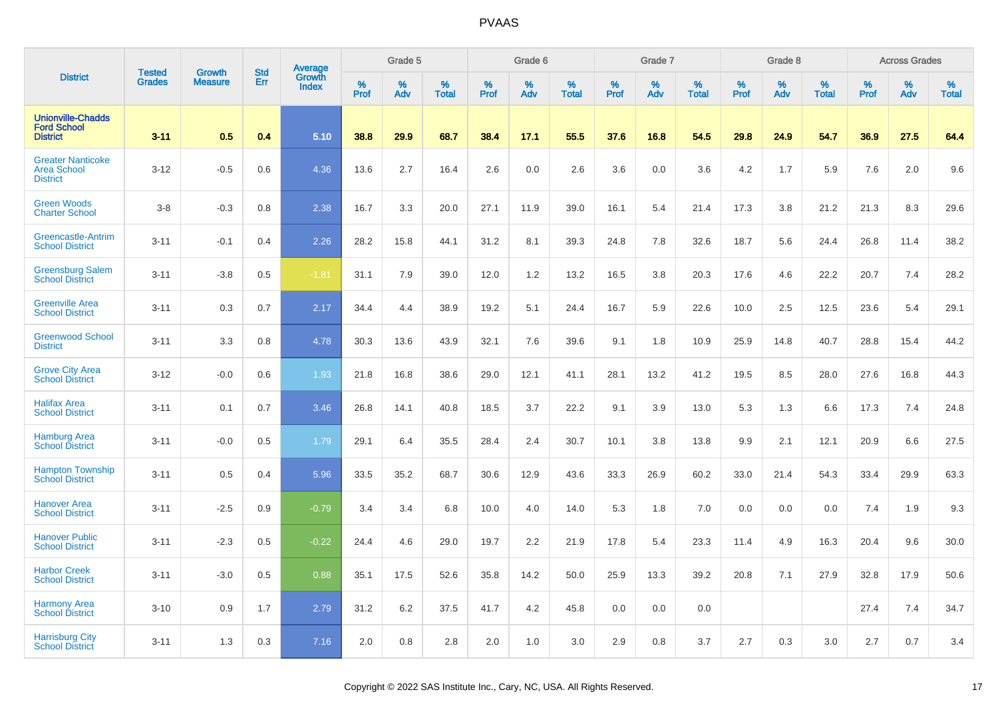|                                                                   | <b>Tested</b> | <b>Growth</b>  | <b>Std</b> | Average                |           | Grade 5  |                   |           | Grade 6  |                   |           | Grade 7  |                   |           | Grade 8  |                   |           | <b>Across Grades</b> |                   |
|-------------------------------------------------------------------|---------------|----------------|------------|------------------------|-----------|----------|-------------------|-----------|----------|-------------------|-----------|----------|-------------------|-----------|----------|-------------------|-----------|----------------------|-------------------|
| <b>District</b>                                                   | <b>Grades</b> | <b>Measure</b> | Err        | Growth<br><b>Index</b> | %<br>Prof | %<br>Adv | %<br><b>Total</b> | %<br>Prof | %<br>Adv | %<br><b>Total</b> | %<br>Prof | %<br>Adv | %<br><b>Total</b> | %<br>Prof | %<br>Adv | %<br><b>Total</b> | %<br>Prof | %<br>Adv             | %<br><b>Total</b> |
| <b>Unionville-Chadds</b><br><b>Ford School</b><br><b>District</b> | $3 - 11$      | 0.5            | 0.4        | 5.10                   | 38.8      | 29.9     | 68.7              | 38.4      | 17.1     | 55.5              | 37.6      | 16.8     | 54.5              | 29.8      | 24.9     | 54.7              | 36.9      | 27.5                 | 64.4              |
| <b>Greater Nanticoke</b><br><b>Area School</b><br><b>District</b> | $3 - 12$      | $-0.5$         | 0.6        | 4.36                   | 13.6      | 2.7      | 16.4              | 2.6       | 0.0      | 2.6               | 3.6       | 0.0      | 3.6               | 4.2       | 1.7      | 5.9               | 7.6       | 2.0                  | 9.6               |
| <b>Green Woods</b><br><b>Charter School</b>                       | $3-8$         | $-0.3$         | 0.8        | 2.38                   | 16.7      | 3.3      | 20.0              | 27.1      | 11.9     | 39.0              | 16.1      | 5.4      | 21.4              | 17.3      | 3.8      | 21.2              | 21.3      | 8.3                  | 29.6              |
| Greencastle-Antrim<br><b>School District</b>                      | $3 - 11$      | $-0.1$         | 0.4        | 2.26                   | 28.2      | 15.8     | 44.1              | 31.2      | 8.1      | 39.3              | 24.8      | 7.8      | 32.6              | 18.7      | 5.6      | 24.4              | 26.8      | 11.4                 | 38.2              |
| <b>Greensburg Salem</b><br><b>School District</b>                 | $3 - 11$      | $-3.8$         | 0.5        | $-1.81$                | 31.1      | 7.9      | 39.0              | 12.0      | 1.2      | 13.2              | 16.5      | 3.8      | 20.3              | 17.6      | 4.6      | 22.2              | 20.7      | 7.4                  | 28.2              |
| <b>Greenville Area</b><br><b>School District</b>                  | $3 - 11$      | 0.3            | 0.7        | 2.17                   | 34.4      | 4.4      | 38.9              | 19.2      | 5.1      | 24.4              | 16.7      | 5.9      | 22.6              | 10.0      | 2.5      | 12.5              | 23.6      | 5.4                  | 29.1              |
| <b>Greenwood School</b><br><b>District</b>                        | $3 - 11$      | 3.3            | 0.8        | 4.78                   | 30.3      | 13.6     | 43.9              | 32.1      | 7.6      | 39.6              | 9.1       | 1.8      | 10.9              | 25.9      | 14.8     | 40.7              | 28.8      | 15.4                 | 44.2              |
| <b>Grove City Area</b><br><b>School District</b>                  | $3 - 12$      | $-0.0$         | 0.6        | 1.93                   | 21.8      | 16.8     | 38.6              | 29.0      | 12.1     | 41.1              | 28.1      | 13.2     | 41.2              | 19.5      | 8.5      | 28.0              | 27.6      | 16.8                 | 44.3              |
| <b>Halifax Area</b><br><b>School District</b>                     | $3 - 11$      | 0.1            | 0.7        | 3.46                   | 26.8      | 14.1     | 40.8              | 18.5      | 3.7      | 22.2              | 9.1       | 3.9      | 13.0              | 5.3       | 1.3      | 6.6               | 17.3      | 7.4                  | 24.8              |
| <b>Hamburg Area</b><br><b>School District</b>                     | $3 - 11$      | $-0.0$         | 0.5        | 1.79                   | 29.1      | 6.4      | 35.5              | 28.4      | 2.4      | 30.7              | 10.1      | 3.8      | 13.8              | 9.9       | 2.1      | 12.1              | 20.9      | 6.6                  | 27.5              |
| <b>Hampton Township</b><br><b>School District</b>                 | $3 - 11$      | 0.5            | 0.4        | 5.96                   | 33.5      | 35.2     | 68.7              | 30.6      | 12.9     | 43.6              | 33.3      | 26.9     | 60.2              | 33.0      | 21.4     | 54.3              | 33.4      | 29.9                 | 63.3              |
| <b>Hanover Area</b><br><b>School District</b>                     | $3 - 11$      | $-2.5$         | 0.9        | $-0.79$                | 3.4       | 3.4      | 6.8               | 10.0      | 4.0      | 14.0              | 5.3       | 1.8      | 7.0               | 0.0       | 0.0      | 0.0               | 7.4       | 1.9                  | 9.3               |
| <b>Hanover Public</b><br><b>School District</b>                   | $3 - 11$      | $-2.3$         | 0.5        | $-0.22$                | 24.4      | 4.6      | 29.0              | 19.7      | 2.2      | 21.9              | 17.8      | 5.4      | 23.3              | 11.4      | 4.9      | 16.3              | 20.4      | 9.6                  | 30.0              |
| <b>Harbor Creek</b><br><b>School District</b>                     | $3 - 11$      | $-3.0$         | 0.5        | 0.88                   | 35.1      | 17.5     | 52.6              | 35.8      | 14.2     | 50.0              | 25.9      | 13.3     | 39.2              | 20.8      | 7.1      | 27.9              | 32.8      | 17.9                 | 50.6              |
| <b>Harmony Area</b><br><b>School District</b>                     | $3 - 10$      | 0.9            | 1.7        | 2.79                   | 31.2      | 6.2      | 37.5              | 41.7      | 4.2      | 45.8              | 0.0       | 0.0      | 0.0               |           |          |                   | 27.4      | 7.4                  | 34.7              |
| <b>Harrisburg City</b><br><b>School District</b>                  | $3 - 11$      | 1.3            | 0.3        | 7.16                   | 2.0       | 0.8      | 2.8               | 2.0       | 1.0      | 3.0               | 2.9       | 0.8      | 3.7               | 2.7       | 0.3      | 3.0               | 2.7       | 0.7                  | 3.4               |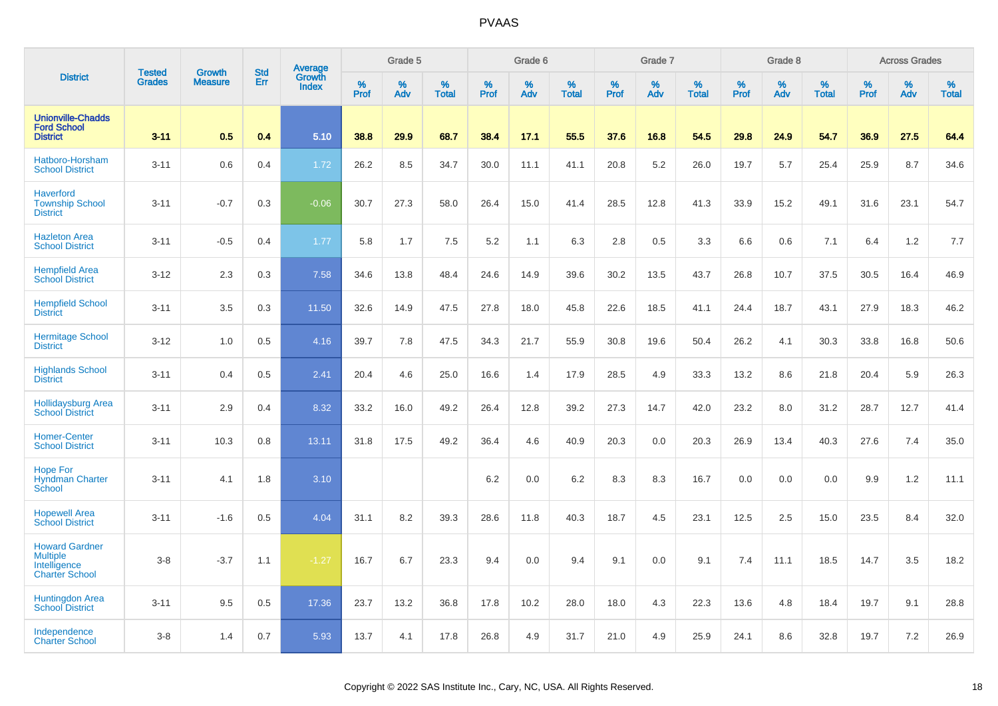|                                                                                   | <b>Tested</b> | <b>Growth</b>  | <b>Std</b> | Average                |                     | Grade 5  |                   |                  | Grade 6  |                   |                  | Grade 7  |                   |           | Grade 8  |                   |           | <b>Across Grades</b> |                   |
|-----------------------------------------------------------------------------------|---------------|----------------|------------|------------------------|---------------------|----------|-------------------|------------------|----------|-------------------|------------------|----------|-------------------|-----------|----------|-------------------|-----------|----------------------|-------------------|
| <b>District</b>                                                                   | <b>Grades</b> | <b>Measure</b> | Err        | Growth<br><b>Index</b> | $\%$<br><b>Prof</b> | %<br>Adv | %<br><b>Total</b> | %<br><b>Prof</b> | %<br>Adv | %<br><b>Total</b> | %<br><b>Prof</b> | %<br>Adv | %<br><b>Total</b> | %<br>Prof | %<br>Adv | %<br><b>Total</b> | %<br>Prof | %<br>Adv             | %<br><b>Total</b> |
| <b>Unionville-Chadds</b><br><b>Ford School</b><br><b>District</b>                 | $3 - 11$      | 0.5            | 0.4        | 5.10                   | 38.8                | 29.9     | 68.7              | 38.4             | 17.1     | 55.5              | 37.6             | 16.8     | 54.5              | 29.8      | 24.9     | 54.7              | 36.9      | 27.5                 | 64.4              |
| Hatboro-Horsham<br><b>School District</b>                                         | $3 - 11$      | 0.6            | 0.4        | 1.72                   | 26.2                | 8.5      | 34.7              | 30.0             | 11.1     | 41.1              | 20.8             | 5.2      | 26.0              | 19.7      | 5.7      | 25.4              | 25.9      | 8.7                  | 34.6              |
| <b>Haverford</b><br><b>Township School</b><br><b>District</b>                     | $3 - 11$      | $-0.7$         | 0.3        | $-0.06$                | 30.7                | 27.3     | 58.0              | 26.4             | 15.0     | 41.4              | 28.5             | 12.8     | 41.3              | 33.9      | 15.2     | 49.1              | 31.6      | 23.1                 | 54.7              |
| <b>Hazleton Area</b><br><b>School District</b>                                    | $3 - 11$      | $-0.5$         | 0.4        | 1.77                   | 5.8                 | 1.7      | 7.5               | 5.2              | 1.1      | 6.3               | 2.8              | 0.5      | 3.3               | 6.6       | 0.6      | 7.1               | 6.4       | 1.2                  | 7.7               |
| <b>Hempfield Area</b><br><b>School District</b>                                   | $3 - 12$      | 2.3            | 0.3        | 7.58                   | 34.6                | 13.8     | 48.4              | 24.6             | 14.9     | 39.6              | 30.2             | 13.5     | 43.7              | 26.8      | 10.7     | 37.5              | 30.5      | 16.4                 | 46.9              |
| <b>Hempfield School</b><br><b>District</b>                                        | $3 - 11$      | 3.5            | 0.3        | 11.50                  | 32.6                | 14.9     | 47.5              | 27.8             | 18.0     | 45.8              | 22.6             | 18.5     | 41.1              | 24.4      | 18.7     | 43.1              | 27.9      | 18.3                 | 46.2              |
| <b>Hermitage School</b><br><b>District</b>                                        | $3 - 12$      | 1.0            | 0.5        | 4.16                   | 39.7                | 7.8      | 47.5              | 34.3             | 21.7     | 55.9              | 30.8             | 19.6     | 50.4              | 26.2      | 4.1      | 30.3              | 33.8      | 16.8                 | 50.6              |
| <b>Highlands School</b><br><b>District</b>                                        | $3 - 11$      | 0.4            | 0.5        | 2.41                   | 20.4                | 4.6      | 25.0              | 16.6             | 1.4      | 17.9              | 28.5             | 4.9      | 33.3              | 13.2      | 8.6      | 21.8              | 20.4      | 5.9                  | 26.3              |
| <b>Hollidaysburg Area</b><br><b>School District</b>                               | $3 - 11$      | 2.9            | 0.4        | 8.32                   | 33.2                | 16.0     | 49.2              | 26.4             | 12.8     | 39.2              | 27.3             | 14.7     | 42.0              | 23.2      | 8.0      | 31.2              | 28.7      | 12.7                 | 41.4              |
| <b>Homer-Center</b><br><b>School District</b>                                     | $3 - 11$      | 10.3           | 0.8        | 13.11                  | 31.8                | 17.5     | 49.2              | 36.4             | 4.6      | 40.9              | 20.3             | 0.0      | 20.3              | 26.9      | 13.4     | 40.3              | 27.6      | 7.4                  | 35.0              |
| <b>Hope For</b><br><b>Hyndman Charter</b><br>School                               | $3 - 11$      | 4.1            | 1.8        | 3.10                   |                     |          |                   | 6.2              | 0.0      | 6.2               | 8.3              | 8.3      | 16.7              | 0.0       | 0.0      | 0.0               | 9.9       | 1.2                  | 11.1              |
| <b>Hopewell Area</b><br><b>School District</b>                                    | $3 - 11$      | $-1.6$         | 0.5        | 4.04                   | 31.1                | 8.2      | 39.3              | 28.6             | 11.8     | 40.3              | 18.7             | 4.5      | 23.1              | 12.5      | 2.5      | 15.0              | 23.5      | 8.4                  | 32.0              |
| <b>Howard Gardner</b><br><b>Multiple</b><br>Intelligence<br><b>Charter School</b> | $3 - 8$       | $-3.7$         | 1.1        | $-1.27$                | 16.7                | 6.7      | 23.3              | 9.4              | 0.0      | 9.4               | 9.1              | 0.0      | 9.1               | 7.4       | 11.1     | 18.5              | 14.7      | 3.5                  | 18.2              |
| <b>Huntingdon Area</b><br><b>School District</b>                                  | $3 - 11$      | 9.5            | 0.5        | 17.36                  | 23.7                | 13.2     | 36.8              | 17.8             | 10.2     | 28.0              | 18.0             | 4.3      | 22.3              | 13.6      | 4.8      | 18.4              | 19.7      | 9.1                  | 28.8              |
| Independence<br><b>Charter School</b>                                             | $3 - 8$       | 1.4            | 0.7        | 5.93                   | 13.7                | 4.1      | 17.8              | 26.8             | 4.9      | 31.7              | 21.0             | 4.9      | 25.9              | 24.1      | 8.6      | 32.8              | 19.7      | 7.2                  | 26.9              |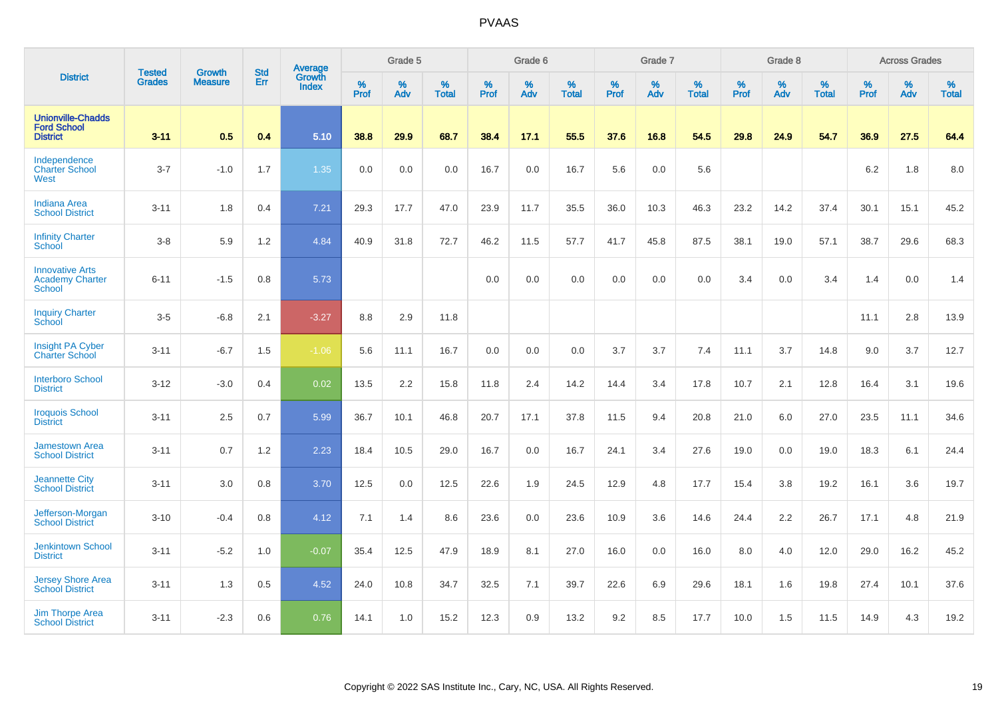|                                                                   | <b>Tested</b> | <b>Growth</b>  | <b>Std</b> | Average                       |              | Grade 5  |                   |           | Grade 6  |                   |           | Grade 7  |                   |           | Grade 8  |                   |           | <b>Across Grades</b> |                   |
|-------------------------------------------------------------------|---------------|----------------|------------|-------------------------------|--------------|----------|-------------------|-----------|----------|-------------------|-----------|----------|-------------------|-----------|----------|-------------------|-----------|----------------------|-------------------|
| <b>District</b>                                                   | <b>Grades</b> | <b>Measure</b> | Err        | <b>Growth</b><br><b>Index</b> | $\%$<br>Prof | %<br>Adv | %<br><b>Total</b> | %<br>Prof | %<br>Adv | %<br><b>Total</b> | %<br>Prof | %<br>Adv | %<br><b>Total</b> | %<br>Prof | %<br>Adv | %<br><b>Total</b> | %<br>Prof | %<br>Adv             | %<br><b>Total</b> |
| <b>Unionville-Chadds</b><br><b>Ford School</b><br><b>District</b> | $3 - 11$      | 0.5            | 0.4        | 5.10                          | 38.8         | 29.9     | 68.7              | 38.4      | 17.1     | 55.5              | 37.6      | 16.8     | 54.5              | 29.8      | 24.9     | 54.7              | 36.9      | 27.5                 | 64.4              |
| Independence<br><b>Charter School</b><br>West                     | $3 - 7$       | $-1.0$         | 1.7        | 1.35                          | 0.0          | 0.0      | 0.0               | 16.7      | 0.0      | 16.7              | 5.6       | 0.0      | 5.6               |           |          |                   | 6.2       | 1.8                  | 8.0               |
| <b>Indiana Area</b><br><b>School District</b>                     | $3 - 11$      | 1.8            | 0.4        | 7.21                          | 29.3         | 17.7     | 47.0              | 23.9      | 11.7     | 35.5              | 36.0      | 10.3     | 46.3              | 23.2      | 14.2     | 37.4              | 30.1      | 15.1                 | 45.2              |
| <b>Infinity Charter</b><br>School                                 | $3-8$         | 5.9            | 1.2        | 4.84                          | 40.9         | 31.8     | 72.7              | 46.2      | 11.5     | 57.7              | 41.7      | 45.8     | 87.5              | 38.1      | 19.0     | 57.1              | 38.7      | 29.6                 | 68.3              |
| <b>Innovative Arts</b><br><b>Academy Charter</b><br><b>School</b> | $6 - 11$      | $-1.5$         | 0.8        | 5.73                          |              |          |                   | 0.0       | 0.0      | 0.0               | 0.0       | 0.0      | 0.0               | 3.4       | 0.0      | 3.4               | 1.4       | 0.0                  | 1.4               |
| <b>Inquiry Charter</b><br>School                                  | $3-5$         | $-6.8$         | 2.1        | $-3.27$                       | 8.8          | 2.9      | 11.8              |           |          |                   |           |          |                   |           |          |                   | 11.1      | 2.8                  | 13.9              |
| Insight PA Cyber<br><b>Charter School</b>                         | $3 - 11$      | $-6.7$         | 1.5        | $-1.06$                       | 5.6          | 11.1     | 16.7              | 0.0       | 0.0      | 0.0               | 3.7       | 3.7      | 7.4               | 11.1      | 3.7      | 14.8              | 9.0       | 3.7                  | 12.7              |
| <b>Interboro School</b><br><b>District</b>                        | $3 - 12$      | $-3.0$         | 0.4        | 0.02                          | 13.5         | 2.2      | 15.8              | 11.8      | 2.4      | 14.2              | 14.4      | 3.4      | 17.8              | 10.7      | 2.1      | 12.8              | 16.4      | 3.1                  | 19.6              |
| <b>Iroquois School</b><br><b>District</b>                         | $3 - 11$      | 2.5            | 0.7        | 5.99                          | 36.7         | 10.1     | 46.8              | 20.7      | 17.1     | 37.8              | 11.5      | 9.4      | 20.8              | 21.0      | 6.0      | 27.0              | 23.5      | 11.1                 | 34.6              |
| <b>Jamestown Area</b><br><b>School District</b>                   | $3 - 11$      | 0.7            | 1.2        | 2.23                          | 18.4         | 10.5     | 29.0              | 16.7      | 0.0      | 16.7              | 24.1      | 3.4      | 27.6              | 19.0      | 0.0      | 19.0              | 18.3      | 6.1                  | 24.4              |
| <b>Jeannette City</b><br><b>School District</b>                   | $3 - 11$      | 3.0            | 0.8        | 3.70                          | 12.5         | 0.0      | 12.5              | 22.6      | 1.9      | 24.5              | 12.9      | 4.8      | 17.7              | 15.4      | 3.8      | 19.2              | 16.1      | 3.6                  | 19.7              |
| Jefferson-Morgan<br><b>School District</b>                        | $3 - 10$      | $-0.4$         | 0.8        | 4.12                          | 7.1          | 1.4      | 8.6               | 23.6      | 0.0      | 23.6              | 10.9      | 3.6      | 14.6              | 24.4      | 2.2      | 26.7              | 17.1      | 4.8                  | 21.9              |
| <b>Jenkintown School</b><br><b>District</b>                       | $3 - 11$      | $-5.2$         | 1.0        | $-0.07$                       | 35.4         | 12.5     | 47.9              | 18.9      | 8.1      | 27.0              | 16.0      | 0.0      | 16.0              | 8.0       | 4.0      | 12.0              | 29.0      | 16.2                 | 45.2              |
| <b>Jersey Shore Area</b><br><b>School District</b>                | $3 - 11$      | 1.3            | 0.5        | 4.52                          | 24.0         | 10.8     | 34.7              | 32.5      | 7.1      | 39.7              | 22.6      | 6.9      | 29.6              | 18.1      | 1.6      | 19.8              | 27.4      | 10.1                 | 37.6              |
| <b>Jim Thorpe Area</b><br><b>School District</b>                  | $3 - 11$      | $-2.3$         | 0.6        | 0.76                          | 14.1         | 1.0      | 15.2              | 12.3      | 0.9      | 13.2              | 9.2       | 8.5      | 17.7              | 10.0      | 1.5      | 11.5              | 14.9      | 4.3                  | 19.2              |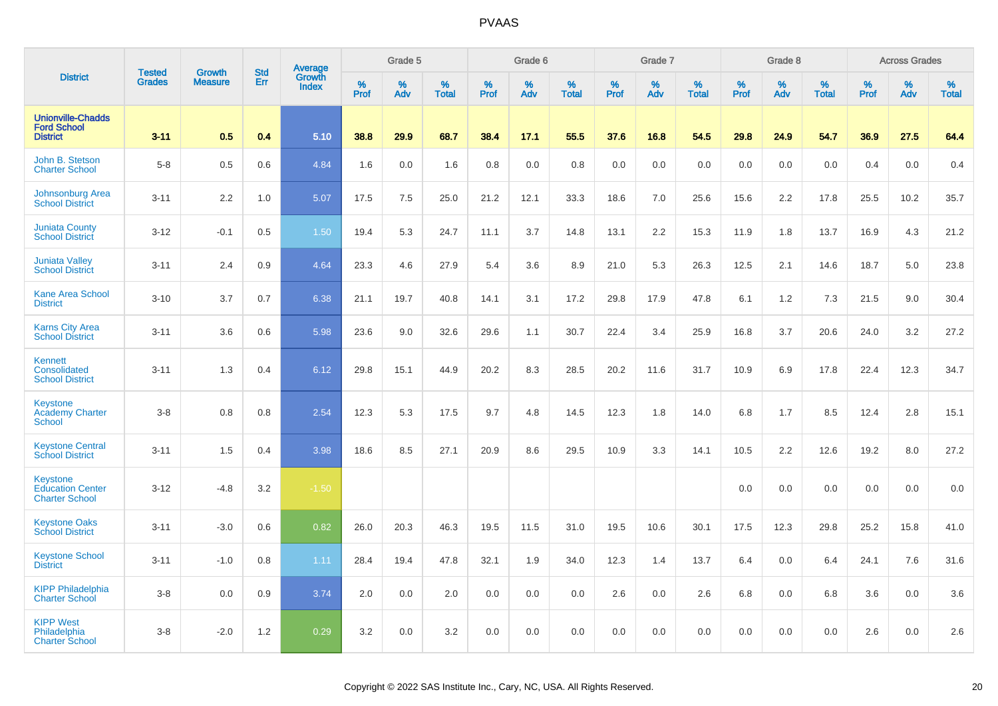|                                                                   |                                |                                 | <b>Std</b> | Average         |                  | Grade 5  |                   |           | Grade 6  |                   |           | Grade 7  |                   |                  | Grade 8  |                   |                  | <b>Across Grades</b> |                   |
|-------------------------------------------------------------------|--------------------------------|---------------------------------|------------|-----------------|------------------|----------|-------------------|-----------|----------|-------------------|-----------|----------|-------------------|------------------|----------|-------------------|------------------|----------------------|-------------------|
| <b>District</b>                                                   | <b>Tested</b><br><b>Grades</b> | <b>Growth</b><br><b>Measure</b> | Err        | Growth<br>Index | %<br><b>Prof</b> | %<br>Adv | %<br><b>Total</b> | %<br>Prof | %<br>Adv | %<br><b>Total</b> | %<br>Prof | %<br>Adv | %<br><b>Total</b> | %<br><b>Prof</b> | %<br>Adv | %<br><b>Total</b> | %<br><b>Prof</b> | %<br>Adv             | %<br><b>Total</b> |
| <b>Unionville-Chadds</b><br><b>Ford School</b><br><b>District</b> | $3 - 11$                       | 0.5                             | 0.4        | 5.10            | 38.8             | 29.9     | 68.7              | 38.4      | 17.1     | 55.5              | 37.6      | 16.8     | 54.5              | 29.8             | 24.9     | 54.7              | 36.9             | 27.5                 | 64.4              |
| John B. Stetson<br><b>Charter School</b>                          | $5-8$                          | 0.5                             | 0.6        | 4.84            | 1.6              | 0.0      | 1.6               | 0.8       | 0.0      | 0.8               | 0.0       | 0.0      | 0.0               | 0.0              | 0.0      | 0.0               | 0.4              | 0.0                  | 0.4               |
| <b>Johnsonburg Area</b><br><b>School District</b>                 | $3 - 11$                       | 2.2                             | 1.0        | 5.07            | 17.5             | 7.5      | 25.0              | 21.2      | 12.1     | 33.3              | 18.6      | 7.0      | 25.6              | 15.6             | 2.2      | 17.8              | 25.5             | 10.2                 | 35.7              |
| <b>Juniata County</b><br><b>School District</b>                   | $3 - 12$                       | $-0.1$                          | 0.5        | 1.50            | 19.4             | 5.3      | 24.7              | 11.1      | 3.7      | 14.8              | 13.1      | 2.2      | 15.3              | 11.9             | 1.8      | 13.7              | 16.9             | 4.3                  | 21.2              |
| <b>Juniata Valley</b><br><b>School District</b>                   | $3 - 11$                       | 2.4                             | 0.9        | 4.64            | 23.3             | 4.6      | 27.9              | 5.4       | 3.6      | 8.9               | 21.0      | 5.3      | 26.3              | 12.5             | 2.1      | 14.6              | 18.7             | 5.0                  | 23.8              |
| <b>Kane Area School</b><br><b>District</b>                        | $3 - 10$                       | 3.7                             | 0.7        | 6.38            | 21.1             | 19.7     | 40.8              | 14.1      | 3.1      | 17.2              | 29.8      | 17.9     | 47.8              | 6.1              | 1.2      | 7.3               | 21.5             | 9.0                  | 30.4              |
| <b>Karns City Area</b><br><b>School District</b>                  | $3 - 11$                       | 3.6                             | 0.6        | 5.98            | 23.6             | 9.0      | 32.6              | 29.6      | 1.1      | 30.7              | 22.4      | 3.4      | 25.9              | 16.8             | 3.7      | 20.6              | 24.0             | 3.2                  | 27.2              |
| Kennett<br>Consolidated<br><b>School District</b>                 | $3 - 11$                       | 1.3                             | 0.4        | 6.12            | 29.8             | 15.1     | 44.9              | 20.2      | 8.3      | 28.5              | 20.2      | 11.6     | 31.7              | 10.9             | 6.9      | 17.8              | 22.4             | 12.3                 | 34.7              |
| Keystone<br><b>Academy Charter</b><br>School                      | $3-8$                          | 0.8                             | 0.8        | 2.54            | 12.3             | 5.3      | 17.5              | 9.7       | 4.8      | 14.5              | 12.3      | 1.8      | 14.0              | 6.8              | 1.7      | 8.5               | 12.4             | 2.8                  | 15.1              |
| <b>Keystone Central</b><br><b>School District</b>                 | $3 - 11$                       | 1.5                             | 0.4        | 3.98            | 18.6             | 8.5      | 27.1              | 20.9      | 8.6      | 29.5              | 10.9      | 3.3      | 14.1              | 10.5             | 2.2      | 12.6              | 19.2             | 8.0                  | 27.2              |
| Keystone<br><b>Education Center</b><br><b>Charter School</b>      | $3 - 12$                       | $-4.8$                          | 3.2        | $-1.50$         |                  |          |                   |           |          |                   |           |          |                   | 0.0              | 0.0      | 0.0               | 0.0              | 0.0                  | 0.0               |
| <b>Keystone Oaks</b><br><b>School District</b>                    | $3 - 11$                       | $-3.0$                          | 0.6        | 0.82            | 26.0             | 20.3     | 46.3              | 19.5      | 11.5     | 31.0              | 19.5      | 10.6     | 30.1              | 17.5             | 12.3     | 29.8              | 25.2             | 15.8                 | 41.0              |
| <b>Keystone School</b><br><b>District</b>                         | $3 - 11$                       | $-1.0$                          | 0.8        | 1.11            | 28.4             | 19.4     | 47.8              | 32.1      | 1.9      | 34.0              | 12.3      | 1.4      | 13.7              | 6.4              | 0.0      | 6.4               | 24.1             | 7.6                  | 31.6              |
| <b>KIPP Philadelphia</b><br><b>Charter School</b>                 | $3-8$                          | 0.0                             | 0.9        | 3.74            | 2.0              | 0.0      | 2.0               | 0.0       | 0.0      | 0.0               | 2.6       | 0.0      | 2.6               | 6.8              | 0.0      | 6.8               | 3.6              | 0.0                  | 3.6               |
| <b>KIPP West</b><br>Philadelphia<br><b>Charter School</b>         | $3-8$                          | $-2.0$                          | 1.2        | 0.29            | 3.2              | 0.0      | 3.2               | 0.0       | 0.0      | 0.0               | 0.0       | 0.0      | 0.0               | 0.0              | 0.0      | 0.0               | 2.6              | 0.0                  | 2.6               |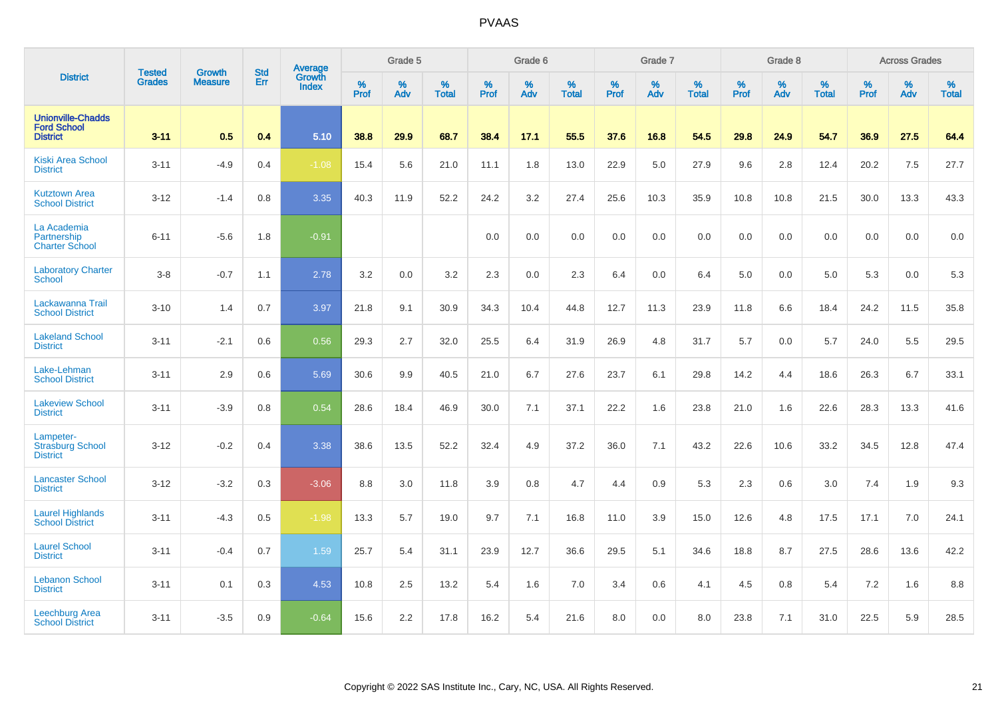|                                                                   | <b>Tested</b> | <b>Growth</b>  | <b>Std</b> | Average                |           | Grade 5  |                   |           | Grade 6  |                   |           | Grade 7  |                   |           | Grade 8  |                   |           | <b>Across Grades</b> |                   |
|-------------------------------------------------------------------|---------------|----------------|------------|------------------------|-----------|----------|-------------------|-----------|----------|-------------------|-----------|----------|-------------------|-----------|----------|-------------------|-----------|----------------------|-------------------|
| <b>District</b>                                                   | <b>Grades</b> | <b>Measure</b> | Err        | <b>Growth</b><br>Index | %<br>Prof | %<br>Adv | %<br><b>Total</b> | %<br>Prof | %<br>Adv | %<br><b>Total</b> | %<br>Prof | %<br>Adv | %<br><b>Total</b> | %<br>Prof | %<br>Adv | %<br><b>Total</b> | %<br>Prof | %<br>Adv             | %<br><b>Total</b> |
| <b>Unionville-Chadds</b><br><b>Ford School</b><br><b>District</b> | $3 - 11$      | 0.5            | 0.4        | 5.10                   | 38.8      | 29.9     | 68.7              | 38.4      | 17.1     | 55.5              | 37.6      | 16.8     | 54.5              | 29.8      | 24.9     | 54.7              | 36.9      | 27.5                 | 64.4              |
| <b>Kiski Area School</b><br><b>District</b>                       | $3 - 11$      | $-4.9$         | 0.4        | $-1.08$                | 15.4      | 5.6      | 21.0              | 11.1      | 1.8      | 13.0              | 22.9      | 5.0      | 27.9              | 9.6       | 2.8      | 12.4              | 20.2      | 7.5                  | 27.7              |
| <b>Kutztown Area</b><br><b>School District</b>                    | $3 - 12$      | $-1.4$         | 0.8        | 3.35                   | 40.3      | 11.9     | 52.2              | 24.2      | 3.2      | 27.4              | 25.6      | 10.3     | 35.9              | 10.8      | 10.8     | 21.5              | 30.0      | 13.3                 | 43.3              |
| La Academia<br>Partnership<br><b>Charter School</b>               | $6 - 11$      | $-5.6$         | 1.8        | $-0.91$                |           |          |                   | 0.0       | 0.0      | 0.0               | 0.0       | 0.0      | 0.0               | 0.0       | 0.0      | 0.0               | 0.0       | 0.0                  | $0.0\,$           |
| <b>Laboratory Charter</b><br><b>School</b>                        | $3-8$         | $-0.7$         | 1.1        | 2.78                   | 3.2       | 0.0      | 3.2               | 2.3       | 0.0      | 2.3               | 6.4       | 0.0      | 6.4               | 5.0       | 0.0      | 5.0               | 5.3       | 0.0                  | 5.3               |
| Lackawanna Trail<br><b>School District</b>                        | $3 - 10$      | 1.4            | 0.7        | 3.97                   | 21.8      | 9.1      | 30.9              | 34.3      | 10.4     | 44.8              | 12.7      | 11.3     | 23.9              | 11.8      | 6.6      | 18.4              | 24.2      | 11.5                 | 35.8              |
| <b>Lakeland School</b><br><b>District</b>                         | $3 - 11$      | $-2.1$         | 0.6        | 0.56                   | 29.3      | 2.7      | 32.0              | 25.5      | 6.4      | 31.9              | 26.9      | 4.8      | 31.7              | 5.7       | 0.0      | 5.7               | 24.0      | 5.5                  | 29.5              |
| Lake-Lehman<br><b>School District</b>                             | $3 - 11$      | 2.9            | 0.6        | 5.69                   | 30.6      | 9.9      | 40.5              | 21.0      | 6.7      | 27.6              | 23.7      | 6.1      | 29.8              | 14.2      | 4.4      | 18.6              | 26.3      | 6.7                  | 33.1              |
| <b>Lakeview School</b><br><b>District</b>                         | $3 - 11$      | $-3.9$         | 0.8        | 0.54                   | 28.6      | 18.4     | 46.9              | 30.0      | 7.1      | 37.1              | 22.2      | 1.6      | 23.8              | 21.0      | 1.6      | 22.6              | 28.3      | 13.3                 | 41.6              |
| Lampeter-<br><b>Strasburg School</b><br><b>District</b>           | $3 - 12$      | $-0.2$         | 0.4        | 3.38                   | 38.6      | 13.5     | 52.2              | 32.4      | 4.9      | 37.2              | 36.0      | 7.1      | 43.2              | 22.6      | 10.6     | 33.2              | 34.5      | 12.8                 | 47.4              |
| <b>Lancaster School</b><br><b>District</b>                        | $3 - 12$      | $-3.2$         | 0.3        | $-3.06$                | 8.8       | 3.0      | 11.8              | 3.9       | 0.8      | 4.7               | 4.4       | 0.9      | 5.3               | 2.3       | 0.6      | 3.0               | 7.4       | 1.9                  | 9.3               |
| <b>Laurel Highlands</b><br><b>School District</b>                 | $3 - 11$      | $-4.3$         | 0.5        | $-1.98$                | 13.3      | 5.7      | 19.0              | 9.7       | 7.1      | 16.8              | 11.0      | 3.9      | 15.0              | 12.6      | 4.8      | 17.5              | 17.1      | 7.0                  | 24.1              |
| <b>Laurel School</b><br><b>District</b>                           | $3 - 11$      | $-0.4$         | 0.7        | 1.59                   | 25.7      | 5.4      | 31.1              | 23.9      | 12.7     | 36.6              | 29.5      | 5.1      | 34.6              | 18.8      | 8.7      | 27.5              | 28.6      | 13.6                 | 42.2              |
| <b>Lebanon School</b><br><b>District</b>                          | $3 - 11$      | 0.1            | 0.3        | 4.53                   | 10.8      | 2.5      | 13.2              | 5.4       | 1.6      | 7.0               | 3.4       | 0.6      | 4.1               | 4.5       | 0.8      | 5.4               | 7.2       | 1.6                  | 8.8               |
| <b>Leechburg Area</b><br><b>School District</b>                   | $3 - 11$      | $-3.5$         | 0.9        | $-0.64$                | 15.6      | 2.2      | 17.8              | 16.2      | 5.4      | 21.6              | 8.0       | 0.0      | 8.0               | 23.8      | 7.1      | 31.0              | 22.5      | 5.9                  | 28.5              |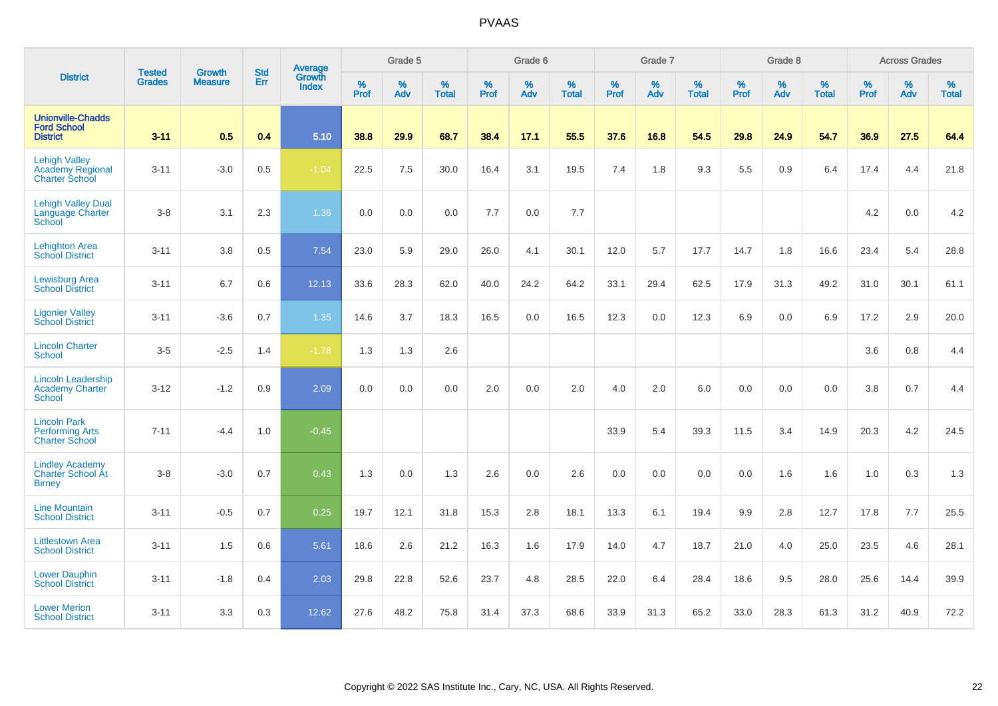|                                                                          |                                |                                 | <b>Std</b> | Average                |           | Grade 5  |                   |           | Grade 6  |                   |           | Grade 7  |                   |           | Grade 8  |                   |           | <b>Across Grades</b> |                   |
|--------------------------------------------------------------------------|--------------------------------|---------------------------------|------------|------------------------|-----------|----------|-------------------|-----------|----------|-------------------|-----------|----------|-------------------|-----------|----------|-------------------|-----------|----------------------|-------------------|
| <b>District</b>                                                          | <b>Tested</b><br><b>Grades</b> | <b>Growth</b><br><b>Measure</b> | Err        | Growth<br><b>Index</b> | %<br>Prof | %<br>Adv | %<br><b>Total</b> | %<br>Prof | %<br>Adv | %<br><b>Total</b> | %<br>Prof | %<br>Adv | %<br><b>Total</b> | %<br>Prof | %<br>Adv | %<br><b>Total</b> | %<br>Prof | %<br>Adv             | %<br><b>Total</b> |
| <b>Unionville-Chadds</b><br><b>Ford School</b><br><b>District</b>        | $3 - 11$                       | 0.5                             | 0.4        | 5.10                   | 38.8      | 29.9     | 68.7              | 38.4      | 17.1     | 55.5              | 37.6      | 16.8     | 54.5              | 29.8      | 24.9     | 54.7              | 36.9      | 27.5                 | 64.4              |
| <b>Lehigh Valley</b><br><b>Academy Regional</b><br><b>Charter School</b> | $3 - 11$                       | $-3.0$                          | 0.5        | $-1.04$                | 22.5      | 7.5      | 30.0              | 16.4      | 3.1      | 19.5              | 7.4       | 1.8      | 9.3               | 5.5       | 0.9      | 6.4               | 17.4      | 4.4                  | 21.8              |
| <b>Lehigh Valley Dual</b><br>Language Charter<br>School                  | $3-8$                          | 3.1                             | 2.3        | 1.36                   | 0.0       | 0.0      | 0.0               | 7.7       | 0.0      | 7.7               |           |          |                   |           |          |                   | 4.2       | 0.0                  | 4.2               |
| <b>Lehighton Area</b><br><b>School District</b>                          | $3 - 11$                       | 3.8                             | 0.5        | 7.54                   | 23.0      | 5.9      | 29.0              | 26.0      | 4.1      | 30.1              | 12.0      | 5.7      | 17.7              | 14.7      | 1.8      | 16.6              | 23.4      | 5.4                  | 28.8              |
| <b>Lewisburg Area</b><br><b>School District</b>                          | $3 - 11$                       | 6.7                             | 0.6        | 12.13                  | 33.6      | 28.3     | 62.0              | 40.0      | 24.2     | 64.2              | 33.1      | 29.4     | 62.5              | 17.9      | 31.3     | 49.2              | 31.0      | 30.1                 | 61.1              |
| <b>Ligonier Valley</b><br><b>School District</b>                         | $3 - 11$                       | $-3.6$                          | 0.7        | 1.35                   | 14.6      | 3.7      | 18.3              | 16.5      | 0.0      | 16.5              | 12.3      | 0.0      | 12.3              | 6.9       | 0.0      | 6.9               | 17.2      | 2.9                  | 20.0              |
| <b>Lincoln Charter</b><br><b>School</b>                                  | $3-5$                          | $-2.5$                          | 1.4        | $-1.78$                | 1.3       | 1.3      | 2.6               |           |          |                   |           |          |                   |           |          |                   | 3.6       | 0.8                  | 4.4               |
| <b>Lincoln Leadership</b><br><b>Academy Charter</b><br><b>School</b>     | $3 - 12$                       | $-1.2$                          | 0.9        | 2.09                   | 0.0       | 0.0      | 0.0               | 2.0       | 0.0      | 2.0               | 4.0       | 2.0      | 6.0               | 0.0       | 0.0      | 0.0               | 3.8       | 0.7                  | 4.4               |
| <b>Lincoln Park</b><br><b>Performing Arts</b><br><b>Charter School</b>   | $7 - 11$                       | $-4.4$                          | 1.0        | $-0.45$                |           |          |                   |           |          |                   | 33.9      | 5.4      | 39.3              | 11.5      | 3.4      | 14.9              | 20.3      | 4.2                  | 24.5              |
| <b>Lindley Academy</b><br>Charter School At<br><b>Birney</b>             | $3-8$                          | $-3.0$                          | 0.7        | 0.43                   | 1.3       | 0.0      | 1.3               | 2.6       | 0.0      | 2.6               | 0.0       | 0.0      | 0.0               | 0.0       | 1.6      | 1.6               | 1.0       | 0.3                  | 1.3               |
| <b>Line Mountain</b><br><b>School District</b>                           | $3 - 11$                       | $-0.5$                          | 0.7        | 0.25                   | 19.7      | 12.1     | 31.8              | 15.3      | 2.8      | 18.1              | 13.3      | 6.1      | 19.4              | 9.9       | 2.8      | 12.7              | 17.8      | 7.7                  | 25.5              |
| <b>Littlestown Area</b><br><b>School District</b>                        | $3 - 11$                       | 1.5                             | 0.6        | 5.61                   | 18.6      | 2.6      | 21.2              | 16.3      | 1.6      | 17.9              | 14.0      | 4.7      | 18.7              | 21.0      | 4.0      | 25.0              | 23.5      | 4.6                  | 28.1              |
| <b>Lower Dauphin</b><br><b>School District</b>                           | $3 - 11$                       | $-1.8$                          | 0.4        | 2.03                   | 29.8      | 22.8     | 52.6              | 23.7      | 4.8      | 28.5              | 22.0      | 6.4      | 28.4              | 18.6      | 9.5      | 28.0              | 25.6      | 14.4                 | 39.9              |
| <b>Lower Merion</b><br><b>School District</b>                            | $3 - 11$                       | 3.3                             | 0.3        | 12.62                  | 27.6      | 48.2     | 75.8              | 31.4      | 37.3     | 68.6              | 33.9      | 31.3     | 65.2              | 33.0      | 28.3     | 61.3              | 31.2      | 40.9                 | 72.2              |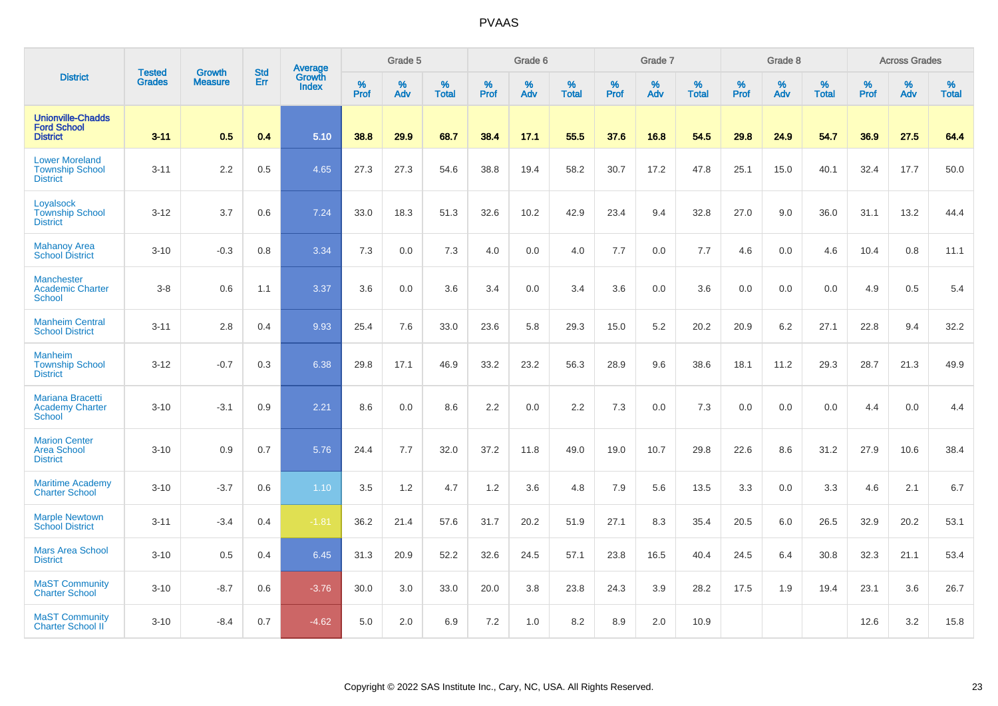|                                                                    |                                |                                 | <b>Std</b> | Average         |           | Grade 5  |                      |           | Grade 6  |                   |              | Grade 7  |                   |           | Grade 8  |                   |                  | <b>Across Grades</b> |                   |
|--------------------------------------------------------------------|--------------------------------|---------------------------------|------------|-----------------|-----------|----------|----------------------|-----------|----------|-------------------|--------------|----------|-------------------|-----------|----------|-------------------|------------------|----------------------|-------------------|
| <b>District</b>                                                    | <b>Tested</b><br><b>Grades</b> | <b>Growth</b><br><b>Measure</b> | Err        | Growth<br>Index | %<br>Prof | %<br>Adv | $\%$<br><b>Total</b> | %<br>Prof | %<br>Adv | %<br><b>Total</b> | $\%$<br>Prof | %<br>Adv | %<br><b>Total</b> | %<br>Prof | %<br>Adv | %<br><b>Total</b> | %<br><b>Prof</b> | %<br>Adv             | %<br><b>Total</b> |
| <b>Unionville-Chadds</b><br><b>Ford School</b><br><b>District</b>  | $3 - 11$                       | 0.5                             | 0.4        | 5.10            | 38.8      | 29.9     | 68.7                 | 38.4      | 17.1     | 55.5              | 37.6         | 16.8     | 54.5              | 29.8      | 24.9     | 54.7              | 36.9             | 27.5                 | 64.4              |
| <b>Lower Moreland</b><br><b>Township School</b><br><b>District</b> | $3 - 11$                       | 2.2                             | 0.5        | 4.65            | 27.3      | 27.3     | 54.6                 | 38.8      | 19.4     | 58.2              | 30.7         | 17.2     | 47.8              | 25.1      | 15.0     | 40.1              | 32.4             | 17.7                 | 50.0              |
| Loyalsock<br><b>Township School</b><br><b>District</b>             | $3 - 12$                       | 3.7                             | 0.6        | 7.24            | 33.0      | 18.3     | 51.3                 | 32.6      | 10.2     | 42.9              | 23.4         | 9.4      | 32.8              | 27.0      | 9.0      | 36.0              | 31.1             | 13.2                 | 44.4              |
| <b>Mahanoy Area</b><br><b>School District</b>                      | $3 - 10$                       | $-0.3$                          | 0.8        | 3.34            | 7.3       | 0.0      | 7.3                  | 4.0       | 0.0      | 4.0               | 7.7          | 0.0      | 7.7               | 4.6       | 0.0      | 4.6               | 10.4             | 0.8                  | 11.1              |
| <b>Manchester</b><br><b>Academic Charter</b><br><b>School</b>      | $3-8$                          | 0.6                             | 1.1        | 3.37            | 3.6       | 0.0      | 3.6                  | 3.4       | 0.0      | 3.4               | 3.6          | 0.0      | 3.6               | 0.0       | 0.0      | 0.0               | 4.9              | 0.5                  | 5.4               |
| <b>Manheim Central</b><br><b>School District</b>                   | $3 - 11$                       | 2.8                             | 0.4        | 9.93            | 25.4      | 7.6      | 33.0                 | 23.6      | 5.8      | 29.3              | 15.0         | 5.2      | 20.2              | 20.9      | 6.2      | 27.1              | 22.8             | 9.4                  | 32.2              |
| <b>Manheim</b><br><b>Township School</b><br><b>District</b>        | $3 - 12$                       | $-0.7$                          | 0.3        | 6.38            | 29.8      | 17.1     | 46.9                 | 33.2      | 23.2     | 56.3              | 28.9         | 9.6      | 38.6              | 18.1      | 11.2     | 29.3              | 28.7             | 21.3                 | 49.9              |
| Mariana Bracetti<br><b>Academy Charter</b><br><b>School</b>        | $3 - 10$                       | $-3.1$                          | 0.9        | 2.21            | 8.6       | 0.0      | 8.6                  | 2.2       | 0.0      | 2.2               | 7.3          | 0.0      | 7.3               | 0.0       | 0.0      | 0.0               | 4.4              | 0.0                  | 4.4               |
| <b>Marion Center</b><br><b>Area School</b><br><b>District</b>      | $3 - 10$                       | 0.9                             | 0.7        | 5.76            | 24.4      | 7.7      | 32.0                 | 37.2      | 11.8     | 49.0              | 19.0         | 10.7     | 29.8              | 22.6      | 8.6      | 31.2              | 27.9             | 10.6                 | 38.4              |
| <b>Maritime Academy</b><br><b>Charter School</b>                   | $3 - 10$                       | $-3.7$                          | 0.6        | 1.10            | 3.5       | 1.2      | 4.7                  | 1.2       | 3.6      | 4.8               | 7.9          | 5.6      | 13.5              | 3.3       | 0.0      | 3.3               | 4.6              | 2.1                  | 6.7               |
| <b>Marple Newtown</b><br><b>School District</b>                    | $3 - 11$                       | $-3.4$                          | 0.4        | $-1.81$         | 36.2      | 21.4     | 57.6                 | 31.7      | 20.2     | 51.9              | 27.1         | 8.3      | 35.4              | 20.5      | 6.0      | 26.5              | 32.9             | 20.2                 | 53.1              |
| <b>Mars Area School</b><br><b>District</b>                         | $3 - 10$                       | 0.5                             | 0.4        | 6.45            | 31.3      | 20.9     | 52.2                 | 32.6      | 24.5     | 57.1              | 23.8         | 16.5     | 40.4              | 24.5      | 6.4      | 30.8              | 32.3             | 21.1                 | 53.4              |
| <b>MaST Community</b><br><b>Charter School</b>                     | $3 - 10$                       | $-8.7$                          | 0.6        | $-3.76$         | 30.0      | 3.0      | 33.0                 | 20.0      | 3.8      | 23.8              | 24.3         | 3.9      | 28.2              | 17.5      | 1.9      | 19.4              | 23.1             | 3.6                  | 26.7              |
| <b>MaST Community</b><br><b>Charter School II</b>                  | $3 - 10$                       | $-8.4$                          | 0.7        | $-4.62$         | 5.0       | 2.0      | 6.9                  | 7.2       | 1.0      | 8.2               | 8.9          | 2.0      | 10.9              |           |          |                   | 12.6             | 3.2                  | 15.8              |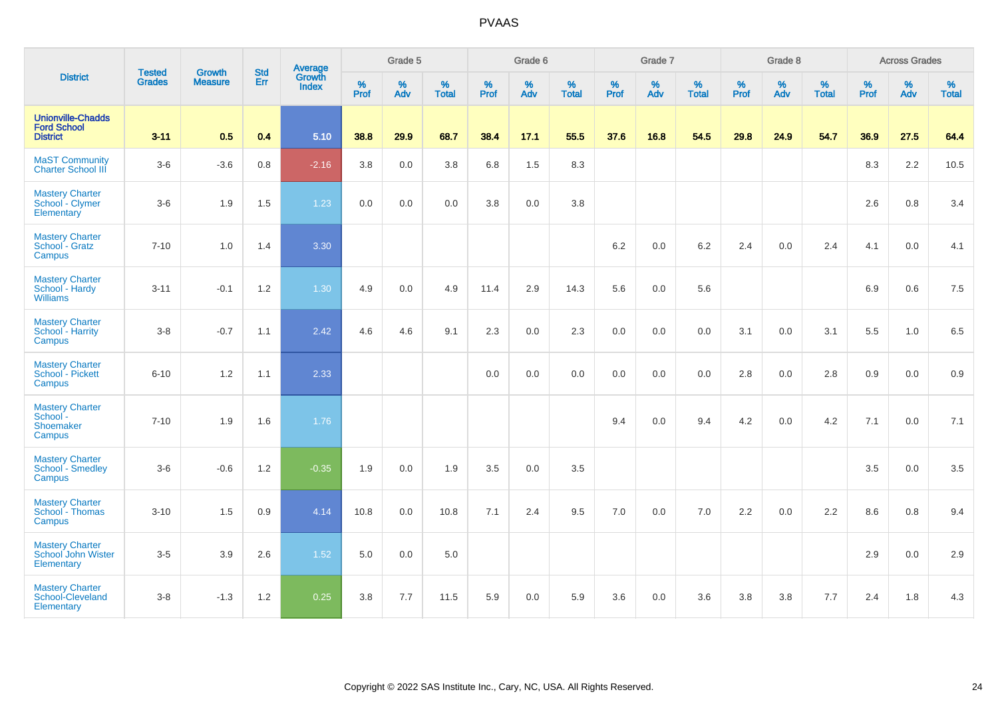|                                                                   | <b>Tested</b> | <b>Growth</b>  | <b>Std</b> | Average                |              | Grade 5     |                   |              | Grade 6  |                   |              | Grade 7  |                   |              | Grade 8  |                   |              | <b>Across Grades</b> |                   |
|-------------------------------------------------------------------|---------------|----------------|------------|------------------------|--------------|-------------|-------------------|--------------|----------|-------------------|--------------|----------|-------------------|--------------|----------|-------------------|--------------|----------------------|-------------------|
| <b>District</b>                                                   | <b>Grades</b> | <b>Measure</b> | Err        | Growth<br><b>Index</b> | $\%$<br>Prof | $\%$<br>Adv | %<br><b>Total</b> | $\%$<br>Prof | %<br>Adv | %<br><b>Total</b> | $\%$<br>Prof | %<br>Adv | %<br><b>Total</b> | $\%$<br>Prof | %<br>Adv | %<br><b>Total</b> | $\%$<br>Prof | $\%$<br>Adv          | %<br><b>Total</b> |
| <b>Unionville-Chadds</b><br><b>Ford School</b><br><b>District</b> | $3 - 11$      | 0.5            | 0.4        | 5.10                   | 38.8         | 29.9        | 68.7              | 38.4         | 17.1     | 55.5              | 37.6         | 16.8     | 54.5              | 29.8         | 24.9     | 54.7              | 36.9         | 27.5                 | 64.4              |
| <b>MaST Community</b><br><b>Charter School III</b>                | $3-6$         | $-3.6$         | 0.8        | $-2.16$                | 3.8          | 0.0         | 3.8               | 6.8          | 1.5      | 8.3               |              |          |                   |              |          |                   | 8.3          | 2.2                  | 10.5              |
| <b>Mastery Charter</b><br>School - Clymer<br>Elementary           | $3-6$         | 1.9            | 1.5        | 1.23                   | 0.0          | 0.0         | 0.0               | 3.8          | 0.0      | 3.8               |              |          |                   |              |          |                   | 2.6          | 0.8                  | 3.4               |
| <b>Mastery Charter</b><br>School - Gratz<br>Campus                | $7 - 10$      | 1.0            | 1.4        | 3.30                   |              |             |                   |              |          |                   | 6.2          | 0.0      | 6.2               | 2.4          | 0.0      | 2.4               | 4.1          | 0.0                  | 4.1               |
| <b>Mastery Charter</b><br>School - Hardy<br><b>Williams</b>       | $3 - 11$      | $-0.1$         | 1.2        | 1.30                   | 4.9          | 0.0         | 4.9               | 11.4         | 2.9      | 14.3              | 5.6          | 0.0      | 5.6               |              |          |                   | 6.9          | 0.6                  | 7.5               |
| <b>Mastery Charter</b><br>School - Harrity<br>Campus              | $3-8$         | $-0.7$         | 1.1        | 2.42                   | 4.6          | 4.6         | 9.1               | 2.3          | 0.0      | 2.3               | 0.0          | 0.0      | 0.0               | 3.1          | 0.0      | 3.1               | 5.5          | 1.0                  | 6.5               |
| <b>Mastery Charter</b><br>School - Pickett<br>Campus              | $6 - 10$      | 1.2            | 1.1        | 2.33                   |              |             |                   | 0.0          | 0.0      | 0.0               | 0.0          | 0.0      | 0.0               | 2.8          | 0.0      | 2.8               | 0.9          | 0.0                  | 0.9               |
| <b>Mastery Charter</b><br>School -<br>Shoemaker<br>Campus         | $7 - 10$      | 1.9            | 1.6        | 1.76                   |              |             |                   |              |          |                   | 9.4          | 0.0      | 9.4               | 4.2          | 0.0      | 4.2               | 7.1          | 0.0                  | 7.1               |
| <b>Mastery Charter</b><br><b>School - Smedley</b><br>Campus       | $3-6$         | $-0.6$         | 1.2        | $-0.35$                | 1.9          | 0.0         | 1.9               | 3.5          | 0.0      | 3.5               |              |          |                   |              |          |                   | 3.5          | 0.0                  | 3.5               |
| <b>Mastery Charter</b><br>School - Thomas<br>Campus               | $3 - 10$      | 1.5            | 0.9        | 4.14                   | 10.8         | 0.0         | 10.8              | 7.1          | 2.4      | 9.5               | 7.0          | 0.0      | 7.0               | 2.2          | 0.0      | 2.2               | 8.6          | 0.8                  | 9.4               |
| <b>Mastery Charter</b><br>School John Wister<br>Elementary        | $3-5$         | 3.9            | 2.6        | 1.52                   | 5.0          | 0.0         | 5.0               |              |          |                   |              |          |                   |              |          |                   | 2.9          | 0.0                  | 2.9               |
| <b>Mastery Charter</b><br>School-Cleveland<br>Elementary          | $3-8$         | $-1.3$         | 1.2        | 0.25                   | 3.8          | 7.7         | 11.5              | 5.9          | 0.0      | 5.9               | 3.6          | 0.0      | 3.6               | 3.8          | 3.8      | 7.7               | 2.4          | 1.8                  | 4.3               |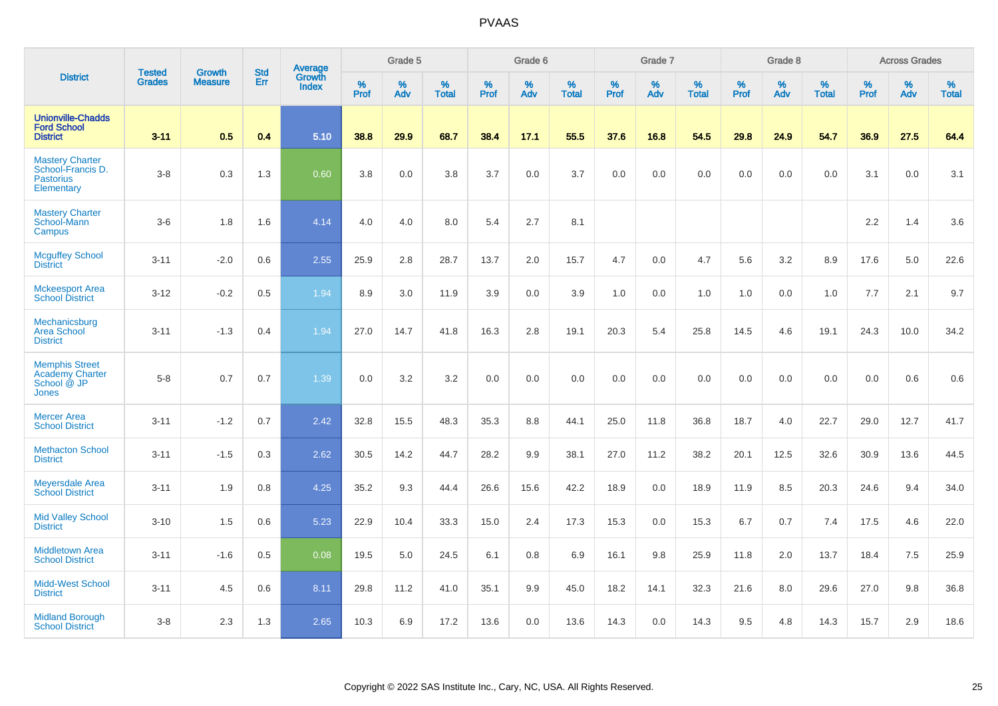|                                                                                | <b>Tested</b> | <b>Growth</b>  | <b>Std</b> | Average                |           | Grade 5  |                   |           | Grade 6  |                   |           | Grade 7  |                   |           | Grade 8  |                   |           | <b>Across Grades</b> |                   |
|--------------------------------------------------------------------------------|---------------|----------------|------------|------------------------|-----------|----------|-------------------|-----------|----------|-------------------|-----------|----------|-------------------|-----------|----------|-------------------|-----------|----------------------|-------------------|
| <b>District</b>                                                                | <b>Grades</b> | <b>Measure</b> | Err        | Growth<br><b>Index</b> | %<br>Prof | %<br>Adv | %<br><b>Total</b> | %<br>Prof | %<br>Adv | %<br><b>Total</b> | %<br>Prof | %<br>Adv | %<br><b>Total</b> | %<br>Prof | %<br>Adv | %<br><b>Total</b> | %<br>Prof | %<br>Adv             | %<br><b>Total</b> |
| <b>Unionville-Chadds</b><br><b>Ford School</b><br><b>District</b>              | $3 - 11$      | 0.5            | 0.4        | 5.10                   | 38.8      | 29.9     | 68.7              | 38.4      | 17.1     | 55.5              | 37.6      | 16.8     | 54.5              | 29.8      | 24.9     | 54.7              | 36.9      | 27.5                 | 64.4              |
| <b>Mastery Charter</b><br>School-Francis D.<br><b>Pastorius</b><br>Elementary  | $3-8$         | 0.3            | 1.3        | 0.60                   | 3.8       | 0.0      | 3.8               | 3.7       | 0.0      | 3.7               | 0.0       | 0.0      | 0.0               | 0.0       | 0.0      | 0.0               | 3.1       | 0.0                  | 3.1               |
| <b>Mastery Charter</b><br>School-Mann<br>Campus                                | $3-6$         | 1.8            | 1.6        | 4.14                   | 4.0       | 4.0      | 8.0               | 5.4       | 2.7      | 8.1               |           |          |                   |           |          |                   | 2.2       | 1.4                  | 3.6               |
| <b>Mcguffey School</b><br><b>District</b>                                      | $3 - 11$      | $-2.0$         | 0.6        | 2.55                   | 25.9      | 2.8      | 28.7              | 13.7      | 2.0      | 15.7              | 4.7       | 0.0      | 4.7               | 5.6       | 3.2      | 8.9               | 17.6      | 5.0                  | 22.6              |
| <b>Mckeesport Area</b><br><b>School District</b>                               | $3 - 12$      | $-0.2$         | 0.5        | 1.94                   | 8.9       | 3.0      | 11.9              | 3.9       | 0.0      | 3.9               | 1.0       | 0.0      | 1.0               | 1.0       | 0.0      | 1.0               | 7.7       | 2.1                  | 9.7               |
| Mechanicsburg<br><b>Area School</b><br><b>District</b>                         | $3 - 11$      | $-1.3$         | 0.4        | 1.94                   | 27.0      | 14.7     | 41.8              | 16.3      | 2.8      | 19.1              | 20.3      | 5.4      | 25.8              | 14.5      | 4.6      | 19.1              | 24.3      | 10.0                 | 34.2              |
| <b>Memphis Street</b><br><b>Academy Charter</b><br>School @ JP<br><b>Jones</b> | $5 - 8$       | 0.7            | 0.7        | 1.39                   | 0.0       | 3.2      | 3.2               | 0.0       | 0.0      | 0.0               | 0.0       | 0.0      | 0.0               | 0.0       | 0.0      | 0.0               | 0.0       | 0.6                  | 0.6               |
| <b>Mercer Area</b><br><b>School District</b>                                   | $3 - 11$      | $-1.2$         | 0.7        | 2.42                   | 32.8      | 15.5     | 48.3              | 35.3      | 8.8      | 44.1              | 25.0      | 11.8     | 36.8              | 18.7      | 4.0      | 22.7              | 29.0      | 12.7                 | 41.7              |
| <b>Methacton School</b><br><b>District</b>                                     | $3 - 11$      | $-1.5$         | 0.3        | 2.62                   | 30.5      | 14.2     | 44.7              | 28.2      | 9.9      | 38.1              | 27.0      | 11.2     | 38.2              | 20.1      | 12.5     | 32.6              | 30.9      | 13.6                 | 44.5              |
| <b>Meyersdale Area</b><br><b>School District</b>                               | $3 - 11$      | 1.9            | 0.8        | 4.25                   | 35.2      | 9.3      | 44.4              | 26.6      | 15.6     | 42.2              | 18.9      | 0.0      | 18.9              | 11.9      | 8.5      | 20.3              | 24.6      | 9.4                  | 34.0              |
| <b>Mid Valley School</b><br><b>District</b>                                    | $3 - 10$      | 1.5            | 0.6        | 5.23                   | 22.9      | 10.4     | 33.3              | 15.0      | 2.4      | 17.3              | 15.3      | 0.0      | 15.3              | 6.7       | 0.7      | 7.4               | 17.5      | 4.6                  | 22.0              |
| <b>Middletown Area</b><br><b>School District</b>                               | $3 - 11$      | $-1.6$         | 0.5        | 0.08                   | 19.5      | 5.0      | 24.5              | 6.1       | 0.8      | 6.9               | 16.1      | 9.8      | 25.9              | 11.8      | 2.0      | 13.7              | 18.4      | 7.5                  | 25.9              |
| <b>Midd-West School</b><br><b>District</b>                                     | $3 - 11$      | 4.5            | 0.6        | 8.11                   | 29.8      | 11.2     | 41.0              | 35.1      | 9.9      | 45.0              | 18.2      | 14.1     | 32.3              | 21.6      | 8.0      | 29.6              | 27.0      | 9.8                  | 36.8              |
| <b>Midland Borough</b><br><b>School District</b>                               | $3-8$         | 2.3            | 1.3        | 2.65                   | 10.3      | 6.9      | 17.2              | 13.6      | 0.0      | 13.6              | 14.3      | 0.0      | 14.3              | 9.5       | 4.8      | 14.3              | 15.7      | 2.9                  | 18.6              |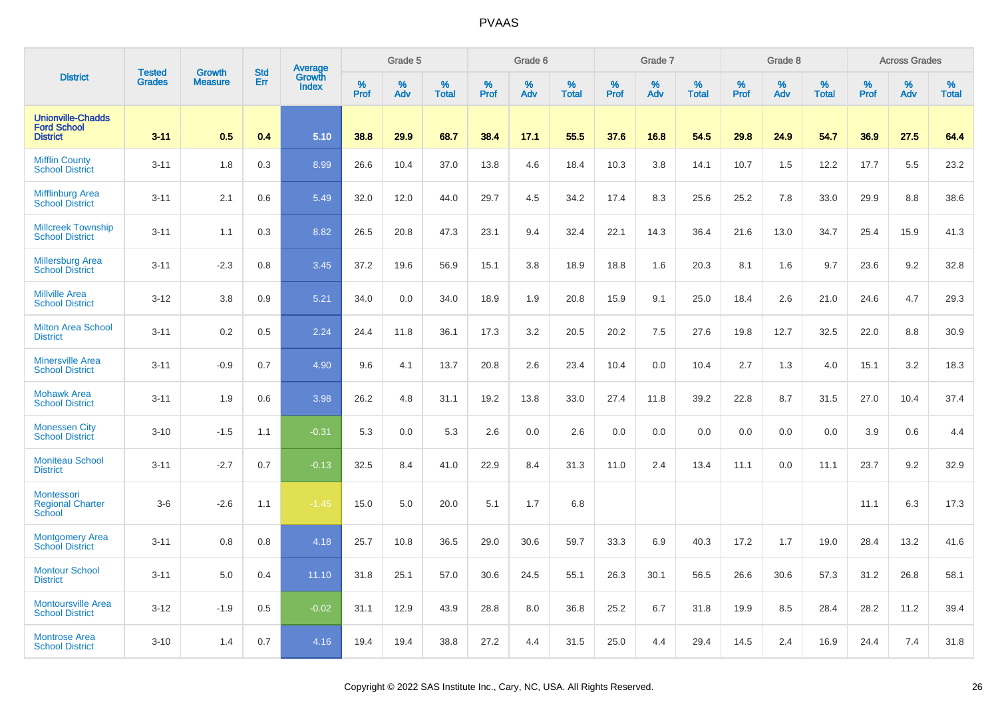|                                                                   | <b>Tested</b> | <b>Growth</b>  | <b>Std</b> | Average                |                     | Grade 5  |                   |                  | Grade 6  |                   |                     | Grade 7  |                   |                  | Grade 8  |                   |              | <b>Across Grades</b> |                   |
|-------------------------------------------------------------------|---------------|----------------|------------|------------------------|---------------------|----------|-------------------|------------------|----------|-------------------|---------------------|----------|-------------------|------------------|----------|-------------------|--------------|----------------------|-------------------|
| <b>District</b>                                                   | <b>Grades</b> | <b>Measure</b> | Err        | Growth<br><b>Index</b> | $\%$<br><b>Prof</b> | %<br>Adv | %<br><b>Total</b> | %<br><b>Prof</b> | %<br>Adv | %<br><b>Total</b> | $\%$<br><b>Prof</b> | %<br>Adv | %<br><b>Total</b> | %<br><b>Prof</b> | %<br>Adv | %<br><b>Total</b> | $\%$<br>Prof | %<br>Adv             | %<br><b>Total</b> |
| <b>Unionville-Chadds</b><br><b>Ford School</b><br><b>District</b> | $3 - 11$      | 0.5            | 0.4        | 5.10                   | 38.8                | 29.9     | 68.7              | 38.4             | 17.1     | 55.5              | 37.6                | 16.8     | 54.5              | 29.8             | 24.9     | 54.7              | 36.9         | 27.5                 | 64.4              |
| <b>Mifflin County</b><br><b>School District</b>                   | $3 - 11$      | 1.8            | 0.3        | 8.99                   | 26.6                | 10.4     | 37.0              | 13.8             | 4.6      | 18.4              | 10.3                | 3.8      | 14.1              | 10.7             | 1.5      | 12.2              | 17.7         | 5.5                  | 23.2              |
| <b>Mifflinburg Area</b><br><b>School District</b>                 | $3 - 11$      | 2.1            | 0.6        | 5.49                   | 32.0                | 12.0     | 44.0              | 29.7             | 4.5      | 34.2              | 17.4                | 8.3      | 25.6              | 25.2             | 7.8      | 33.0              | 29.9         | 8.8                  | 38.6              |
| <b>Millcreek Township</b><br><b>School District</b>               | $3 - 11$      | 1.1            | 0.3        | 8.82                   | 26.5                | 20.8     | 47.3              | 23.1             | 9.4      | 32.4              | 22.1                | 14.3     | 36.4              | 21.6             | 13.0     | 34.7              | 25.4         | 15.9                 | 41.3              |
| <b>Millersburg Area</b><br><b>School District</b>                 | $3 - 11$      | $-2.3$         | 0.8        | 3.45                   | 37.2                | 19.6     | 56.9              | 15.1             | 3.8      | 18.9              | 18.8                | 1.6      | 20.3              | 8.1              | 1.6      | 9.7               | 23.6         | 9.2                  | 32.8              |
| <b>Millville Area</b><br><b>School District</b>                   | $3 - 12$      | 3.8            | 0.9        | 5.21                   | 34.0                | 0.0      | 34.0              | 18.9             | 1.9      | 20.8              | 15.9                | 9.1      | 25.0              | 18.4             | 2.6      | 21.0              | 24.6         | 4.7                  | 29.3              |
| <b>Milton Area School</b><br><b>District</b>                      | $3 - 11$      | 0.2            | 0.5        | 2.24                   | 24.4                | 11.8     | 36.1              | 17.3             | 3.2      | 20.5              | 20.2                | 7.5      | 27.6              | 19.8             | 12.7     | 32.5              | 22.0         | 8.8                  | 30.9              |
| <b>Minersville Area</b><br><b>School District</b>                 | $3 - 11$      | $-0.9$         | 0.7        | 4.90                   | 9.6                 | 4.1      | 13.7              | 20.8             | 2.6      | 23.4              | 10.4                | 0.0      | 10.4              | 2.7              | 1.3      | 4.0               | 15.1         | 3.2                  | 18.3              |
| <b>Mohawk Area</b><br><b>School District</b>                      | $3 - 11$      | 1.9            | 0.6        | 3.98                   | 26.2                | 4.8      | 31.1              | 19.2             | 13.8     | 33.0              | 27.4                | 11.8     | 39.2              | 22.8             | 8.7      | 31.5              | 27.0         | 10.4                 | 37.4              |
| <b>Monessen City</b><br><b>School District</b>                    | $3 - 10$      | $-1.5$         | 1.1        | $-0.31$                | 5.3                 | 0.0      | 5.3               | 2.6              | 0.0      | 2.6               | 0.0                 | 0.0      | 0.0               | 0.0              | 0.0      | 0.0               | 3.9          | 0.6                  | 4.4               |
| <b>Moniteau School</b><br><b>District</b>                         | $3 - 11$      | $-2.7$         | 0.7        | $-0.13$                | 32.5                | 8.4      | 41.0              | 22.9             | 8.4      | 31.3              | 11.0                | 2.4      | 13.4              | 11.1             | 0.0      | 11.1              | 23.7         | 9.2                  | 32.9              |
| Montessori<br><b>Regional Charter</b><br>School                   | $3-6$         | $-2.6$         | 1.1        | $-1.45$                | 15.0                | 5.0      | 20.0              | 5.1              | 1.7      | 6.8               |                     |          |                   |                  |          |                   | 11.1         | 6.3                  | 17.3              |
| <b>Montgomery Area</b><br><b>School District</b>                  | $3 - 11$      | 0.8            | 0.8        | 4.18                   | 25.7                | 10.8     | 36.5              | 29.0             | 30.6     | 59.7              | 33.3                | 6.9      | 40.3              | 17.2             | 1.7      | 19.0              | 28.4         | 13.2                 | 41.6              |
| <b>Montour School</b><br><b>District</b>                          | $3 - 11$      | 5.0            | 0.4        | 11.10                  | 31.8                | 25.1     | 57.0              | 30.6             | 24.5     | 55.1              | 26.3                | 30.1     | 56.5              | 26.6             | 30.6     | 57.3              | 31.2         | 26.8                 | 58.1              |
| <b>Montoursville Area</b><br><b>School District</b>               | $3 - 12$      | $-1.9$         | 0.5        | $-0.02$                | 31.1                | 12.9     | 43.9              | 28.8             | 8.0      | 36.8              | 25.2                | 6.7      | 31.8              | 19.9             | 8.5      | 28.4              | 28.2         | 11.2                 | 39.4              |
| <b>Montrose Area</b><br><b>School District</b>                    | $3 - 10$      | 1.4            | 0.7        | 4.16                   | 19.4                | 19.4     | 38.8              | 27.2             | 4.4      | 31.5              | 25.0                | 4.4      | 29.4              | 14.5             | 2.4      | 16.9              | 24.4         | 7.4                  | 31.8              |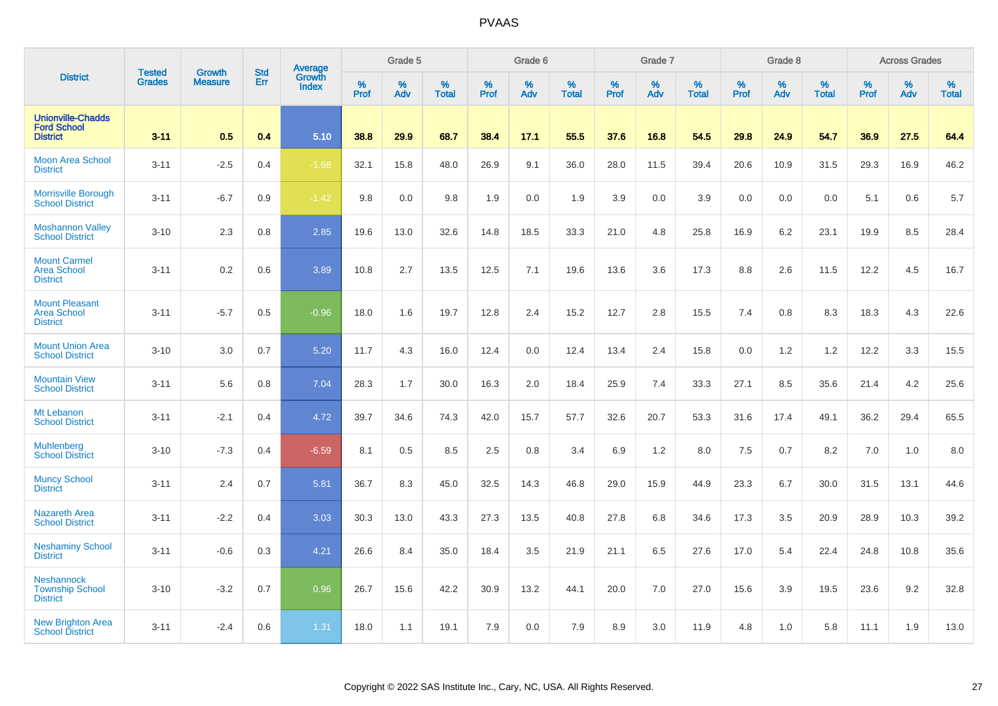|                                                                   |                                | <b>Growth</b>  | <b>Std</b> | Average                |              | Grade 5  |                   |           | Grade 6  |                   |           | Grade 7  |                   |           | Grade 8  |                   |           | <b>Across Grades</b> |                   |
|-------------------------------------------------------------------|--------------------------------|----------------|------------|------------------------|--------------|----------|-------------------|-----------|----------|-------------------|-----------|----------|-------------------|-----------|----------|-------------------|-----------|----------------------|-------------------|
| <b>District</b>                                                   | <b>Tested</b><br><b>Grades</b> | <b>Measure</b> | Err        | Growth<br><b>Index</b> | $\%$<br>Prof | %<br>Adv | %<br><b>Total</b> | %<br>Prof | %<br>Adv | %<br><b>Total</b> | %<br>Prof | %<br>Adv | %<br><b>Total</b> | %<br>Prof | %<br>Adv | %<br><b>Total</b> | %<br>Prof | %<br>Adv             | %<br><b>Total</b> |
| <b>Unionville-Chadds</b><br><b>Ford School</b><br><b>District</b> | $3 - 11$                       | 0.5            | 0.4        | 5.10                   | 38.8         | 29.9     | 68.7              | 38.4      | 17.1     | 55.5              | 37.6      | 16.8     | 54.5              | 29.8      | 24.9     | 54.7              | 36.9      | 27.5                 | 64.4              |
| <b>Moon Area School</b><br><b>District</b>                        | $3 - 11$                       | $-2.5$         | 0.4        | $-1.68$                | 32.1         | 15.8     | 48.0              | 26.9      | 9.1      | 36.0              | 28.0      | 11.5     | 39.4              | 20.6      | 10.9     | 31.5              | 29.3      | 16.9                 | 46.2              |
| <b>Morrisville Borough</b><br><b>School District</b>              | $3 - 11$                       | $-6.7$         | 0.9        | $-1.42$                | 9.8          | 0.0      | 9.8               | 1.9       | 0.0      | 1.9               | 3.9       | 0.0      | 3.9               | 0.0       | 0.0      | 0.0               | 5.1       | 0.6                  | 5.7               |
| <b>Moshannon Valley</b><br><b>School District</b>                 | $3 - 10$                       | 2.3            | 0.8        | 2.85                   | 19.6         | 13.0     | 32.6              | 14.8      | 18.5     | 33.3              | 21.0      | 4.8      | 25.8              | 16.9      | 6.2      | 23.1              | 19.9      | 8.5                  | 28.4              |
| <b>Mount Carmel</b><br><b>Area School</b><br><b>District</b>      | $3 - 11$                       | 0.2            | 0.6        | 3.89                   | 10.8         | 2.7      | 13.5              | 12.5      | 7.1      | 19.6              | 13.6      | 3.6      | 17.3              | 8.8       | 2.6      | 11.5              | 12.2      | 4.5                  | 16.7              |
| <b>Mount Pleasant</b><br><b>Area School</b><br><b>District</b>    | $3 - 11$                       | $-5.7$         | 0.5        | $-0.96$                | 18.0         | 1.6      | 19.7              | 12.8      | 2.4      | 15.2              | 12.7      | 2.8      | 15.5              | 7.4       | 0.8      | 8.3               | 18.3      | 4.3                  | 22.6              |
| <b>Mount Union Area</b><br><b>School District</b>                 | $3 - 10$                       | 3.0            | 0.7        | 5.20                   | 11.7         | 4.3      | 16.0              | 12.4      | 0.0      | 12.4              | 13.4      | 2.4      | 15.8              | 0.0       | 1.2      | 1.2               | 12.2      | 3.3                  | 15.5              |
| <b>Mountain View</b><br><b>School District</b>                    | $3 - 11$                       | 5.6            | 0.8        | 7.04                   | 28.3         | 1.7      | 30.0              | 16.3      | 2.0      | 18.4              | 25.9      | 7.4      | 33.3              | 27.1      | 8.5      | 35.6              | 21.4      | 4.2                  | 25.6              |
| Mt Lebanon<br><b>School District</b>                              | $3 - 11$                       | $-2.1$         | 0.4        | 4.72                   | 39.7         | 34.6     | 74.3              | 42.0      | 15.7     | 57.7              | 32.6      | 20.7     | 53.3              | 31.6      | 17.4     | 49.1              | 36.2      | 29.4                 | 65.5              |
| <b>Muhlenberg</b><br><b>School District</b>                       | $3 - 10$                       | $-7.3$         | 0.4        | $-6.59$                | 8.1          | 0.5      | 8.5               | 2.5       | 0.8      | 3.4               | 6.9       | 1.2      | 8.0               | 7.5       | 0.7      | 8.2               | 7.0       | 1.0                  | 8.0               |
| <b>Muncy School</b><br><b>District</b>                            | $3 - 11$                       | 2.4            | 0.7        | 5.81                   | 36.7         | 8.3      | 45.0              | 32.5      | 14.3     | 46.8              | 29.0      | 15.9     | 44.9              | 23.3      | 6.7      | 30.0              | 31.5      | 13.1                 | 44.6              |
| <b>Nazareth Area</b><br><b>School District</b>                    | $3 - 11$                       | $-2.2$         | 0.4        | 3.03                   | 30.3         | 13.0     | 43.3              | 27.3      | 13.5     | 40.8              | 27.8      | 6.8      | 34.6              | 17.3      | 3.5      | 20.9              | 28.9      | 10.3                 | 39.2              |
| <b>Neshaminy School</b><br><b>District</b>                        | $3 - 11$                       | $-0.6$         | 0.3        | 4.21                   | 26.6         | 8.4      | 35.0              | 18.4      | 3.5      | 21.9              | 21.1      | 6.5      | 27.6              | 17.0      | 5.4      | 22.4              | 24.8      | 10.8                 | 35.6              |
| <b>Neshannock</b><br><b>Township School</b><br><b>District</b>    | $3 - 10$                       | $-3.2$         | 0.7        | 0.96                   | 26.7         | 15.6     | 42.2              | 30.9      | 13.2     | 44.1              | 20.0      | 7.0      | 27.0              | 15.6      | 3.9      | 19.5              | 23.6      | 9.2                  | 32.8              |
| <b>New Brighton Area</b><br><b>School District</b>                | $3 - 11$                       | $-2.4$         | 0.6        | 1.31                   | 18.0         | 1.1      | 19.1              | 7.9       | 0.0      | 7.9               | 8.9       | 3.0      | 11.9              | 4.8       | 1.0      | 5.8               | 11.1      | 1.9                  | 13.0              |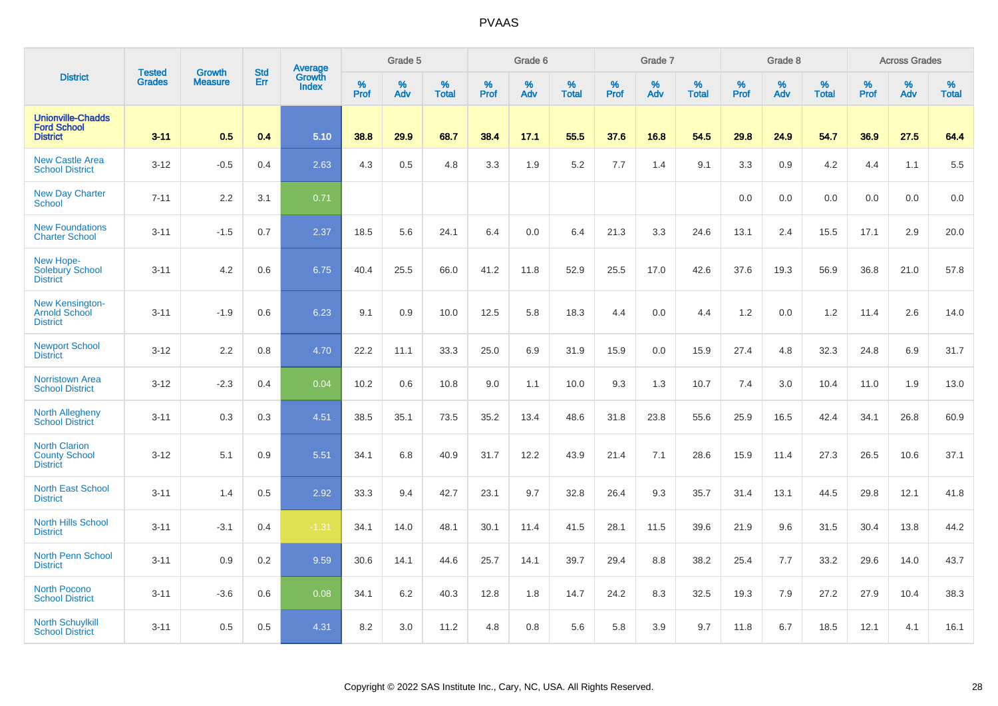|                                                                   |                                |                                 | <b>Std</b> | Average                |              | Grade 5  |                   |           | Grade 6  |                   |           | Grade 7  |                   |           | Grade 8  |                   |           | <b>Across Grades</b> |                   |
|-------------------------------------------------------------------|--------------------------------|---------------------------------|------------|------------------------|--------------|----------|-------------------|-----------|----------|-------------------|-----------|----------|-------------------|-----------|----------|-------------------|-----------|----------------------|-------------------|
| <b>District</b>                                                   | <b>Tested</b><br><b>Grades</b> | <b>Growth</b><br><b>Measure</b> | Err        | Growth<br><b>Index</b> | $\%$<br>Prof | %<br>Adv | %<br><b>Total</b> | %<br>Prof | %<br>Adv | %<br><b>Total</b> | %<br>Prof | %<br>Adv | %<br><b>Total</b> | %<br>Prof | %<br>Adv | %<br><b>Total</b> | %<br>Prof | %<br>Adv             | %<br><b>Total</b> |
| <b>Unionville-Chadds</b><br><b>Ford School</b><br><b>District</b> | $3 - 11$                       | 0.5                             | 0.4        | 5.10                   | 38.8         | 29.9     | 68.7              | 38.4      | 17.1     | 55.5              | 37.6      | 16.8     | 54.5              | 29.8      | 24.9     | 54.7              | 36.9      | 27.5                 | 64.4              |
| <b>New Castle Area</b><br><b>School District</b>                  | $3 - 12$                       | $-0.5$                          | 0.4        | 2.63                   | 4.3          | $0.5\,$  | 4.8               | 3.3       | 1.9      | 5.2               | 7.7       | 1.4      | 9.1               | 3.3       | 0.9      | 4.2               | 4.4       | 1.1                  | 5.5               |
| <b>New Day Charter</b><br><b>School</b>                           | $7 - 11$                       | 2.2                             | 3.1        | 0.71                   |              |          |                   |           |          |                   |           |          |                   | 0.0       | 0.0      | 0.0               | 0.0       | 0.0                  | 0.0               |
| <b>New Foundations</b><br><b>Charter School</b>                   | $3 - 11$                       | $-1.5$                          | 0.7        | 2.37                   | 18.5         | 5.6      | 24.1              | 6.4       | 0.0      | 6.4               | 21.3      | 3.3      | 24.6              | 13.1      | 2.4      | 15.5              | 17.1      | 2.9                  | 20.0              |
| New Hope-<br><b>Solebury School</b><br><b>District</b>            | $3 - 11$                       | 4.2                             | 0.6        | 6.75                   | 40.4         | 25.5     | 66.0              | 41.2      | 11.8     | 52.9              | 25.5      | 17.0     | 42.6              | 37.6      | 19.3     | 56.9              | 36.8      | 21.0                 | 57.8              |
| <b>New Kensington-</b><br><b>Arnold School</b><br><b>District</b> | $3 - 11$                       | $-1.9$                          | 0.6        | 6.23                   | 9.1          | 0.9      | 10.0              | 12.5      | 5.8      | 18.3              | 4.4       | 0.0      | 4.4               | 1.2       | 0.0      | 1.2               | 11.4      | 2.6                  | 14.0              |
| <b>Newport School</b><br><b>District</b>                          | $3 - 12$                       | 2.2                             | 0.8        | 4.70                   | 22.2         | 11.1     | 33.3              | 25.0      | 6.9      | 31.9              | 15.9      | 0.0      | 15.9              | 27.4      | 4.8      | 32.3              | 24.8      | 6.9                  | 31.7              |
| <b>Norristown Area</b><br><b>School District</b>                  | $3 - 12$                       | $-2.3$                          | 0.4        | 0.04                   | 10.2         | 0.6      | 10.8              | 9.0       | 1.1      | 10.0              | 9.3       | 1.3      | 10.7              | 7.4       | 3.0      | 10.4              | 11.0      | 1.9                  | 13.0              |
| <b>North Allegheny</b><br><b>School District</b>                  | $3 - 11$                       | 0.3                             | 0.3        | 4.51                   | 38.5         | 35.1     | 73.5              | 35.2      | 13.4     | 48.6              | 31.8      | 23.8     | 55.6              | 25.9      | 16.5     | 42.4              | 34.1      | 26.8                 | 60.9              |
| <b>North Clarion</b><br><b>County School</b><br><b>District</b>   | $3 - 12$                       | 5.1                             | 0.9        | 5.51                   | 34.1         | 6.8      | 40.9              | 31.7      | 12.2     | 43.9              | 21.4      | 7.1      | 28.6              | 15.9      | 11.4     | 27.3              | 26.5      | 10.6                 | 37.1              |
| <b>North East School</b><br><b>District</b>                       | $3 - 11$                       | 1.4                             | 0.5        | 2.92                   | 33.3         | 9.4      | 42.7              | 23.1      | 9.7      | 32.8              | 26.4      | 9.3      | 35.7              | 31.4      | 13.1     | 44.5              | 29.8      | 12.1                 | 41.8              |
| North Hills School<br><b>District</b>                             | $3 - 11$                       | $-3.1$                          | 0.4        | $-1.31$                | 34.1         | 14.0     | 48.1              | 30.1      | 11.4     | 41.5              | 28.1      | 11.5     | 39.6              | 21.9      | 9.6      | 31.5              | 30.4      | 13.8                 | 44.2              |
| <b>North Penn School</b><br><b>District</b>                       | $3 - 11$                       | 0.9                             | 0.2        | 9.59                   | 30.6         | 14.1     | 44.6              | 25.7      | 14.1     | 39.7              | 29.4      | 8.8      | 38.2              | 25.4      | 7.7      | 33.2              | 29.6      | 14.0                 | 43.7              |
| <b>North Pocono</b><br><b>School District</b>                     | $3 - 11$                       | $-3.6$                          | 0.6        | 0.08                   | 34.1         | 6.2      | 40.3              | 12.8      | 1.8      | 14.7              | 24.2      | 8.3      | 32.5              | 19.3      | 7.9      | 27.2              | 27.9      | 10.4                 | 38.3              |
| <b>North Schuylkill</b><br><b>School District</b>                 | $3 - 11$                       | 0.5                             | 0.5        | 4.31                   | 8.2          | 3.0      | 11.2              | 4.8       | 0.8      | 5.6               | 5.8       | 3.9      | 9.7               | 11.8      | 6.7      | 18.5              | 12.1      | 4.1                  | 16.1              |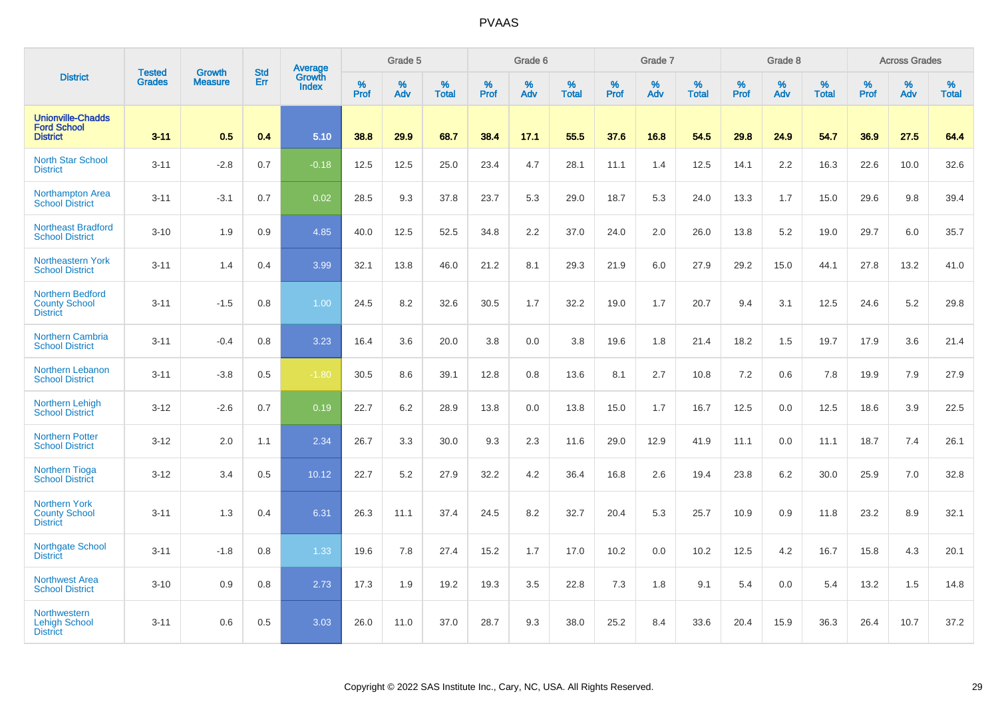|                                                                    | <b>Tested</b> | <b>Growth</b>  | <b>Std</b> | Average                |                     | Grade 5  |                   |           | Grade 6  |                   |           | Grade 7  |                   |           | Grade 8  |                   |           | <b>Across Grades</b> |                   |
|--------------------------------------------------------------------|---------------|----------------|------------|------------------------|---------------------|----------|-------------------|-----------|----------|-------------------|-----------|----------|-------------------|-----------|----------|-------------------|-----------|----------------------|-------------------|
| <b>District</b>                                                    | <b>Grades</b> | <b>Measure</b> | Err        | Growth<br><b>Index</b> | $\%$<br><b>Prof</b> | %<br>Adv | %<br><b>Total</b> | %<br>Prof | %<br>Adv | %<br><b>Total</b> | %<br>Prof | %<br>Adv | %<br><b>Total</b> | %<br>Prof | %<br>Adv | %<br><b>Total</b> | %<br>Prof | %<br>Adv             | %<br><b>Total</b> |
| <b>Unionville-Chadds</b><br><b>Ford School</b><br><b>District</b>  | $3 - 11$      | 0.5            | 0.4        | 5.10                   | 38.8                | 29.9     | 68.7              | 38.4      | 17.1     | 55.5              | 37.6      | 16.8     | 54.5              | 29.8      | 24.9     | 54.7              | 36.9      | 27.5                 | 64.4              |
| <b>North Star School</b><br><b>District</b>                        | $3 - 11$      | $-2.8$         | 0.7        | $-0.18$                | 12.5                | 12.5     | 25.0              | 23.4      | 4.7      | 28.1              | 11.1      | 1.4      | 12.5              | 14.1      | 2.2      | 16.3              | 22.6      | 10.0                 | 32.6              |
| <b>Northampton Area</b><br><b>School District</b>                  | $3 - 11$      | $-3.1$         | 0.7        | 0.02                   | 28.5                | 9.3      | 37.8              | 23.7      | 5.3      | 29.0              | 18.7      | 5.3      | 24.0              | 13.3      | 1.7      | 15.0              | 29.6      | 9.8                  | 39.4              |
| Northeast Bradford<br><b>School District</b>                       | $3 - 10$      | 1.9            | 0.9        | 4.85                   | 40.0                | 12.5     | 52.5              | 34.8      | 2.2      | 37.0              | 24.0      | 2.0      | 26.0              | 13.8      | 5.2      | 19.0              | 29.7      | 6.0                  | 35.7              |
| <b>Northeastern York</b><br><b>School District</b>                 | $3 - 11$      | 1.4            | 0.4        | 3.99                   | 32.1                | 13.8     | 46.0              | 21.2      | 8.1      | 29.3              | 21.9      | 6.0      | 27.9              | 29.2      | 15.0     | 44.1              | 27.8      | 13.2                 | 41.0              |
| <b>Northern Bedford</b><br><b>County School</b><br><b>District</b> | $3 - 11$      | $-1.5$         | 0.8        | 1.00                   | 24.5                | 8.2      | 32.6              | 30.5      | 1.7      | 32.2              | 19.0      | 1.7      | 20.7              | 9.4       | 3.1      | 12.5              | 24.6      | 5.2                  | 29.8              |
| <b>Northern Cambria</b><br><b>School District</b>                  | $3 - 11$      | $-0.4$         | 0.8        | 3.23                   | 16.4                | 3.6      | 20.0              | 3.8       | 0.0      | 3.8               | 19.6      | 1.8      | 21.4              | 18.2      | 1.5      | 19.7              | 17.9      | 3.6                  | 21.4              |
| <b>Northern Lebanon</b><br><b>School District</b>                  | $3 - 11$      | $-3.8$         | 0.5        | $-1.80$                | 30.5                | 8.6      | 39.1              | 12.8      | 0.8      | 13.6              | 8.1       | 2.7      | 10.8              | 7.2       | 0.6      | 7.8               | 19.9      | 7.9                  | 27.9              |
| <b>Northern Lehigh</b><br><b>School District</b>                   | $3 - 12$      | $-2.6$         | 0.7        | 0.19                   | 22.7                | 6.2      | 28.9              | 13.8      | 0.0      | 13.8              | 15.0      | 1.7      | 16.7              | 12.5      | 0.0      | 12.5              | 18.6      | 3.9                  | 22.5              |
| <b>Northern Potter</b><br><b>School District</b>                   | $3 - 12$      | 2.0            | 1.1        | 2.34                   | 26.7                | 3.3      | 30.0              | 9.3       | 2.3      | 11.6              | 29.0      | 12.9     | 41.9              | 11.1      | 0.0      | 11.1              | 18.7      | 7.4                  | 26.1              |
| <b>Northern Tioga</b><br><b>School District</b>                    | $3 - 12$      | 3.4            | 0.5        | 10.12                  | 22.7                | 5.2      | 27.9              | 32.2      | 4.2      | 36.4              | 16.8      | 2.6      | 19.4              | 23.8      | 6.2      | 30.0              | 25.9      | 7.0                  | 32.8              |
| <b>Northern York</b><br><b>County School</b><br><b>District</b>    | $3 - 11$      | 1.3            | 0.4        | 6.31                   | 26.3                | 11.1     | 37.4              | 24.5      | 8.2      | 32.7              | 20.4      | 5.3      | 25.7              | 10.9      | 0.9      | 11.8              | 23.2      | 8.9                  | 32.1              |
| <b>Northgate School</b><br><b>District</b>                         | $3 - 11$      | $-1.8$         | 0.8        | 1.33                   | 19.6                | 7.8      | 27.4              | 15.2      | 1.7      | 17.0              | 10.2      | 0.0      | 10.2              | 12.5      | 4.2      | 16.7              | 15.8      | 4.3                  | 20.1              |
| <b>Northwest Area</b><br><b>School District</b>                    | $3 - 10$      | 0.9            | 0.8        | 2.73                   | 17.3                | 1.9      | 19.2              | 19.3      | 3.5      | 22.8              | 7.3       | 1.8      | 9.1               | 5.4       | 0.0      | 5.4               | 13.2      | 1.5                  | 14.8              |
| <b>Northwestern</b><br><b>Lehigh School</b><br><b>District</b>     | $3 - 11$      | 0.6            | 0.5        | 3.03                   | 26.0                | 11.0     | 37.0              | 28.7      | 9.3      | 38.0              | 25.2      | 8.4      | 33.6              | 20.4      | 15.9     | 36.3              | 26.4      | 10.7                 | 37.2              |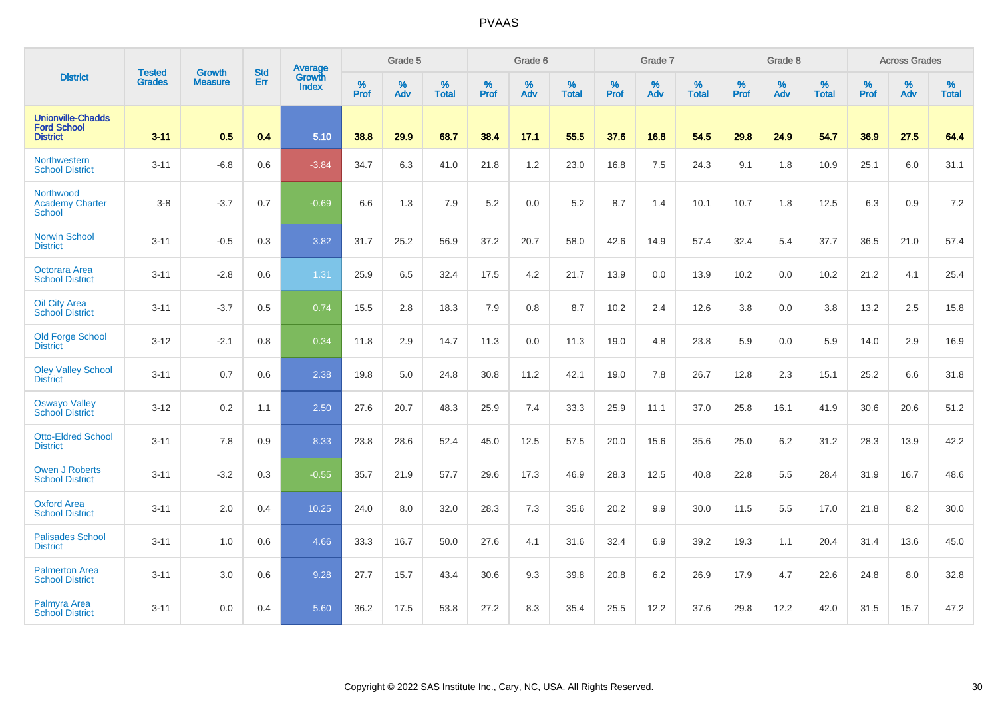|                                                                   | <b>Tested</b> | <b>Growth</b>  | <b>Std</b> | Average                       |           | Grade 5  |                   |           | Grade 6  |                   |           | Grade 7  |                   |           | Grade 8  |                   |           | <b>Across Grades</b> |                   |
|-------------------------------------------------------------------|---------------|----------------|------------|-------------------------------|-----------|----------|-------------------|-----------|----------|-------------------|-----------|----------|-------------------|-----------|----------|-------------------|-----------|----------------------|-------------------|
| <b>District</b>                                                   | <b>Grades</b> | <b>Measure</b> | Err        | <b>Growth</b><br><b>Index</b> | %<br>Prof | %<br>Adv | %<br><b>Total</b> | %<br>Prof | %<br>Adv | %<br><b>Total</b> | %<br>Prof | %<br>Adv | %<br><b>Total</b> | %<br>Prof | %<br>Adv | %<br><b>Total</b> | %<br>Prof | %<br>Adv             | %<br><b>Total</b> |
| <b>Unionville-Chadds</b><br><b>Ford School</b><br><b>District</b> | $3 - 11$      | 0.5            | 0.4        | 5.10                          | 38.8      | 29.9     | 68.7              | 38.4      | 17.1     | 55.5              | 37.6      | 16.8     | 54.5              | 29.8      | 24.9     | 54.7              | 36.9      | 27.5                 | 64.4              |
| Northwestern<br><b>School District</b>                            | $3 - 11$      | $-6.8$         | 0.6        | $-3.84$                       | 34.7      | 6.3      | 41.0              | 21.8      | 1.2      | 23.0              | 16.8      | 7.5      | 24.3              | 9.1       | 1.8      | 10.9              | 25.1      | 6.0                  | 31.1              |
| Northwood<br><b>Academy Charter</b><br><b>School</b>              | $3-8$         | $-3.7$         | 0.7        | $-0.69$                       | 6.6       | 1.3      | 7.9               | 5.2       | 0.0      | 5.2               | 8.7       | 1.4      | 10.1              | 10.7      | 1.8      | 12.5              | 6.3       | 0.9                  | $7.2\,$           |
| <b>Norwin School</b><br><b>District</b>                           | $3 - 11$      | $-0.5$         | 0.3        | 3.82                          | 31.7      | 25.2     | 56.9              | 37.2      | 20.7     | 58.0              | 42.6      | 14.9     | 57.4              | 32.4      | 5.4      | 37.7              | 36.5      | 21.0                 | 57.4              |
| <b>Octorara Area</b><br><b>School District</b>                    | $3 - 11$      | $-2.8$         | 0.6        | 1.31                          | 25.9      | 6.5      | 32.4              | 17.5      | 4.2      | 21.7              | 13.9      | 0.0      | 13.9              | 10.2      | 0.0      | 10.2              | 21.2      | 4.1                  | 25.4              |
| <b>Oil City Area</b><br><b>School District</b>                    | $3 - 11$      | $-3.7$         | 0.5        | 0.74                          | 15.5      | 2.8      | 18.3              | 7.9       | 0.8      | 8.7               | 10.2      | 2.4      | 12.6              | 3.8       | 0.0      | 3.8               | 13.2      | 2.5                  | 15.8              |
| <b>Old Forge School</b><br><b>District</b>                        | $3 - 12$      | $-2.1$         | 0.8        | 0.34                          | 11.8      | 2.9      | 14.7              | 11.3      | 0.0      | 11.3              | 19.0      | 4.8      | 23.8              | 5.9       | 0.0      | 5.9               | 14.0      | 2.9                  | 16.9              |
| <b>Oley Valley School</b><br><b>District</b>                      | $3 - 11$      | 0.7            | 0.6        | 2.38                          | 19.8      | 5.0      | 24.8              | 30.8      | 11.2     | 42.1              | 19.0      | 7.8      | 26.7              | 12.8      | 2.3      | 15.1              | 25.2      | 6.6                  | 31.8              |
| <b>Oswayo Valley</b><br><b>School District</b>                    | $3 - 12$      | 0.2            | 1.1        | 2.50                          | 27.6      | 20.7     | 48.3              | 25.9      | 7.4      | 33.3              | 25.9      | 11.1     | 37.0              | 25.8      | 16.1     | 41.9              | 30.6      | 20.6                 | 51.2              |
| <b>Otto-Eldred School</b><br><b>District</b>                      | $3 - 11$      | 7.8            | 0.9        | 8.33                          | 23.8      | 28.6     | 52.4              | 45.0      | 12.5     | 57.5              | 20.0      | 15.6     | 35.6              | 25.0      | 6.2      | 31.2              | 28.3      | 13.9                 | 42.2              |
| <b>Owen J Roberts</b><br><b>School District</b>                   | $3 - 11$      | $-3.2$         | 0.3        | $-0.55$                       | 35.7      | 21.9     | 57.7              | 29.6      | 17.3     | 46.9              | 28.3      | 12.5     | 40.8              | 22.8      | 5.5      | 28.4              | 31.9      | 16.7                 | 48.6              |
| <b>Oxford Area</b><br><b>School District</b>                      | $3 - 11$      | 2.0            | 0.4        | 10.25                         | 24.0      | 8.0      | 32.0              | 28.3      | 7.3      | 35.6              | 20.2      | 9.9      | 30.0              | 11.5      | 5.5      | 17.0              | 21.8      | 8.2                  | 30.0              |
| <b>Palisades School</b><br><b>District</b>                        | $3 - 11$      | 1.0            | 0.6        | 4.66                          | 33.3      | 16.7     | 50.0              | 27.6      | 4.1      | 31.6              | 32.4      | 6.9      | 39.2              | 19.3      | 1.1      | 20.4              | 31.4      | 13.6                 | 45.0              |
| <b>Palmerton Area</b><br><b>School District</b>                   | $3 - 11$      | 3.0            | 0.6        | 9.28                          | 27.7      | 15.7     | 43.4              | 30.6      | 9.3      | 39.8              | 20.8      | 6.2      | 26.9              | 17.9      | 4.7      | 22.6              | 24.8      | 8.0                  | 32.8              |
| <b>Palmyra Area</b><br><b>School District</b>                     | $3 - 11$      | 0.0            | 0.4        | 5.60                          | 36.2      | 17.5     | 53.8              | 27.2      | 8.3      | 35.4              | 25.5      | 12.2     | 37.6              | 29.8      | 12.2     | 42.0              | 31.5      | 15.7                 | 47.2              |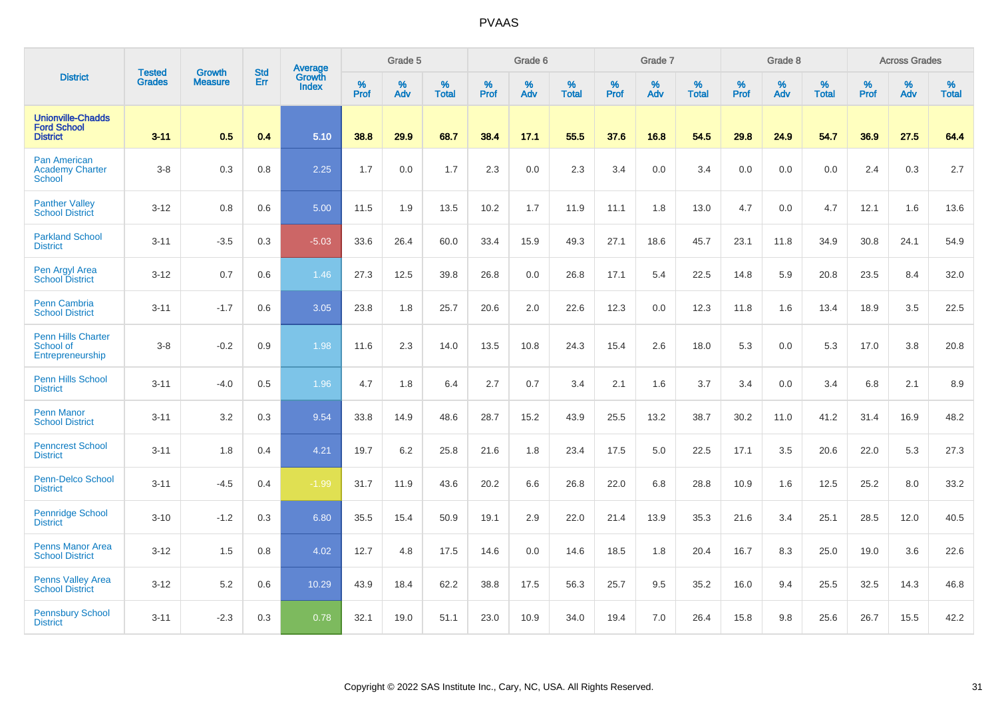|                                                                   |                                |                                 | <b>Std</b> | Average                |              | Grade 5  |                   |           | Grade 6  |                   |           | Grade 7  |                   |           | Grade 8  |                   |           | <b>Across Grades</b> |                   |
|-------------------------------------------------------------------|--------------------------------|---------------------------------|------------|------------------------|--------------|----------|-------------------|-----------|----------|-------------------|-----------|----------|-------------------|-----------|----------|-------------------|-----------|----------------------|-------------------|
| <b>District</b>                                                   | <b>Tested</b><br><b>Grades</b> | <b>Growth</b><br><b>Measure</b> | Err        | <b>Growth</b><br>Index | $\%$<br>Prof | %<br>Adv | %<br><b>Total</b> | %<br>Prof | %<br>Adv | %<br><b>Total</b> | %<br>Prof | %<br>Adv | %<br><b>Total</b> | %<br>Prof | %<br>Adv | %<br><b>Total</b> | %<br>Prof | %<br>Adv             | %<br><b>Total</b> |
| <b>Unionville-Chadds</b><br><b>Ford School</b><br><b>District</b> | $3 - 11$                       | 0.5                             | 0.4        | 5.10                   | 38.8         | 29.9     | 68.7              | 38.4      | 17.1     | 55.5              | 37.6      | 16.8     | 54.5              | 29.8      | 24.9     | 54.7              | 36.9      | 27.5                 | 64.4              |
| <b>Pan American</b><br><b>Academy Charter</b><br><b>School</b>    | $3 - 8$                        | 0.3                             | 0.8        | 2.25                   | 1.7          | 0.0      | 1.7               | 2.3       | 0.0      | 2.3               | 3.4       | 0.0      | 3.4               | 0.0       | 0.0      | 0.0               | 2.4       | 0.3                  | 2.7               |
| <b>Panther Valley</b><br><b>School District</b>                   | $3 - 12$                       | 0.8                             | 0.6        | 5.00                   | 11.5         | 1.9      | 13.5              | 10.2      | 1.7      | 11.9              | 11.1      | 1.8      | 13.0              | 4.7       | 0.0      | 4.7               | 12.1      | 1.6                  | 13.6              |
| <b>Parkland School</b><br><b>District</b>                         | $3 - 11$                       | $-3.5$                          | 0.3        | $-5.03$                | 33.6         | 26.4     | 60.0              | 33.4      | 15.9     | 49.3              | 27.1      | 18.6     | 45.7              | 23.1      | 11.8     | 34.9              | 30.8      | 24.1                 | 54.9              |
| Pen Argyl Area<br><b>School District</b>                          | $3 - 12$                       | 0.7                             | 0.6        | 1.46                   | 27.3         | 12.5     | 39.8              | 26.8      | 0.0      | 26.8              | 17.1      | 5.4      | 22.5              | 14.8      | 5.9      | 20.8              | 23.5      | 8.4                  | 32.0              |
| <b>Penn Cambria</b><br><b>School District</b>                     | $3 - 11$                       | $-1.7$                          | 0.6        | 3.05                   | 23.8         | 1.8      | 25.7              | 20.6      | 2.0      | 22.6              | 12.3      | 0.0      | 12.3              | 11.8      | 1.6      | 13.4              | 18.9      | 3.5                  | 22.5              |
| <b>Penn Hills Charter</b><br>School of<br>Entrepreneurship        | $3 - 8$                        | $-0.2$                          | 0.9        | 1.98                   | 11.6         | 2.3      | 14.0              | 13.5      | 10.8     | 24.3              | 15.4      | 2.6      | 18.0              | 5.3       | 0.0      | 5.3               | 17.0      | 3.8                  | 20.8              |
| <b>Penn Hills School</b><br><b>District</b>                       | $3 - 11$                       | $-4.0$                          | 0.5        | 1.96                   | 4.7          | 1.8      | 6.4               | 2.7       | 0.7      | 3.4               | 2.1       | 1.6      | 3.7               | 3.4       | 0.0      | 3.4               | 6.8       | 2.1                  | 8.9               |
| <b>Penn Manor</b><br><b>School District</b>                       | $3 - 11$                       | 3.2                             | 0.3        | 9.54                   | 33.8         | 14.9     | 48.6              | 28.7      | 15.2     | 43.9              | 25.5      | 13.2     | 38.7              | 30.2      | 11.0     | 41.2              | 31.4      | 16.9                 | 48.2              |
| <b>Penncrest School</b><br><b>District</b>                        | $3 - 11$                       | 1.8                             | 0.4        | 4.21                   | 19.7         | 6.2      | 25.8              | 21.6      | 1.8      | 23.4              | 17.5      | 5.0      | 22.5              | 17.1      | 3.5      | 20.6              | 22.0      | 5.3                  | 27.3              |
| Penn-Delco School<br><b>District</b>                              | $3 - 11$                       | $-4.5$                          | 0.4        | $-1.99$                | 31.7         | 11.9     | 43.6              | 20.2      | 6.6      | 26.8              | 22.0      | 6.8      | 28.8              | 10.9      | 1.6      | 12.5              | 25.2      | 8.0                  | 33.2              |
| <b>Pennridge School</b><br><b>District</b>                        | $3 - 10$                       | $-1.2$                          | 0.3        | 6.80                   | 35.5         | 15.4     | 50.9              | 19.1      | 2.9      | 22.0              | 21.4      | 13.9     | 35.3              | 21.6      | 3.4      | 25.1              | 28.5      | 12.0                 | 40.5              |
| <b>Penns Manor Area</b><br><b>School District</b>                 | $3 - 12$                       | 1.5                             | 0.8        | 4.02                   | 12.7         | 4.8      | 17.5              | 14.6      | 0.0      | 14.6              | 18.5      | 1.8      | 20.4              | 16.7      | 8.3      | 25.0              | 19.0      | 3.6                  | 22.6              |
| <b>Penns Valley Area</b><br><b>School District</b>                | $3 - 12$                       | 5.2                             | 0.6        | 10.29                  | 43.9         | 18.4     | 62.2              | 38.8      | 17.5     | 56.3              | 25.7      | 9.5      | 35.2              | 16.0      | 9.4      | 25.5              | 32.5      | 14.3                 | 46.8              |
| <b>Pennsbury School</b><br><b>District</b>                        | $3 - 11$                       | $-2.3$                          | 0.3        | 0.78                   | 32.1         | 19.0     | 51.1              | 23.0      | 10.9     | 34.0              | 19.4      | 7.0      | 26.4              | 15.8      | 9.8      | 25.6              | 26.7      | 15.5                 | 42.2              |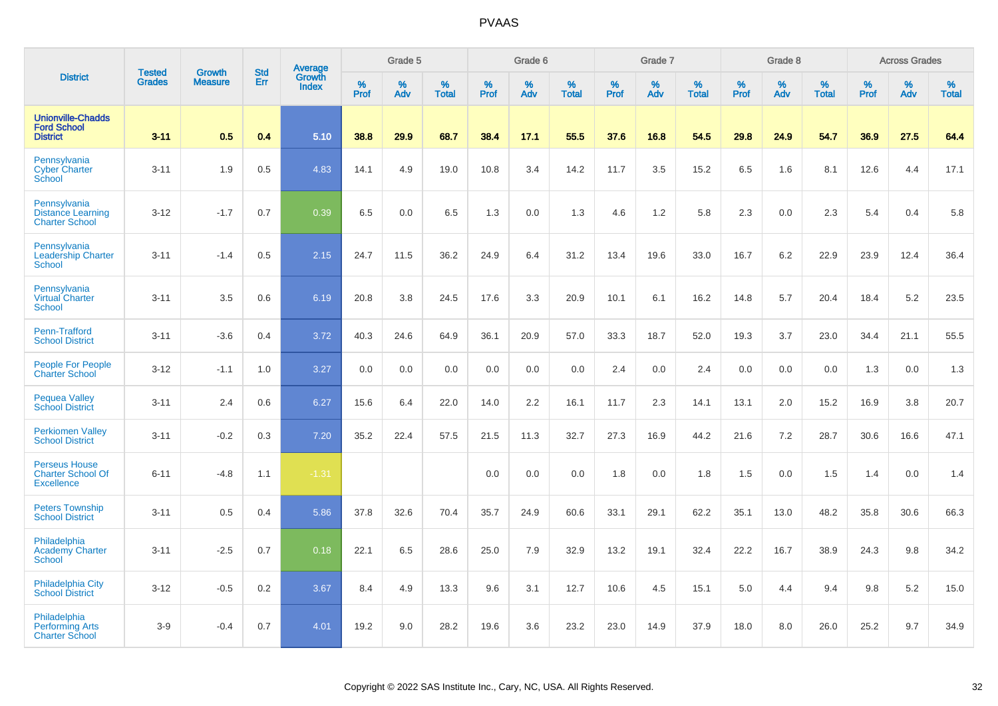|                                                                       |                                | <b>Growth</b>  | <b>Std</b> | Average                |                     | Grade 5     |                      |                  | Grade 6  |                   |                  | Grade 7  |                   |           | Grade 8  |                      |              | <b>Across Grades</b> |                   |
|-----------------------------------------------------------------------|--------------------------------|----------------|------------|------------------------|---------------------|-------------|----------------------|------------------|----------|-------------------|------------------|----------|-------------------|-----------|----------|----------------------|--------------|----------------------|-------------------|
| <b>District</b>                                                       | <b>Tested</b><br><b>Grades</b> | <b>Measure</b> | Err        | Growth<br><b>Index</b> | $\%$<br><b>Prof</b> | $\%$<br>Adv | $\%$<br><b>Total</b> | %<br><b>Prof</b> | %<br>Adv | %<br><b>Total</b> | %<br><b>Prof</b> | %<br>Adv | %<br><b>Total</b> | %<br>Prof | %<br>Adv | $\%$<br><b>Total</b> | $\%$<br>Prof | $\%$<br>Adv          | %<br><b>Total</b> |
| <b>Unionville-Chadds</b><br><b>Ford School</b><br><b>District</b>     | $3 - 11$                       | 0.5            | 0.4        | 5.10                   | 38.8                | 29.9        | 68.7                 | 38.4             | 17.1     | 55.5              | 37.6             | 16.8     | 54.5              | 29.8      | 24.9     | 54.7                 | 36.9         | 27.5                 | 64.4              |
| Pennsylvania<br><b>Cyber Charter</b><br>School                        | $3 - 11$                       | 1.9            | 0.5        | 4.83                   | 14.1                | 4.9         | 19.0                 | 10.8             | 3.4      | 14.2              | 11.7             | 3.5      | 15.2              | 6.5       | 1.6      | 8.1                  | 12.6         | 4.4                  | 17.1              |
| Pennsylvania<br><b>Distance Learning</b><br><b>Charter School</b>     | $3 - 12$                       | $-1.7$         | 0.7        | 0.39                   | 6.5                 | 0.0         | 6.5                  | 1.3              | 0.0      | 1.3               | 4.6              | 1.2      | 5.8               | 2.3       | 0.0      | 2.3                  | 5.4          | 0.4                  | 5.8               |
| Pennsylvania<br><b>Leadership Charter</b><br><b>School</b>            | $3 - 11$                       | $-1.4$         | 0.5        | 2.15                   | 24.7                | 11.5        | 36.2                 | 24.9             | 6.4      | 31.2              | 13.4             | 19.6     | 33.0              | 16.7      | 6.2      | 22.9                 | 23.9         | 12.4                 | 36.4              |
| Pennsylvania<br><b>Virtual Charter</b><br><b>School</b>               | $3 - 11$                       | 3.5            | 0.6        | 6.19                   | 20.8                | 3.8         | 24.5                 | 17.6             | 3.3      | 20.9              | 10.1             | 6.1      | 16.2              | 14.8      | 5.7      | 20.4                 | 18.4         | 5.2                  | 23.5              |
| Penn-Trafford<br><b>School District</b>                               | $3 - 11$                       | $-3.6$         | 0.4        | 3.72                   | 40.3                | 24.6        | 64.9                 | 36.1             | 20.9     | 57.0              | 33.3             | 18.7     | 52.0              | 19.3      | 3.7      | 23.0                 | 34.4         | 21.1                 | 55.5              |
| People For People<br><b>Charter School</b>                            | $3 - 12$                       | $-1.1$         | 1.0        | 3.27                   | 0.0                 | 0.0         | 0.0                  | 0.0              | 0.0      | 0.0               | 2.4              | 0.0      | 2.4               | 0.0       | 0.0      | 0.0                  | 1.3          | 0.0                  | 1.3               |
| <b>Pequea Valley</b><br><b>School District</b>                        | $3 - 11$                       | 2.4            | 0.6        | 6.27                   | 15.6                | 6.4         | 22.0                 | 14.0             | 2.2      | 16.1              | 11.7             | 2.3      | 14.1              | 13.1      | 2.0      | 15.2                 | 16.9         | 3.8                  | 20.7              |
| <b>Perkiomen Valley</b><br><b>School District</b>                     | $3 - 11$                       | $-0.2$         | 0.3        | 7.20                   | 35.2                | 22.4        | 57.5                 | 21.5             | 11.3     | 32.7              | 27.3             | 16.9     | 44.2              | 21.6      | 7.2      | 28.7                 | 30.6         | 16.6                 | 47.1              |
| <b>Perseus House</b><br><b>Charter School Of</b><br><b>Excellence</b> | $6 - 11$                       | $-4.8$         | 1.1        | $-1.31$                |                     |             |                      | 0.0              | 0.0      | 0.0               | 1.8              | 0.0      | 1.8               | 1.5       | 0.0      | 1.5                  | 1.4          | 0.0                  | 1.4               |
| <b>Peters Township</b><br><b>School District</b>                      | $3 - 11$                       | 0.5            | 0.4        | 5.86                   | 37.8                | 32.6        | 70.4                 | 35.7             | 24.9     | 60.6              | 33.1             | 29.1     | 62.2              | 35.1      | 13.0     | 48.2                 | 35.8         | 30.6                 | 66.3              |
| Philadelphia<br><b>Academy Charter</b><br><b>School</b>               | $3 - 11$                       | $-2.5$         | 0.7        | 0.18                   | 22.1                | 6.5         | 28.6                 | 25.0             | 7.9      | 32.9              | 13.2             | 19.1     | 32.4              | 22.2      | 16.7     | 38.9                 | 24.3         | 9.8                  | 34.2              |
| <b>Philadelphia City</b><br><b>School District</b>                    | $3 - 12$                       | $-0.5$         | 0.2        | 3.67                   | 8.4                 | 4.9         | 13.3                 | 9.6              | 3.1      | 12.7              | 10.6             | 4.5      | 15.1              | 5.0       | 4.4      | 9.4                  | 9.8          | 5.2                  | 15.0              |
| Philadelphia<br><b>Performing Arts</b><br><b>Charter School</b>       | $3-9$                          | $-0.4$         | 0.7        | 4.01                   | 19.2                | 9.0         | 28.2                 | 19.6             | 3.6      | 23.2              | 23.0             | 14.9     | 37.9              | 18.0      | 8.0      | 26.0                 | 25.2         | 9.7                  | 34.9              |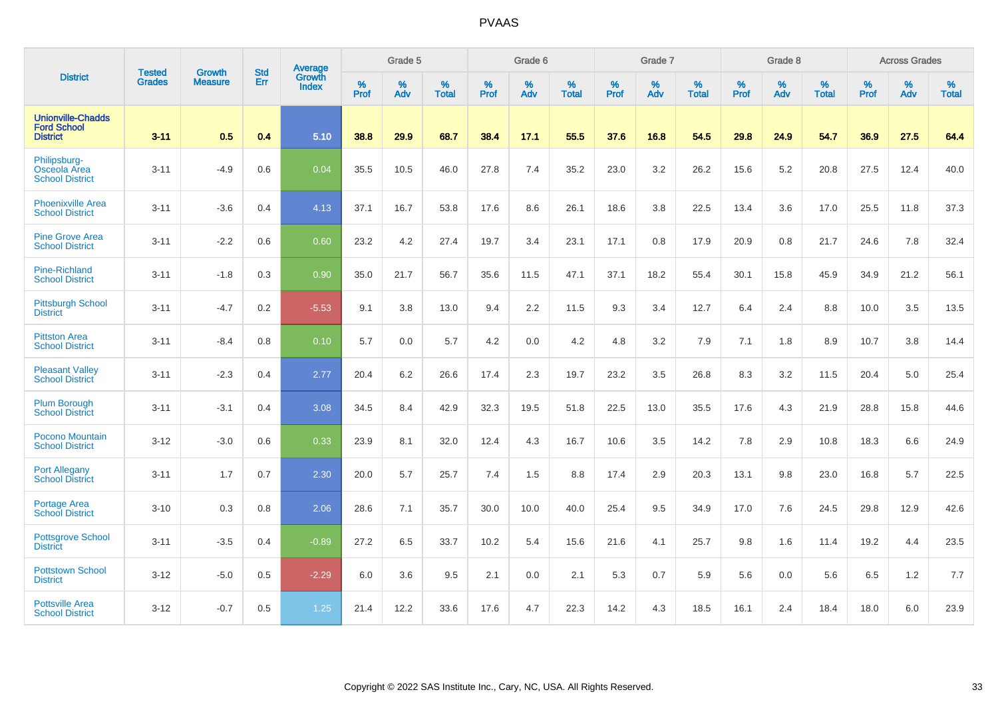|                                                                   |                                |                                 | <b>Std</b> | Average                |           | Grade 5  |                   |           | Grade 6  |                   |           | Grade 7  |                   |           | Grade 8  |                   |           | <b>Across Grades</b> |                   |
|-------------------------------------------------------------------|--------------------------------|---------------------------------|------------|------------------------|-----------|----------|-------------------|-----------|----------|-------------------|-----------|----------|-------------------|-----------|----------|-------------------|-----------|----------------------|-------------------|
| <b>District</b>                                                   | <b>Tested</b><br><b>Grades</b> | <b>Growth</b><br><b>Measure</b> | Err        | Growth<br><b>Index</b> | %<br>Prof | %<br>Adv | %<br><b>Total</b> | %<br>Prof | %<br>Adv | %<br><b>Total</b> | %<br>Prof | %<br>Adv | %<br><b>Total</b> | %<br>Prof | %<br>Adv | %<br><b>Total</b> | %<br>Prof | %<br>Adv             | %<br><b>Total</b> |
| <b>Unionville-Chadds</b><br><b>Ford School</b><br><b>District</b> | $3 - 11$                       | 0.5                             | 0.4        | 5.10                   | 38.8      | 29.9     | 68.7              | 38.4      | 17.1     | 55.5              | 37.6      | 16.8     | 54.5              | 29.8      | 24.9     | 54.7              | 36.9      | 27.5                 | 64.4              |
| Philipsburg-<br>Osceola Area<br><b>School District</b>            | $3 - 11$                       | $-4.9$                          | 0.6        | 0.04                   | 35.5      | 10.5     | 46.0              | 27.8      | 7.4      | 35.2              | 23.0      | 3.2      | 26.2              | 15.6      | 5.2      | 20.8              | 27.5      | 12.4                 | 40.0              |
| <b>Phoenixville Area</b><br><b>School District</b>                | $3 - 11$                       | $-3.6$                          | 0.4        | 4.13                   | 37.1      | 16.7     | 53.8              | 17.6      | 8.6      | 26.1              | 18.6      | 3.8      | 22.5              | 13.4      | 3.6      | 17.0              | 25.5      | 11.8                 | 37.3              |
| <b>Pine Grove Area</b><br><b>School District</b>                  | $3 - 11$                       | $-2.2$                          | 0.6        | 0.60                   | 23.2      | 4.2      | 27.4              | 19.7      | 3.4      | 23.1              | 17.1      | 0.8      | 17.9              | 20.9      | 0.8      | 21.7              | 24.6      | 7.8                  | 32.4              |
| Pine-Richland<br><b>School District</b>                           | $3 - 11$                       | $-1.8$                          | 0.3        | 0.90                   | 35.0      | 21.7     | 56.7              | 35.6      | 11.5     | 47.1              | 37.1      | 18.2     | 55.4              | 30.1      | 15.8     | 45.9              | 34.9      | 21.2                 | 56.1              |
| <b>Pittsburgh School</b><br><b>District</b>                       | $3 - 11$                       | $-4.7$                          | 0.2        | $-5.53$                | 9.1       | 3.8      | 13.0              | 9.4       | 2.2      | 11.5              | 9.3       | 3.4      | 12.7              | 6.4       | 2.4      | 8.8               | 10.0      | 3.5                  | 13.5              |
| <b>Pittston Area</b><br><b>School District</b>                    | $3 - 11$                       | $-8.4$                          | 0.8        | 0.10                   | 5.7       | 0.0      | 5.7               | 4.2       | 0.0      | 4.2               | 4.8       | 3.2      | 7.9               | 7.1       | 1.8      | 8.9               | 10.7      | 3.8                  | 14.4              |
| <b>Pleasant Valley</b><br><b>School District</b>                  | $3 - 11$                       | $-2.3$                          | 0.4        | 2.77                   | 20.4      | 6.2      | 26.6              | 17.4      | 2.3      | 19.7              | 23.2      | 3.5      | 26.8              | 8.3       | 3.2      | 11.5              | 20.4      | 5.0                  | 25.4              |
| <b>Plum Borough</b><br><b>School District</b>                     | $3 - 11$                       | $-3.1$                          | 0.4        | 3.08                   | 34.5      | 8.4      | 42.9              | 32.3      | 19.5     | 51.8              | 22.5      | 13.0     | 35.5              | 17.6      | 4.3      | 21.9              | 28.8      | 15.8                 | 44.6              |
| Pocono Mountain<br><b>School District</b>                         | $3 - 12$                       | $-3.0$                          | 0.6        | 0.33                   | 23.9      | 8.1      | 32.0              | 12.4      | 4.3      | 16.7              | 10.6      | 3.5      | 14.2              | 7.8       | 2.9      | 10.8              | 18.3      | 6.6                  | 24.9              |
| <b>Port Allegany</b><br><b>School District</b>                    | $3 - 11$                       | 1.7                             | 0.7        | 2.30                   | 20.0      | 5.7      | 25.7              | 7.4       | 1.5      | 8.8               | 17.4      | 2.9      | 20.3              | 13.1      | 9.8      | 23.0              | 16.8      | 5.7                  | 22.5              |
| <b>Portage Area</b><br><b>School District</b>                     | $3 - 10$                       | 0.3                             | 0.8        | 2.06                   | 28.6      | 7.1      | 35.7              | 30.0      | 10.0     | 40.0              | 25.4      | 9.5      | 34.9              | 17.0      | 7.6      | 24.5              | 29.8      | 12.9                 | 42.6              |
| <b>Pottsgrove School</b><br><b>District</b>                       | $3 - 11$                       | $-3.5$                          | 0.4        | $-0.89$                | 27.2      | 6.5      | 33.7              | 10.2      | 5.4      | 15.6              | 21.6      | 4.1      | 25.7              | 9.8       | 1.6      | 11.4              | 19.2      | 4.4                  | 23.5              |
| <b>Pottstown School</b><br><b>District</b>                        | $3 - 12$                       | $-5.0$                          | 0.5        | $-2.29$                | 6.0       | 3.6      | 9.5               | 2.1       | 0.0      | 2.1               | 5.3       | 0.7      | 5.9               | 5.6       | 0.0      | 5.6               | 6.5       | 1.2                  | 7.7               |
| <b>Pottsville Area</b><br><b>School District</b>                  | $3 - 12$                       | $-0.7$                          | 0.5        | 1.25                   | 21.4      | 12.2     | 33.6              | 17.6      | 4.7      | 22.3              | 14.2      | 4.3      | 18.5              | 16.1      | 2.4      | 18.4              | 18.0      | 6.0                  | 23.9              |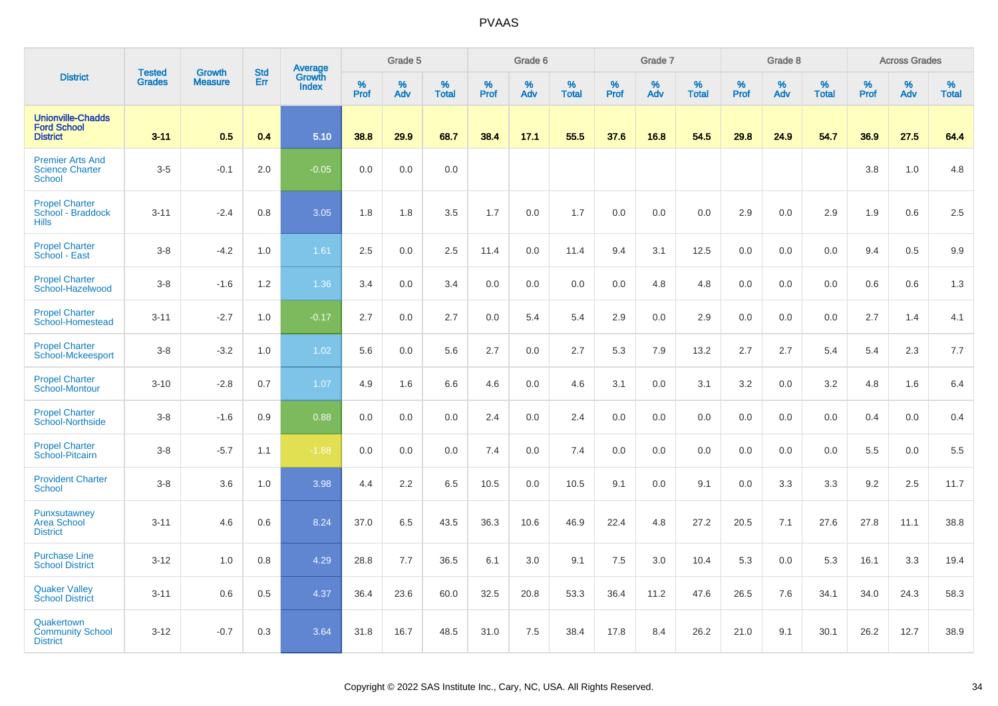|                                                                    | <b>Tested</b> | <b>Growth</b>  | <b>Std</b> | <b>Average</b><br>Growth |                     | Grade 5  |                   |           | Grade 6  |                   |           | Grade 7  |                   |                  | Grade 8  |                   |                  | <b>Across Grades</b> |                   |
|--------------------------------------------------------------------|---------------|----------------|------------|--------------------------|---------------------|----------|-------------------|-----------|----------|-------------------|-----------|----------|-------------------|------------------|----------|-------------------|------------------|----------------------|-------------------|
| <b>District</b>                                                    | <b>Grades</b> | <b>Measure</b> | Err        | Index                    | $\%$<br><b>Prof</b> | %<br>Adv | %<br><b>Total</b> | %<br>Prof | %<br>Adv | %<br><b>Total</b> | %<br>Prof | %<br>Adv | %<br><b>Total</b> | %<br><b>Prof</b> | %<br>Adv | %<br><b>Total</b> | %<br><b>Prof</b> | %<br>Adv             | %<br><b>Total</b> |
| <b>Unionville-Chadds</b><br><b>Ford School</b><br><b>District</b>  | $3 - 11$      | 0.5            | 0.4        | 5.10                     | 38.8                | 29.9     | 68.7              | 38.4      | 17.1     | 55.5              | 37.6      | 16.8     | 54.5              | 29.8             | 24.9     | 54.7              | 36.9             | 27.5                 | 64.4              |
| <b>Premier Arts And</b><br><b>Science Charter</b><br><b>School</b> | $3-5$         | $-0.1$         | 2.0        | $-0.05$                  | 0.0                 | 0.0      | 0.0               |           |          |                   |           |          |                   |                  |          |                   | 3.8              | 1.0                  | 4.8               |
| <b>Propel Charter</b><br>School - Braddock<br><b>Hills</b>         | $3 - 11$      | $-2.4$         | 0.8        | 3.05                     | 1.8                 | 1.8      | 3.5               | 1.7       | 0.0      | 1.7               | 0.0       | 0.0      | 0.0               | 2.9              | 0.0      | 2.9               | 1.9              | 0.6                  | 2.5               |
| <b>Propel Charter</b><br>School - East                             | $3-8$         | $-4.2$         | 1.0        | 1.61                     | 2.5                 | 0.0      | 2.5               | 11.4      | 0.0      | 11.4              | 9.4       | 3.1      | 12.5              | 0.0              | 0.0      | 0.0               | 9.4              | 0.5                  | 9.9               |
| <b>Propel Charter</b><br>School-Hazelwood                          | $3-8$         | $-1.6$         | 1.2        | 1.36                     | 3.4                 | 0.0      | 3.4               | $0.0\,$   | 0.0      | 0.0               | 0.0       | 4.8      | 4.8               | 0.0              | 0.0      | 0.0               | 0.6              | 0.6                  | 1.3               |
| <b>Propel Charter</b><br>School-Homestead                          | $3 - 11$      | $-2.7$         | 1.0        | $-0.17$                  | 2.7                 | 0.0      | 2.7               | 0.0       | 5.4      | 5.4               | 2.9       | 0.0      | 2.9               | 0.0              | 0.0      | 0.0               | 2.7              | 1.4                  | 4.1               |
| <b>Propel Charter</b><br><b>School-Mckeesport</b>                  | $3-8$         | $-3.2$         | $1.0$      | 1.02                     | 5.6                 | 0.0      | 5.6               | 2.7       | 0.0      | 2.7               | 5.3       | 7.9      | 13.2              | 2.7              | 2.7      | 5.4               | 5.4              | 2.3                  | 7.7               |
| <b>Propel Charter</b><br>School-Montour                            | $3 - 10$      | $-2.8$         | 0.7        | 1.07                     | 4.9                 | 1.6      | 6.6               | 4.6       | 0.0      | 4.6               | 3.1       | 0.0      | 3.1               | 3.2              | 0.0      | 3.2               | 4.8              | 1.6                  | 6.4               |
| <b>Propel Charter</b><br><b>School-Northside</b>                   | $3 - 8$       | $-1.6$         | 0.9        | 0.88                     | 0.0                 | 0.0      | 0.0               | 2.4       | 0.0      | 2.4               | 0.0       | 0.0      | 0.0               | 0.0              | 0.0      | 0.0               | 0.4              | 0.0                  | 0.4               |
| <b>Propel Charter</b><br>School-Pitcairn                           | $3 - 8$       | $-5.7$         | 1.1        | $-1.88$                  | 0.0                 | 0.0      | 0.0               | 7.4       | 0.0      | 7.4               | 0.0       | 0.0      | 0.0               | 0.0              | 0.0      | 0.0               | 5.5              | 0.0                  | 5.5               |
| <b>Provident Charter</b><br>School                                 | $3-8$         | 3.6            | 1.0        | 3.98                     | 4.4                 | 2.2      | 6.5               | 10.5      | 0.0      | 10.5              | 9.1       | 0.0      | 9.1               | 0.0              | 3.3      | 3.3               | 9.2              | 2.5                  | 11.7              |
| Punxsutawney<br><b>Area School</b><br><b>District</b>              | $3 - 11$      | 4.6            | 0.6        | 8.24                     | 37.0                | 6.5      | 43.5              | 36.3      | 10.6     | 46.9              | 22.4      | 4.8      | 27.2              | 20.5             | 7.1      | 27.6              | 27.8             | 11.1                 | 38.8              |
| <b>Purchase Line</b><br><b>School District</b>                     | $3 - 12$      | 1.0            | 0.8        | 4.29                     | 28.8                | 7.7      | 36.5              | 6.1       | 3.0      | 9.1               | 7.5       | 3.0      | 10.4              | 5.3              | 0.0      | 5.3               | 16.1             | 3.3                  | 19.4              |
| <b>Quaker Valley</b><br><b>School District</b>                     | $3 - 11$      | 0.6            | 0.5        | 4.37                     | 36.4                | 23.6     | 60.0              | 32.5      | 20.8     | 53.3              | 36.4      | 11.2     | 47.6              | 26.5             | 7.6      | 34.1              | 34.0             | 24.3                 | 58.3              |
| Quakertown<br><b>Community School</b><br><b>District</b>           | $3 - 12$      | $-0.7$         | 0.3        | 3.64                     | 31.8                | 16.7     | 48.5              | 31.0      | 7.5      | 38.4              | 17.8      | 8.4      | 26.2              | 21.0             | 9.1      | 30.1              | 26.2             | 12.7                 | 38.9              |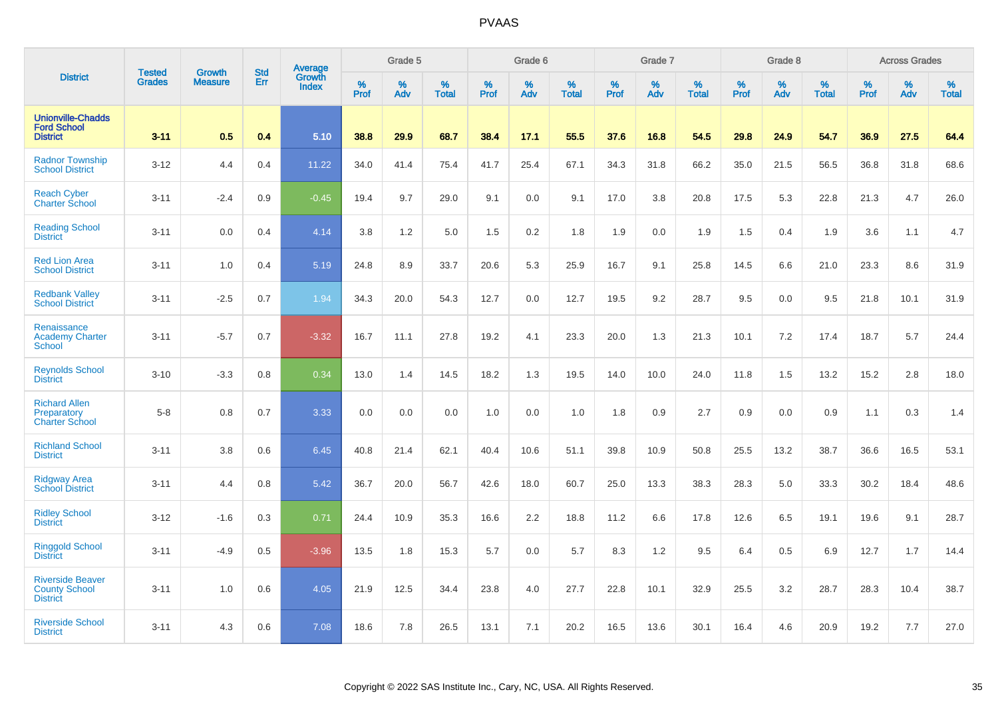|                                                                    |                                | <b>Growth</b>  | <b>Std</b> | Average         |              | Grade 5  |                   |           | Grade 6  |                   |           | Grade 7  |                   |           | Grade 8  |                   |           | <b>Across Grades</b> |                   |
|--------------------------------------------------------------------|--------------------------------|----------------|------------|-----------------|--------------|----------|-------------------|-----------|----------|-------------------|-----------|----------|-------------------|-----------|----------|-------------------|-----------|----------------------|-------------------|
| <b>District</b>                                                    | <b>Tested</b><br><b>Grades</b> | <b>Measure</b> | Err        | Growth<br>Index | $\%$<br>Prof | %<br>Adv | %<br><b>Total</b> | %<br>Prof | %<br>Adv | %<br><b>Total</b> | %<br>Prof | %<br>Adv | %<br><b>Total</b> | %<br>Prof | %<br>Adv | %<br><b>Total</b> | %<br>Prof | %<br>Adv             | %<br><b>Total</b> |
| <b>Unionville-Chadds</b><br><b>Ford School</b><br><b>District</b>  | $3 - 11$                       | 0.5            | 0.4        | 5.10            | 38.8         | 29.9     | 68.7              | 38.4      | 17.1     | 55.5              | 37.6      | 16.8     | 54.5              | 29.8      | 24.9     | 54.7              | 36.9      | 27.5                 | 64.4              |
| <b>Radnor Township</b><br><b>School District</b>                   | $3 - 12$                       | 4.4            | 0.4        | 11.22           | 34.0         | 41.4     | 75.4              | 41.7      | 25.4     | 67.1              | 34.3      | 31.8     | 66.2              | 35.0      | 21.5     | 56.5              | 36.8      | 31.8                 | 68.6              |
| <b>Reach Cyber</b><br><b>Charter School</b>                        | $3 - 11$                       | $-2.4$         | 0.9        | $-0.45$         | 19.4         | 9.7      | 29.0              | 9.1       | 0.0      | 9.1               | 17.0      | 3.8      | 20.8              | 17.5      | 5.3      | 22.8              | 21.3      | 4.7                  | 26.0              |
| <b>Reading School</b><br><b>District</b>                           | $3 - 11$                       | 0.0            | 0.4        | 4.14            | 3.8          | 1.2      | 5.0               | 1.5       | 0.2      | 1.8               | 1.9       | 0.0      | 1.9               | 1.5       | 0.4      | 1.9               | 3.6       | 1.1                  | 4.7               |
| <b>Red Lion Area</b><br><b>School District</b>                     | $3 - 11$                       | 1.0            | 0.4        | 5.19            | 24.8         | 8.9      | 33.7              | 20.6      | 5.3      | 25.9              | 16.7      | 9.1      | 25.8              | 14.5      | 6.6      | 21.0              | 23.3      | 8.6                  | 31.9              |
| <b>Redbank Valley</b><br><b>School District</b>                    | $3 - 11$                       | $-2.5$         | 0.7        | 1.94            | 34.3         | 20.0     | 54.3              | 12.7      | 0.0      | 12.7              | 19.5      | 9.2      | 28.7              | 9.5       | 0.0      | 9.5               | 21.8      | 10.1                 | 31.9              |
| Renaissance<br><b>Academy Charter</b><br><b>School</b>             | $3 - 11$                       | $-5.7$         | 0.7        | $-3.32$         | 16.7         | 11.1     | 27.8              | 19.2      | 4.1      | 23.3              | 20.0      | 1.3      | 21.3              | 10.1      | 7.2      | 17.4              | 18.7      | 5.7                  | 24.4              |
| <b>Reynolds School</b><br><b>District</b>                          | $3 - 10$                       | $-3.3$         | 0.8        | 0.34            | 13.0         | 1.4      | 14.5              | 18.2      | 1.3      | 19.5              | 14.0      | 10.0     | 24.0              | 11.8      | 1.5      | 13.2              | 15.2      | 2.8                  | 18.0              |
| <b>Richard Allen</b><br>Preparatory<br><b>Charter School</b>       | $5-8$                          | 0.8            | 0.7        | 3.33            | 0.0          | 0.0      | 0.0               | 1.0       | 0.0      | 1.0               | 1.8       | 0.9      | 2.7               | 0.9       | 0.0      | 0.9               | 1.1       | 0.3                  | 1.4               |
| <b>Richland School</b><br><b>District</b>                          | $3 - 11$                       | 3.8            | 0.6        | 6.45            | 40.8         | 21.4     | 62.1              | 40.4      | 10.6     | 51.1              | 39.8      | 10.9     | 50.8              | 25.5      | 13.2     | 38.7              | 36.6      | 16.5                 | 53.1              |
| <b>Ridgway Area</b><br><b>School District</b>                      | $3 - 11$                       | 4.4            | 0.8        | 5.42            | 36.7         | 20.0     | 56.7              | 42.6      | 18.0     | 60.7              | 25.0      | 13.3     | 38.3              | 28.3      | 5.0      | 33.3              | 30.2      | 18.4                 | 48.6              |
| <b>Ridley School</b><br><b>District</b>                            | $3 - 12$                       | $-1.6$         | 0.3        | 0.71            | 24.4         | 10.9     | 35.3              | 16.6      | 2.2      | 18.8              | 11.2      | 6.6      | 17.8              | 12.6      | 6.5      | 19.1              | 19.6      | 9.1                  | 28.7              |
| <b>Ringgold School</b><br><b>District</b>                          | $3 - 11$                       | $-4.9$         | 0.5        | $-3.96$         | 13.5         | 1.8      | 15.3              | 5.7       | 0.0      | 5.7               | 8.3       | 1.2      | 9.5               | 6.4       | 0.5      | 6.9               | 12.7      | 1.7                  | 14.4              |
| <b>Riverside Beaver</b><br><b>County School</b><br><b>District</b> | $3 - 11$                       | 1.0            | 0.6        | 4.05            | 21.9         | 12.5     | 34.4              | 23.8      | 4.0      | 27.7              | 22.8      | 10.1     | 32.9              | 25.5      | 3.2      | 28.7              | 28.3      | 10.4                 | 38.7              |
| <b>Riverside School</b><br><b>District</b>                         | $3 - 11$                       | 4.3            | 0.6        | 7.08            | 18.6         | 7.8      | 26.5              | 13.1      | 7.1      | 20.2              | 16.5      | 13.6     | 30.1              | 16.4      | 4.6      | 20.9              | 19.2      | 7.7                  | 27.0              |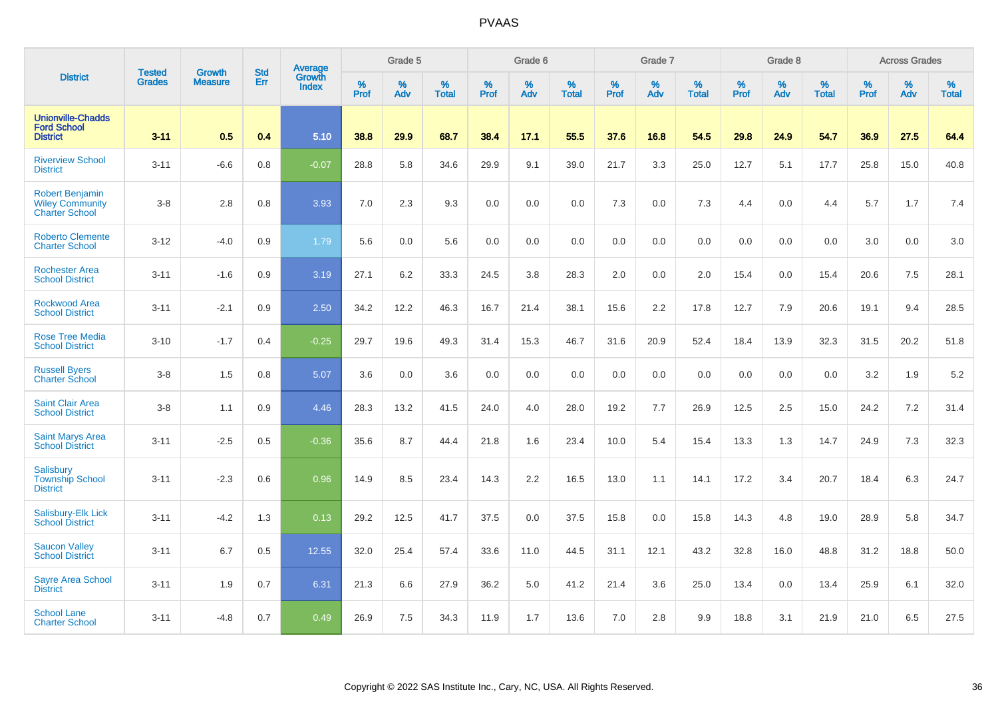|                                                                           |                                |                                 | <b>Std</b> | Average                       |              | Grade 5  |                   |           | Grade 6  |                   |           | Grade 7  |                   |           | Grade 8  |                   |           | <b>Across Grades</b> |                   |
|---------------------------------------------------------------------------|--------------------------------|---------------------------------|------------|-------------------------------|--------------|----------|-------------------|-----------|----------|-------------------|-----------|----------|-------------------|-----------|----------|-------------------|-----------|----------------------|-------------------|
| <b>District</b>                                                           | <b>Tested</b><br><b>Grades</b> | <b>Growth</b><br><b>Measure</b> | Err        | <b>Growth</b><br><b>Index</b> | $\%$<br>Prof | %<br>Adv | %<br><b>Total</b> | %<br>Prof | %<br>Adv | %<br><b>Total</b> | %<br>Prof | %<br>Adv | %<br><b>Total</b> | %<br>Prof | %<br>Adv | %<br><b>Total</b> | %<br>Prof | %<br>Adv             | %<br><b>Total</b> |
| <b>Unionville-Chadds</b><br><b>Ford School</b><br><b>District</b>         | $3 - 11$                       | 0.5                             | 0.4        | 5.10                          | 38.8         | 29.9     | 68.7              | 38.4      | 17.1     | 55.5              | 37.6      | 16.8     | 54.5              | 29.8      | 24.9     | 54.7              | 36.9      | 27.5                 | 64.4              |
| <b>Riverview School</b><br><b>District</b>                                | $3 - 11$                       | $-6.6$                          | 0.8        | $-0.07$                       | 28.8         | 5.8      | 34.6              | 29.9      | 9.1      | 39.0              | 21.7      | 3.3      | 25.0              | 12.7      | 5.1      | 17.7              | 25.8      | 15.0                 | 40.8              |
| <b>Robert Benjamin</b><br><b>Wiley Community</b><br><b>Charter School</b> | $3-8$                          | 2.8                             | 0.8        | 3.93                          | 7.0          | 2.3      | 9.3               | 0.0       | 0.0      | 0.0               | 7.3       | 0.0      | 7.3               | 4.4       | 0.0      | 4.4               | 5.7       | 1.7                  | 7.4               |
| <b>Roberto Clemente</b><br><b>Charter School</b>                          | $3 - 12$                       | $-4.0$                          | 0.9        | 1.79                          | 5.6          | 0.0      | 5.6               | 0.0       | 0.0      | 0.0               | 0.0       | 0.0      | 0.0               | 0.0       | 0.0      | 0.0               | 3.0       | 0.0                  | 3.0               |
| <b>Rochester Area</b><br><b>School District</b>                           | $3 - 11$                       | $-1.6$                          | 0.9        | 3.19                          | 27.1         | 6.2      | 33.3              | 24.5      | 3.8      | 28.3              | 2.0       | 0.0      | 2.0               | 15.4      | 0.0      | 15.4              | 20.6      | 7.5                  | 28.1              |
| <b>Rockwood Area</b><br><b>School District</b>                            | $3 - 11$                       | $-2.1$                          | 0.9        | 2.50                          | 34.2         | 12.2     | 46.3              | 16.7      | 21.4     | 38.1              | 15.6      | 2.2      | 17.8              | 12.7      | 7.9      | 20.6              | 19.1      | 9.4                  | 28.5              |
| <b>Rose Tree Media</b><br><b>School District</b>                          | $3 - 10$                       | $-1.7$                          | 0.4        | $-0.25$                       | 29.7         | 19.6     | 49.3              | 31.4      | 15.3     | 46.7              | 31.6      | 20.9     | 52.4              | 18.4      | 13.9     | 32.3              | 31.5      | 20.2                 | 51.8              |
| <b>Russell Byers</b><br><b>Charter School</b>                             | $3-8$                          | 1.5                             | 0.8        | 5.07                          | 3.6          | 0.0      | 3.6               | 0.0       | 0.0      | 0.0               | 0.0       | 0.0      | 0.0               | 0.0       | 0.0      | 0.0               | 3.2       | 1.9                  | 5.2               |
| <b>Saint Clair Area</b><br><b>School District</b>                         | $3-8$                          | 1.1                             | 0.9        | 4.46                          | 28.3         | 13.2     | 41.5              | 24.0      | 4.0      | 28.0              | 19.2      | 7.7      | 26.9              | 12.5      | 2.5      | 15.0              | 24.2      | 7.2                  | 31.4              |
| <b>Saint Marys Area</b><br><b>School District</b>                         | $3 - 11$                       | $-2.5$                          | 0.5        | $-0.36$                       | 35.6         | 8.7      | 44.4              | 21.8      | 1.6      | 23.4              | 10.0      | 5.4      | 15.4              | 13.3      | 1.3      | 14.7              | 24.9      | 7.3                  | 32.3              |
| <b>Salisbury</b><br><b>Township School</b><br><b>District</b>             | $3 - 11$                       | $-2.3$                          | 0.6        | 0.96                          | 14.9         | 8.5      | 23.4              | 14.3      | 2.2      | 16.5              | 13.0      | 1.1      | 14.1              | 17.2      | 3.4      | 20.7              | 18.4      | 6.3                  | 24.7              |
| Salisbury-Elk Lick<br><b>School District</b>                              | $3 - 11$                       | $-4.2$                          | 1.3        | 0.13                          | 29.2         | 12.5     | 41.7              | 37.5      | 0.0      | 37.5              | 15.8      | 0.0      | 15.8              | 14.3      | 4.8      | 19.0              | 28.9      | 5.8                  | 34.7              |
| <b>Saucon Valley</b><br><b>School District</b>                            | $3 - 11$                       | 6.7                             | 0.5        | 12.55                         | 32.0         | 25.4     | 57.4              | 33.6      | 11.0     | 44.5              | 31.1      | 12.1     | 43.2              | 32.8      | 16.0     | 48.8              | 31.2      | 18.8                 | 50.0              |
| <b>Sayre Area School</b><br><b>District</b>                               | $3 - 11$                       | 1.9                             | 0.7        | 6.31                          | 21.3         | 6.6      | 27.9              | 36.2      | 5.0      | 41.2              | 21.4      | 3.6      | 25.0              | 13.4      | 0.0      | 13.4              | 25.9      | 6.1                  | 32.0              |
| <b>School Lane</b><br><b>Charter School</b>                               | $3 - 11$                       | $-4.8$                          | 0.7        | 0.49                          | 26.9         | 7.5      | 34.3              | 11.9      | 1.7      | 13.6              | 7.0       | 2.8      | 9.9               | 18.8      | 3.1      | 21.9              | 21.0      | 6.5                  | 27.5              |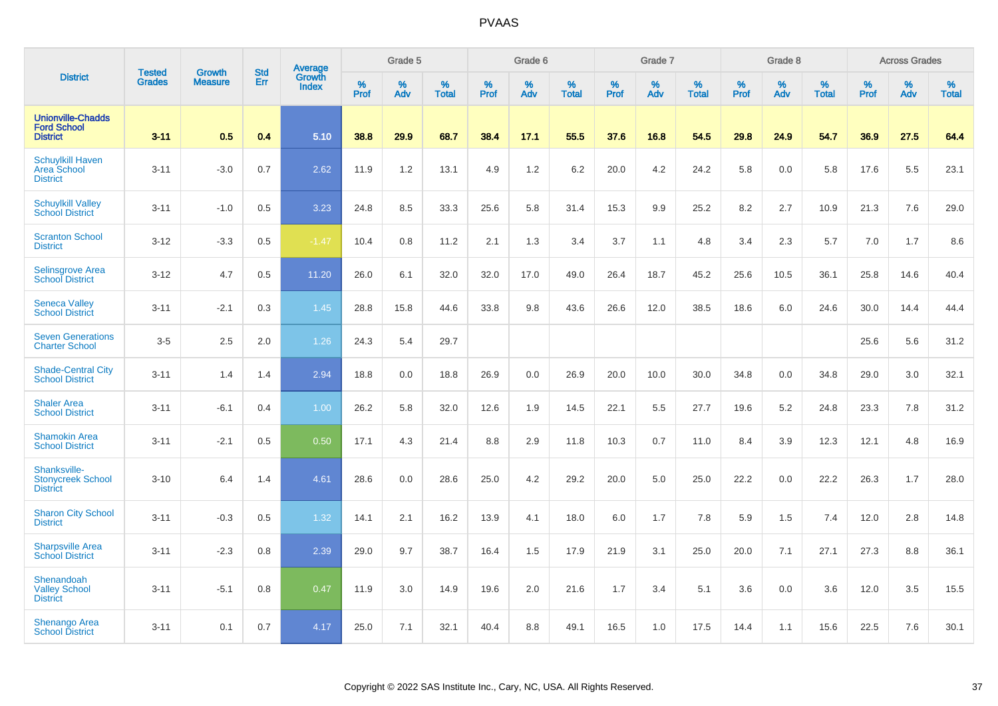|                                                                   | <b>Tested</b> | <b>Growth</b>  | <b>Std</b> | <b>Average</b><br>Growth |                     | Grade 5  |                   |           | Grade 6  |                   |                  | Grade 7  |                   |                  | Grade 8  |                   |                  | <b>Across Grades</b> |                   |
|-------------------------------------------------------------------|---------------|----------------|------------|--------------------------|---------------------|----------|-------------------|-----------|----------|-------------------|------------------|----------|-------------------|------------------|----------|-------------------|------------------|----------------------|-------------------|
| <b>District</b>                                                   | <b>Grades</b> | <b>Measure</b> | Err        | Index                    | $\%$<br><b>Prof</b> | %<br>Adv | %<br><b>Total</b> | %<br>Prof | %<br>Adv | %<br><b>Total</b> | %<br><b>Prof</b> | %<br>Adv | %<br><b>Total</b> | %<br><b>Prof</b> | %<br>Adv | %<br><b>Total</b> | %<br><b>Prof</b> | %<br>Adv             | %<br><b>Total</b> |
| <b>Unionville-Chadds</b><br><b>Ford School</b><br><b>District</b> | $3 - 11$      | 0.5            | 0.4        | 5.10                     | 38.8                | 29.9     | 68.7              | 38.4      | 17.1     | 55.5              | 37.6             | 16.8     | 54.5              | 29.8             | 24.9     | 54.7              | 36.9             | 27.5                 | 64.4              |
| <b>Schuylkill Haven</b><br>Area School<br><b>District</b>         | $3 - 11$      | $-3.0$         | 0.7        | 2.62                     | 11.9                | 1.2      | 13.1              | 4.9       | 1.2      | 6.2               | 20.0             | 4.2      | 24.2              | 5.8              | 0.0      | 5.8               | 17.6             | 5.5                  | 23.1              |
| <b>Schuylkill Valley</b><br><b>School District</b>                | $3 - 11$      | $-1.0$         | 0.5        | 3.23                     | 24.8                | 8.5      | 33.3              | 25.6      | 5.8      | 31.4              | 15.3             | 9.9      | 25.2              | 8.2              | 2.7      | 10.9              | 21.3             | 7.6                  | 29.0              |
| <b>Scranton School</b><br><b>District</b>                         | $3 - 12$      | $-3.3$         | 0.5        | $-1.47$                  | 10.4                | 0.8      | 11.2              | 2.1       | 1.3      | 3.4               | 3.7              | 1.1      | 4.8               | 3.4              | 2.3      | 5.7               | 7.0              | 1.7                  | 8.6               |
| <b>Selinsgrove Area</b><br><b>School District</b>                 | $3 - 12$      | 4.7            | 0.5        | 11.20                    | 26.0                | 6.1      | 32.0              | 32.0      | 17.0     | 49.0              | 26.4             | 18.7     | 45.2              | 25.6             | 10.5     | 36.1              | 25.8             | 14.6                 | 40.4              |
| <b>Seneca Valley</b><br><b>School District</b>                    | $3 - 11$      | $-2.1$         | 0.3        | 1.45                     | 28.8                | 15.8     | 44.6              | 33.8      | 9.8      | 43.6              | 26.6             | 12.0     | 38.5              | 18.6             | 6.0      | 24.6              | 30.0             | 14.4                 | 44.4              |
| <b>Seven Generations</b><br><b>Charter School</b>                 | $3-5$         | 2.5            | 2.0        | 1.26                     | 24.3                | 5.4      | 29.7              |           |          |                   |                  |          |                   |                  |          |                   | 25.6             | 5.6                  | 31.2              |
| <b>Shade-Central City</b><br><b>School District</b>               | $3 - 11$      | 1.4            | 1.4        | 2.94                     | 18.8                | 0.0      | 18.8              | 26.9      | 0.0      | 26.9              | 20.0             | 10.0     | 30.0              | 34.8             | 0.0      | 34.8              | 29.0             | 3.0                  | 32.1              |
| <b>Shaler Area</b><br><b>School District</b>                      | $3 - 11$      | $-6.1$         | 0.4        | 1.00                     | 26.2                | 5.8      | 32.0              | 12.6      | 1.9      | 14.5              | 22.1             | 5.5      | 27.7              | 19.6             | 5.2      | 24.8              | 23.3             | 7.8                  | 31.2              |
| <b>Shamokin Area</b><br><b>School District</b>                    | $3 - 11$      | $-2.1$         | 0.5        | 0.50                     | 17.1                | 4.3      | 21.4              | 8.8       | 2.9      | 11.8              | 10.3             | 0.7      | 11.0              | 8.4              | 3.9      | 12.3              | 12.1             | 4.8                  | 16.9              |
| Shanksville-<br><b>Stonycreek School</b><br><b>District</b>       | $3 - 10$      | 6.4            | 1.4        | 4.61                     | 28.6                | 0.0      | 28.6              | 25.0      | 4.2      | 29.2              | 20.0             | 5.0      | 25.0              | 22.2             | 0.0      | 22.2              | 26.3             | 1.7                  | 28.0              |
| <b>Sharon City School</b><br><b>District</b>                      | $3 - 11$      | $-0.3$         | 0.5        | 1.32                     | 14.1                | 2.1      | 16.2              | 13.9      | 4.1      | 18.0              | 6.0              | 1.7      | 7.8               | 5.9              | 1.5      | 7.4               | 12.0             | 2.8                  | 14.8              |
| <b>Sharpsville Area</b><br><b>School District</b>                 | $3 - 11$      | $-2.3$         | 0.8        | 2.39                     | 29.0                | 9.7      | 38.7              | 16.4      | 1.5      | 17.9              | 21.9             | 3.1      | 25.0              | 20.0             | 7.1      | 27.1              | 27.3             | 8.8                  | 36.1              |
| Shenandoah<br><b>Valley School</b><br><b>District</b>             | $3 - 11$      | $-5.1$         | 0.8        | 0.47                     | 11.9                | 3.0      | 14.9              | 19.6      | 2.0      | 21.6              | 1.7              | 3.4      | 5.1               | 3.6              | 0.0      | 3.6               | 12.0             | 3.5                  | 15.5              |
| Shenango Area<br><b>School District</b>                           | $3 - 11$      | 0.1            | 0.7        | 4.17                     | 25.0                | 7.1      | 32.1              | 40.4      | 8.8      | 49.1              | 16.5             | 1.0      | 17.5              | 14.4             | 1.1      | 15.6              | 22.5             | 7.6                  | 30.1              |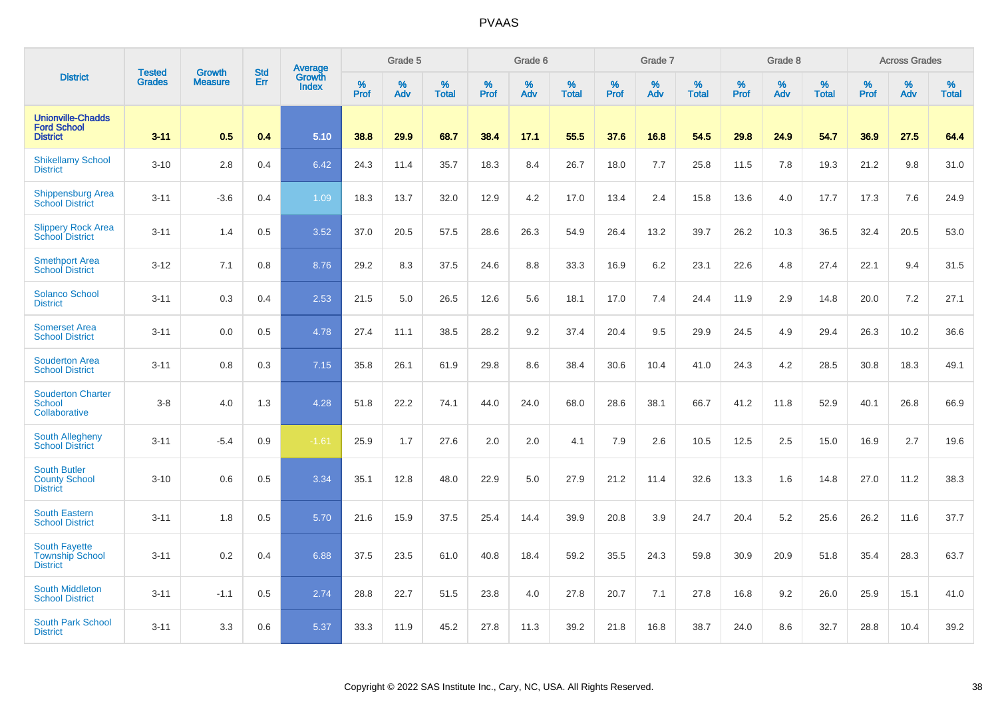|                                                                   |                                | <b>Growth</b>  | <b>Std</b> | Average         |              | Grade 5  |                   |           | Grade 6  |                   |           | Grade 7  |                   |           | Grade 8  |                   |           | <b>Across Grades</b> |                   |
|-------------------------------------------------------------------|--------------------------------|----------------|------------|-----------------|--------------|----------|-------------------|-----------|----------|-------------------|-----------|----------|-------------------|-----------|----------|-------------------|-----------|----------------------|-------------------|
| <b>District</b>                                                   | <b>Tested</b><br><b>Grades</b> | <b>Measure</b> | Err        | Growth<br>Index | $\%$<br>Prof | %<br>Adv | %<br><b>Total</b> | %<br>Prof | %<br>Adv | %<br><b>Total</b> | %<br>Prof | %<br>Adv | %<br><b>Total</b> | %<br>Prof | %<br>Adv | %<br><b>Total</b> | %<br>Prof | %<br>Adv             | %<br><b>Total</b> |
| <b>Unionville-Chadds</b><br><b>Ford School</b><br><b>District</b> | $3 - 11$                       | 0.5            | 0.4        | 5.10            | 38.8         | 29.9     | 68.7              | 38.4      | 17.1     | 55.5              | 37.6      | 16.8     | 54.5              | 29.8      | 24.9     | 54.7              | 36.9      | 27.5                 | 64.4              |
| <b>Shikellamy School</b><br><b>District</b>                       | $3 - 10$                       | 2.8            | 0.4        | 6.42            | 24.3         | 11.4     | 35.7              | 18.3      | 8.4      | 26.7              | 18.0      | 7.7      | 25.8              | 11.5      | 7.8      | 19.3              | 21.2      | 9.8                  | 31.0              |
| <b>Shippensburg Area</b><br><b>School District</b>                | $3 - 11$                       | $-3.6$         | 0.4        | 1.09            | 18.3         | 13.7     | 32.0              | 12.9      | 4.2      | 17.0              | 13.4      | 2.4      | 15.8              | 13.6      | 4.0      | 17.7              | 17.3      | 7.6                  | 24.9              |
| <b>Slippery Rock Area</b><br><b>School District</b>               | $3 - 11$                       | 1.4            | 0.5        | 3.52            | 37.0         | 20.5     | 57.5              | 28.6      | 26.3     | 54.9              | 26.4      | 13.2     | 39.7              | 26.2      | 10.3     | 36.5              | 32.4      | 20.5                 | 53.0              |
| <b>Smethport Area</b><br><b>School District</b>                   | $3 - 12$                       | 7.1            | 0.8        | 8.76            | 29.2         | 8.3      | 37.5              | 24.6      | 8.8      | 33.3              | 16.9      | $6.2\,$  | 23.1              | 22.6      | 4.8      | 27.4              | 22.1      | 9.4                  | 31.5              |
| <b>Solanco School</b><br><b>District</b>                          | $3 - 11$                       | 0.3            | 0.4        | 2.53            | 21.5         | 5.0      | 26.5              | 12.6      | 5.6      | 18.1              | 17.0      | 7.4      | 24.4              | 11.9      | 2.9      | 14.8              | 20.0      | 7.2                  | 27.1              |
| <b>Somerset Area</b><br><b>School District</b>                    | $3 - 11$                       | 0.0            | 0.5        | 4.78            | 27.4         | 11.1     | 38.5              | 28.2      | 9.2      | 37.4              | 20.4      | 9.5      | 29.9              | 24.5      | 4.9      | 29.4              | 26.3      | 10.2                 | 36.6              |
| <b>Souderton Area</b><br><b>School District</b>                   | $3 - 11$                       | 0.8            | 0.3        | 7.15            | 35.8         | 26.1     | 61.9              | 29.8      | 8.6      | 38.4              | 30.6      | 10.4     | 41.0              | 24.3      | 4.2      | 28.5              | 30.8      | 18.3                 | 49.1              |
| <b>Souderton Charter</b><br><b>School</b><br>Collaborative        | $3-8$                          | 4.0            | 1.3        | 4.28            | 51.8         | 22.2     | 74.1              | 44.0      | 24.0     | 68.0              | 28.6      | 38.1     | 66.7              | 41.2      | 11.8     | 52.9              | 40.1      | 26.8                 | 66.9              |
| <b>South Allegheny</b><br><b>School District</b>                  | $3 - 11$                       | $-5.4$         | 0.9        | $-1.61$         | 25.9         | 1.7      | 27.6              | 2.0       | 2.0      | 4.1               | 7.9       | 2.6      | 10.5              | 12.5      | 2.5      | 15.0              | 16.9      | 2.7                  | 19.6              |
| <b>South Butler</b><br><b>County School</b><br><b>District</b>    | $3 - 10$                       | 0.6            | 0.5        | 3.34            | 35.1         | 12.8     | 48.0              | 22.9      | 5.0      | 27.9              | 21.2      | 11.4     | 32.6              | 13.3      | 1.6      | 14.8              | 27.0      | 11.2                 | 38.3              |
| <b>South Eastern</b><br><b>School District</b>                    | $3 - 11$                       | 1.8            | 0.5        | 5.70            | 21.6         | 15.9     | 37.5              | 25.4      | 14.4     | 39.9              | 20.8      | 3.9      | 24.7              | 20.4      | 5.2      | 25.6              | 26.2      | 11.6                 | 37.7              |
| <b>South Fayette</b><br><b>Township School</b><br><b>District</b> | $3 - 11$                       | 0.2            | 0.4        | 6.88            | 37.5         | 23.5     | 61.0              | 40.8      | 18.4     | 59.2              | 35.5      | 24.3     | 59.8              | 30.9      | 20.9     | 51.8              | 35.4      | 28.3                 | 63.7              |
| <b>South Middleton</b><br><b>School District</b>                  | $3 - 11$                       | $-1.1$         | 0.5        | 2.74            | 28.8         | 22.7     | 51.5              | 23.8      | 4.0      | 27.8              | 20.7      | 7.1      | 27.8              | 16.8      | 9.2      | 26.0              | 25.9      | 15.1                 | 41.0              |
| South Park School<br><b>District</b>                              | $3 - 11$                       | 3.3            | 0.6        | 5.37            | 33.3         | 11.9     | 45.2              | 27.8      | 11.3     | 39.2              | 21.8      | 16.8     | 38.7              | 24.0      | 8.6      | 32.7              | 28.8      | 10.4                 | 39.2              |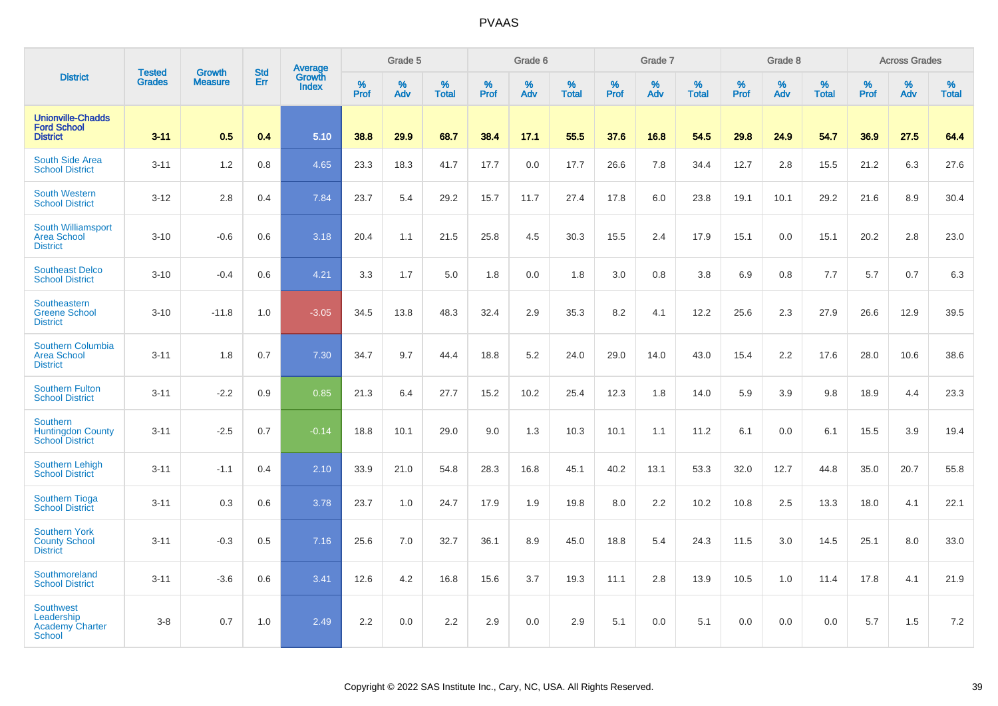|                                                                           | <b>Tested</b> | <b>Growth</b>  | <b>Std</b> | Average                |                     | Grade 5     |                   |           | Grade 6  |                   |           | Grade 7  |                   |              | Grade 8  |                   |              | <b>Across Grades</b> |                      |
|---------------------------------------------------------------------------|---------------|----------------|------------|------------------------|---------------------|-------------|-------------------|-----------|----------|-------------------|-----------|----------|-------------------|--------------|----------|-------------------|--------------|----------------------|----------------------|
| <b>District</b>                                                           | <b>Grades</b> | <b>Measure</b> | Err        | Growth<br><b>Index</b> | $\%$<br><b>Prof</b> | $\%$<br>Adv | %<br><b>Total</b> | %<br>Prof | %<br>Adv | %<br><b>Total</b> | %<br>Prof | %<br>Adv | %<br><b>Total</b> | $\%$<br>Prof | %<br>Adv | %<br><b>Total</b> | $\%$<br>Prof | $\%$<br>Adv          | $\%$<br><b>Total</b> |
| <b>Unionville-Chadds</b><br><b>Ford School</b><br><b>District</b>         | $3 - 11$      | 0.5            | 0.4        | 5.10                   | 38.8                | 29.9        | 68.7              | 38.4      | 17.1     | 55.5              | 37.6      | 16.8     | 54.5              | 29.8         | 24.9     | 54.7              | 36.9         | 27.5                 | 64.4                 |
| South Side Area<br><b>School District</b>                                 | $3 - 11$      | 1.2            | 0.8        | 4.65                   | 23.3                | 18.3        | 41.7              | 17.7      | 0.0      | 17.7              | 26.6      | 7.8      | 34.4              | 12.7         | 2.8      | 15.5              | 21.2         | 6.3                  | 27.6                 |
| <b>South Western</b><br><b>School District</b>                            | $3 - 12$      | 2.8            | 0.4        | 7.84                   | 23.7                | 5.4         | 29.2              | 15.7      | 11.7     | 27.4              | 17.8      | 6.0      | 23.8              | 19.1         | 10.1     | 29.2              | 21.6         | 8.9                  | 30.4                 |
| <b>South Williamsport</b><br><b>Area School</b><br><b>District</b>        | $3 - 10$      | $-0.6$         | 0.6        | 3.18                   | 20.4                | 1.1         | 21.5              | 25.8      | 4.5      | 30.3              | 15.5      | 2.4      | 17.9              | 15.1         | 0.0      | 15.1              | 20.2         | 2.8                  | 23.0                 |
| <b>Southeast Delco</b><br><b>School District</b>                          | $3 - 10$      | $-0.4$         | 0.6        | 4.21                   | 3.3                 | 1.7         | 5.0               | 1.8       | 0.0      | 1.8               | 3.0       | 0.8      | 3.8               | 6.9          | 0.8      | 7.7               | 5.7          | 0.7                  | 6.3                  |
| Southeastern<br><b>Greene School</b><br><b>District</b>                   | $3 - 10$      | $-11.8$        | 1.0        | $-3.05$                | 34.5                | 13.8        | 48.3              | 32.4      | 2.9      | 35.3              | 8.2       | 4.1      | 12.2              | 25.6         | 2.3      | 27.9              | 26.6         | 12.9                 | 39.5                 |
| Southern Columbia<br><b>Area School</b><br><b>District</b>                | $3 - 11$      | 1.8            | 0.7        | 7.30                   | 34.7                | 9.7         | 44.4              | 18.8      | 5.2      | 24.0              | 29.0      | 14.0     | 43.0              | 15.4         | 2.2      | 17.6              | 28.0         | 10.6                 | 38.6                 |
| <b>Southern Fulton</b><br><b>School District</b>                          | $3 - 11$      | $-2.2$         | 0.9        | 0.85                   | 21.3                | 6.4         | 27.7              | 15.2      | 10.2     | 25.4              | 12.3      | 1.8      | 14.0              | 5.9          | 3.9      | 9.8               | 18.9         | 4.4                  | 23.3                 |
| <b>Southern</b><br><b>Huntingdon County</b><br><b>School District</b>     | $3 - 11$      | $-2.5$         | 0.7        | $-0.14$                | 18.8                | 10.1        | 29.0              | 9.0       | 1.3      | 10.3              | 10.1      | 1.1      | 11.2              | 6.1          | 0.0      | 6.1               | 15.5         | 3.9                  | 19.4                 |
| <b>Southern Lehigh</b><br><b>School District</b>                          | $3 - 11$      | $-1.1$         | 0.4        | 2.10                   | 33.9                | 21.0        | 54.8              | 28.3      | 16.8     | 45.1              | 40.2      | 13.1     | 53.3              | 32.0         | 12.7     | 44.8              | 35.0         | 20.7                 | 55.8                 |
| <b>Southern Tioga</b><br><b>School District</b>                           | $3 - 11$      | 0.3            | 0.6        | 3.78                   | 23.7                | 1.0         | 24.7              | 17.9      | 1.9      | 19.8              | 8.0       | 2.2      | 10.2              | 10.8         | 2.5      | 13.3              | 18.0         | 4.1                  | 22.1                 |
| <b>Southern York</b><br><b>County School</b><br><b>District</b>           | $3 - 11$      | $-0.3$         | 0.5        | 7.16                   | 25.6                | 7.0         | 32.7              | 36.1      | 8.9      | 45.0              | 18.8      | 5.4      | 24.3              | 11.5         | 3.0      | 14.5              | 25.1         | 8.0                  | 33.0                 |
| Southmoreland<br><b>School District</b>                                   | $3 - 11$      | $-3.6$         | 0.6        | 3.41                   | 12.6                | 4.2         | 16.8              | 15.6      | 3.7      | 19.3              | 11.1      | 2.8      | 13.9              | 10.5         | 1.0      | 11.4              | 17.8         | 4.1                  | 21.9                 |
| <b>Southwest</b><br>Leadership<br><b>Academy Charter</b><br><b>School</b> | $3 - 8$       | 0.7            | 1.0        | 2.49                   | 2.2                 | 0.0         | 2.2               | 2.9       | 0.0      | 2.9               | 5.1       | 0.0      | 5.1               | 0.0          | 0.0      | 0.0               | 5.7          | 1.5                  | 7.2                  |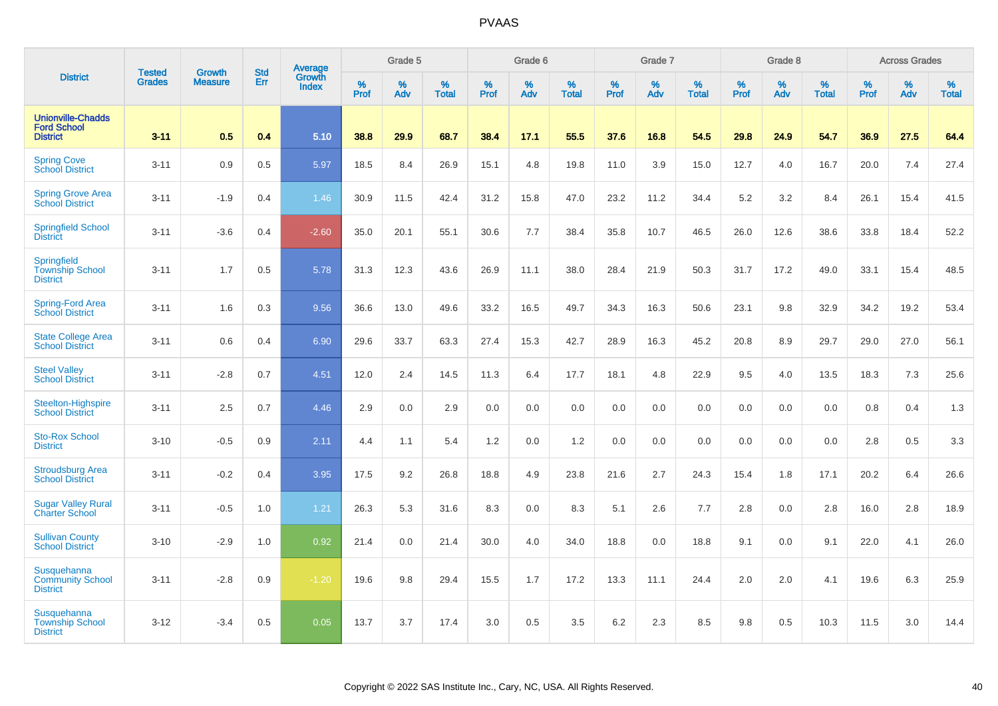|                                                                   |                                |                                 | <b>Std</b> | Average                |                     | Grade 5  |                   |                  | Grade 6  |                   |                  | Grade 7  |                   |           | Grade 8  |                   |           | <b>Across Grades</b> |                   |
|-------------------------------------------------------------------|--------------------------------|---------------------------------|------------|------------------------|---------------------|----------|-------------------|------------------|----------|-------------------|------------------|----------|-------------------|-----------|----------|-------------------|-----------|----------------------|-------------------|
| <b>District</b>                                                   | <b>Tested</b><br><b>Grades</b> | <b>Growth</b><br><b>Measure</b> | Err        | Growth<br><b>Index</b> | $\%$<br><b>Prof</b> | %<br>Adv | %<br><b>Total</b> | %<br><b>Prof</b> | %<br>Adv | %<br><b>Total</b> | %<br><b>Prof</b> | %<br>Adv | %<br><b>Total</b> | %<br>Prof | %<br>Adv | %<br><b>Total</b> | %<br>Prof | %<br>Adv             | %<br><b>Total</b> |
| <b>Unionville-Chadds</b><br><b>Ford School</b><br><b>District</b> | $3 - 11$                       | 0.5                             | 0.4        | 5.10                   | 38.8                | 29.9     | 68.7              | 38.4             | 17.1     | 55.5              | 37.6             | 16.8     | 54.5              | 29.8      | 24.9     | 54.7              | 36.9      | 27.5                 | 64.4              |
| <b>Spring Cove</b><br>School District                             | $3 - 11$                       | 0.9                             | 0.5        | 5.97                   | 18.5                | 8.4      | 26.9              | 15.1             | 4.8      | 19.8              | 11.0             | 3.9      | 15.0              | 12.7      | 4.0      | 16.7              | 20.0      | 7.4                  | 27.4              |
| <b>Spring Grove Area</b><br><b>School District</b>                | $3 - 11$                       | $-1.9$                          | 0.4        | 1.46                   | 30.9                | 11.5     | 42.4              | 31.2             | 15.8     | 47.0              | 23.2             | 11.2     | 34.4              | $5.2\,$   | 3.2      | 8.4               | 26.1      | 15.4                 | 41.5              |
| <b>Springfield School</b><br><b>District</b>                      | $3 - 11$                       | $-3.6$                          | 0.4        | $-2.60$                | 35.0                | 20.1     | 55.1              | 30.6             | 7.7      | 38.4              | 35.8             | 10.7     | 46.5              | 26.0      | 12.6     | 38.6              | 33.8      | 18.4                 | 52.2              |
| Springfield<br><b>Township School</b><br><b>District</b>          | $3 - 11$                       | 1.7                             | 0.5        | 5.78                   | 31.3                | 12.3     | 43.6              | 26.9             | 11.1     | 38.0              | 28.4             | 21.9     | 50.3              | 31.7      | 17.2     | 49.0              | 33.1      | 15.4                 | 48.5              |
| Spring-Ford Area<br><b>School District</b>                        | $3 - 11$                       | 1.6                             | 0.3        | 9.56                   | 36.6                | 13.0     | 49.6              | 33.2             | 16.5     | 49.7              | 34.3             | 16.3     | 50.6              | 23.1      | 9.8      | 32.9              | 34.2      | 19.2                 | 53.4              |
| <b>State College Area</b><br><b>School District</b>               | $3 - 11$                       | 0.6                             | 0.4        | 6.90                   | 29.6                | 33.7     | 63.3              | 27.4             | 15.3     | 42.7              | 28.9             | 16.3     | 45.2              | 20.8      | 8.9      | 29.7              | 29.0      | 27.0                 | 56.1              |
| <b>Steel Valley</b><br><b>School District</b>                     | $3 - 11$                       | $-2.8$                          | 0.7        | 4.51                   | 12.0                | 2.4      | 14.5              | 11.3             | 6.4      | 17.7              | 18.1             | 4.8      | 22.9              | 9.5       | 4.0      | 13.5              | 18.3      | 7.3                  | 25.6              |
| Steelton-Highspire<br><b>School District</b>                      | $3 - 11$                       | 2.5                             | 0.7        | 4.46                   | 2.9                 | 0.0      | 2.9               | 0.0              | 0.0      | 0.0               | 0.0              | 0.0      | 0.0               | 0.0       | 0.0      | 0.0               | 0.8       | 0.4                  | 1.3               |
| <b>Sto-Rox School</b><br><b>District</b>                          | $3 - 10$                       | $-0.5$                          | 0.9        | 2.11                   | 4.4                 | 1.1      | 5.4               | 1.2              | 0.0      | 1.2               | 0.0              | 0.0      | 0.0               | 0.0       | 0.0      | 0.0               | 2.8       | 0.5                  | 3.3               |
| <b>Stroudsburg Area</b><br><b>School District</b>                 | $3 - 11$                       | $-0.2$                          | 0.4        | 3.95                   | 17.5                | 9.2      | 26.8              | 18.8             | 4.9      | 23.8              | 21.6             | 2.7      | 24.3              | 15.4      | 1.8      | 17.1              | 20.2      | 6.4                  | 26.6              |
| <b>Sugar Valley Rural</b><br><b>Charter School</b>                | $3 - 11$                       | $-0.5$                          | 1.0        | 1.21                   | 26.3                | 5.3      | 31.6              | 8.3              | 0.0      | 8.3               | 5.1              | 2.6      | 7.7               | 2.8       | 0.0      | 2.8               | 16.0      | 2.8                  | 18.9              |
| <b>Sullivan County</b><br><b>School District</b>                  | $3 - 10$                       | $-2.9$                          | 1.0        | 0.92                   | 21.4                | 0.0      | 21.4              | 30.0             | 4.0      | 34.0              | 18.8             | 0.0      | 18.8              | 9.1       | 0.0      | 9.1               | 22.0      | 4.1                  | 26.0              |
| Susquehanna<br><b>Community School</b><br><b>District</b>         | $3 - 11$                       | $-2.8$                          | 0.9        | $-1.20$                | 19.6                | 9.8      | 29.4              | 15.5             | 1.7      | 17.2              | 13.3             | 11.1     | 24.4              | 2.0       | 2.0      | 4.1               | 19.6      | 6.3                  | 25.9              |
| Susquehanna<br><b>Township School</b><br><b>District</b>          | $3 - 12$                       | $-3.4$                          | 0.5        | 0.05                   | 13.7                | 3.7      | 17.4              | 3.0              | 0.5      | 3.5               | 6.2              | 2.3      | 8.5               | 9.8       | 0.5      | 10.3              | 11.5      | 3.0                  | 14.4              |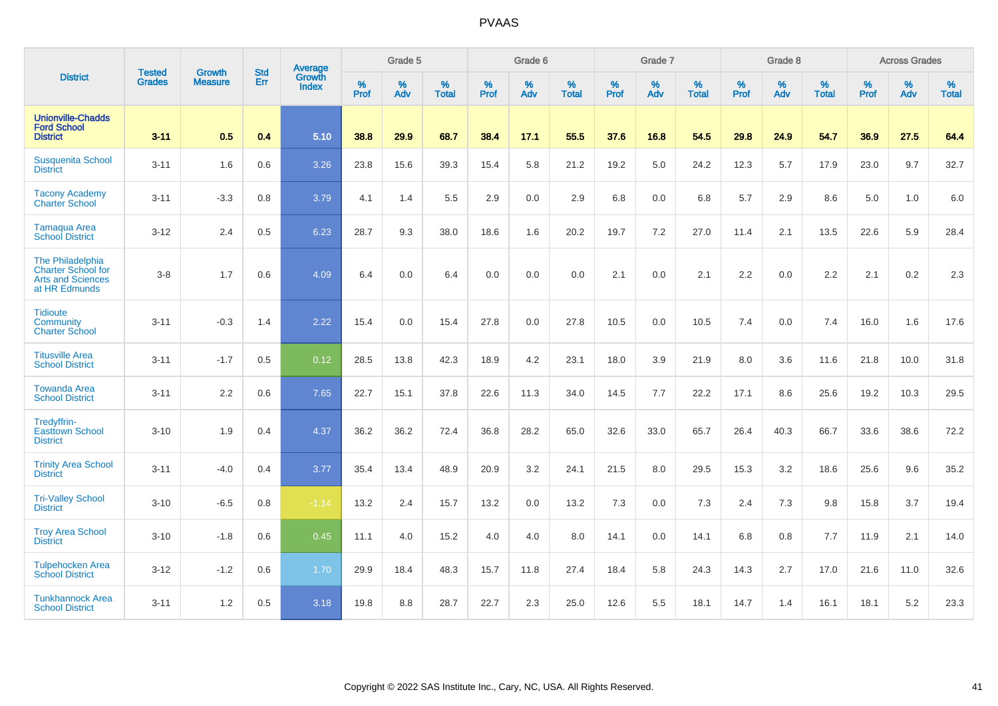|                                                                                            |                                |                                 | <b>Std</b> | Average                |                     | Grade 5  |                   |                     | Grade 6  |                   |                     | Grade 7     |                   |                     | Grade 8  |                   |                     | <b>Across Grades</b> |                   |
|--------------------------------------------------------------------------------------------|--------------------------------|---------------------------------|------------|------------------------|---------------------|----------|-------------------|---------------------|----------|-------------------|---------------------|-------------|-------------------|---------------------|----------|-------------------|---------------------|----------------------|-------------------|
| <b>District</b>                                                                            | <b>Tested</b><br><b>Grades</b> | <b>Growth</b><br><b>Measure</b> | Err        | Growth<br><b>Index</b> | $\%$<br><b>Prof</b> | %<br>Adv | %<br><b>Total</b> | $\%$<br><b>Prof</b> | %<br>Adv | %<br><b>Total</b> | $\%$<br><b>Prof</b> | $\%$<br>Adv | %<br><b>Total</b> | $\%$<br><b>Prof</b> | %<br>Adv | %<br><b>Total</b> | $\%$<br><b>Prof</b> | %<br>Adv             | %<br><b>Total</b> |
| <b>Unionville-Chadds</b><br><b>Ford School</b><br><b>District</b>                          | $3 - 11$                       | 0.5                             | 0.4        | 5.10                   | 38.8                | 29.9     | 68.7              | 38.4                | 17.1     | 55.5              | 37.6                | 16.8        | 54.5              | 29.8                | 24.9     | 54.7              | 36.9                | 27.5                 | 64.4              |
| <b>Susquenita School</b><br><b>District</b>                                                | $3 - 11$                       | 1.6                             | 0.6        | 3.26                   | 23.8                | 15.6     | 39.3              | 15.4                | 5.8      | 21.2              | 19.2                | 5.0         | 24.2              | 12.3                | 5.7      | 17.9              | 23.0                | 9.7                  | 32.7              |
| <b>Tacony Academy</b><br><b>Charter School</b>                                             | $3 - 11$                       | $-3.3$                          | 0.8        | 3.79                   | 4.1                 | 1.4      | 5.5               | 2.9                 | 0.0      | 2.9               | 6.8                 | 0.0         | 6.8               | 5.7                 | 2.9      | 8.6               | 5.0                 | 1.0                  | 6.0               |
| <b>Tamaqua Area</b><br><b>School District</b>                                              | $3 - 12$                       | 2.4                             | 0.5        | 6.23                   | 28.7                | 9.3      | 38.0              | 18.6                | 1.6      | 20.2              | 19.7                | 7.2         | 27.0              | 11.4                | 2.1      | 13.5              | 22.6                | 5.9                  | 28.4              |
| The Philadelphia<br><b>Charter School for</b><br><b>Arts and Sciences</b><br>at HR Edmunds | $3 - 8$                        | 1.7                             | 0.6        | 4.09                   | 6.4                 | 0.0      | 6.4               | 0.0                 | 0.0      | 0.0               | 2.1                 | 0.0         | 2.1               | 2.2                 | 0.0      | 2.2               | 2.1                 | 0.2                  | 2.3               |
| <b>Tidioute</b><br>Community<br><b>Charter School</b>                                      | $3 - 11$                       | $-0.3$                          | 1.4        | 2.22                   | 15.4                | 0.0      | 15.4              | 27.8                | 0.0      | 27.8              | 10.5                | 0.0         | 10.5              | 7.4                 | 0.0      | 7.4               | 16.0                | 1.6                  | 17.6              |
| <b>Titusville Area</b><br><b>School District</b>                                           | $3 - 11$                       | $-1.7$                          | 0.5        | 0.12                   | 28.5                | 13.8     | 42.3              | 18.9                | 4.2      | 23.1              | 18.0                | 3.9         | 21.9              | 8.0                 | 3.6      | 11.6              | 21.8                | 10.0                 | 31.8              |
| <b>Towanda Area</b><br><b>School District</b>                                              | $3 - 11$                       | 2.2                             | 0.6        | 7.65                   | 22.7                | 15.1     | 37.8              | 22.6                | 11.3     | 34.0              | 14.5                | 7.7         | 22.2              | 17.1                | 8.6      | 25.6              | 19.2                | 10.3                 | 29.5              |
| Tredyffrin-<br><b>Easttown School</b><br><b>District</b>                                   | $3 - 10$                       | 1.9                             | 0.4        | 4.37                   | 36.2                | 36.2     | 72.4              | 36.8                | 28.2     | 65.0              | 32.6                | 33.0        | 65.7              | 26.4                | 40.3     | 66.7              | 33.6                | 38.6                 | 72.2              |
| <b>Trinity Area School</b><br><b>District</b>                                              | $3 - 11$                       | $-4.0$                          | 0.4        | 3.77                   | 35.4                | 13.4     | 48.9              | 20.9                | 3.2      | 24.1              | 21.5                | 8.0         | 29.5              | 15.3                | 3.2      | 18.6              | 25.6                | 9.6                  | 35.2              |
| <b>Tri-Valley School</b><br><b>District</b>                                                | $3 - 10$                       | $-6.5$                          | 0.8        | $-1.14$                | 13.2                | 2.4      | 15.7              | 13.2                | 0.0      | 13.2              | 7.3                 | 0.0         | 7.3               | 2.4                 | 7.3      | 9.8               | 15.8                | 3.7                  | 19.4              |
| <b>Troy Area School</b><br><b>District</b>                                                 | $3 - 10$                       | $-1.8$                          | 0.6        | 0.45                   | 11.1                | 4.0      | 15.2              | 4.0                 | 4.0      | 8.0               | 14.1                | 0.0         | 14.1              | 6.8                 | 0.8      | 7.7               | 11.9                | 2.1                  | 14.0              |
| <b>Tulpehocken Area</b><br><b>School District</b>                                          | $3 - 12$                       | $-1.2$                          | 0.6        | 1.70                   | 29.9                | 18.4     | 48.3              | 15.7                | 11.8     | 27.4              | 18.4                | 5.8         | 24.3              | 14.3                | 2.7      | 17.0              | 21.6                | 11.0                 | 32.6              |
| <b>Tunkhannock Area</b><br><b>School District</b>                                          | $3 - 11$                       | 1.2                             | 0.5        | 3.18                   | 19.8                | 8.8      | 28.7              | 22.7                | 2.3      | 25.0              | 12.6                | 5.5         | 18.1              | 14.7                | 1.4      | 16.1              | 18.1                | 5.2                  | 23.3              |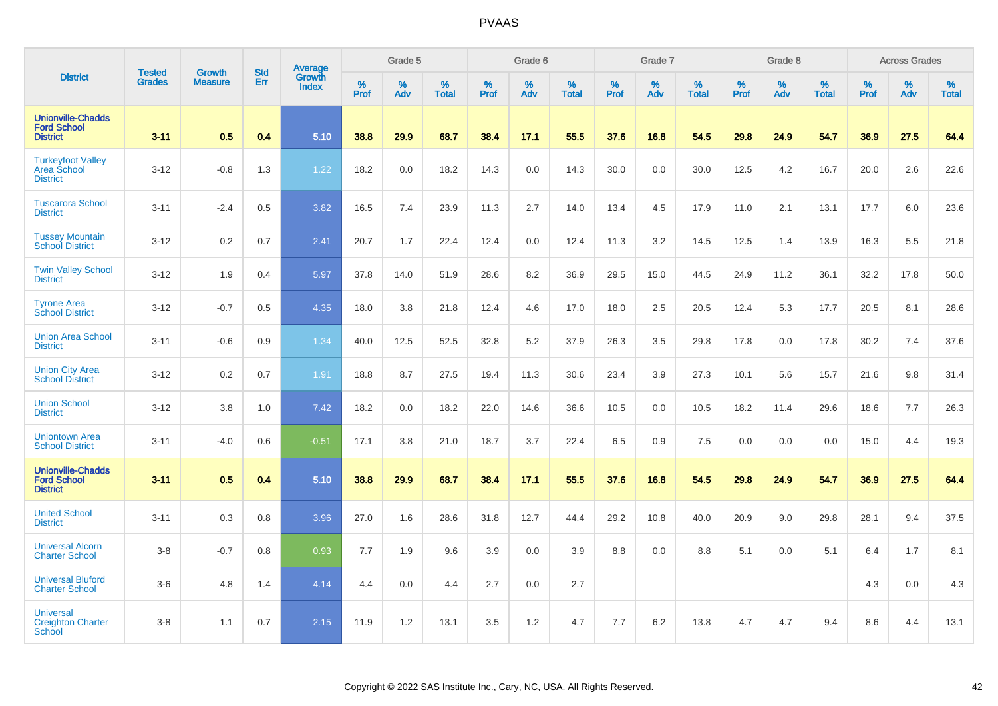|                                                                   |                                |                                 | <b>Std</b> | Average                |           | Grade 5  |                   |           | Grade 6  |                   |           | Grade 7  |                   |           | Grade 8  |                   |           | <b>Across Grades</b> |                   |
|-------------------------------------------------------------------|--------------------------------|---------------------------------|------------|------------------------|-----------|----------|-------------------|-----------|----------|-------------------|-----------|----------|-------------------|-----------|----------|-------------------|-----------|----------------------|-------------------|
| <b>District</b>                                                   | <b>Tested</b><br><b>Grades</b> | <b>Growth</b><br><b>Measure</b> | Err        | Growth<br><b>Index</b> | %<br>Prof | %<br>Adv | %<br><b>Total</b> | %<br>Prof | %<br>Adv | %<br><b>Total</b> | %<br>Prof | %<br>Adv | %<br><b>Total</b> | %<br>Prof | %<br>Adv | %<br><b>Total</b> | %<br>Prof | %<br>Adv             | %<br><b>Total</b> |
| <b>Unionville-Chadds</b><br><b>Ford School</b><br><b>District</b> | $3 - 11$                       | 0.5                             | 0.4        | 5.10                   | 38.8      | 29.9     | 68.7              | 38.4      | 17.1     | 55.5              | 37.6      | 16.8     | 54.5              | 29.8      | 24.9     | 54.7              | 36.9      | 27.5                 | 64.4              |
| <b>Turkeyfoot Valley</b><br>Area School<br><b>District</b>        | $3-12$                         | $-0.8$                          | 1.3        | 1.22                   | 18.2      | 0.0      | 18.2              | 14.3      | $0.0\,$  | 14.3              | 30.0      | 0.0      | 30.0              | 12.5      | 4.2      | 16.7              | 20.0      | 2.6                  | 22.6              |
| <b>Tuscarora School</b><br><b>District</b>                        | $3 - 11$                       | $-2.4$                          | 0.5        | 3.82                   | 16.5      | 7.4      | 23.9              | 11.3      | 2.7      | 14.0              | 13.4      | 4.5      | 17.9              | 11.0      | 2.1      | 13.1              | 17.7      | 6.0                  | 23.6              |
| <b>Tussey Mountain</b><br><b>School District</b>                  | $3 - 12$                       | 0.2                             | 0.7        | 2.41                   | 20.7      | 1.7      | 22.4              | 12.4      | 0.0      | 12.4              | 11.3      | 3.2      | 14.5              | 12.5      | 1.4      | 13.9              | 16.3      | 5.5                  | 21.8              |
| <b>Twin Valley School</b><br><b>District</b>                      | $3 - 12$                       | 1.9                             | 0.4        | 5.97                   | 37.8      | 14.0     | 51.9              | 28.6      | 8.2      | 36.9              | 29.5      | 15.0     | 44.5              | 24.9      | 11.2     | 36.1              | 32.2      | 17.8                 | 50.0              |
| <b>Tyrone Area</b><br><b>School District</b>                      | $3 - 12$                       | $-0.7$                          | 0.5        | 4.35                   | 18.0      | 3.8      | 21.8              | 12.4      | 4.6      | 17.0              | 18.0      | 2.5      | 20.5              | 12.4      | 5.3      | 17.7              | 20.5      | 8.1                  | 28.6              |
| <b>Union Area School</b><br><b>District</b>                       | $3 - 11$                       | $-0.6$                          | 0.9        | 1.34                   | 40.0      | 12.5     | 52.5              | 32.8      | 5.2      | 37.9              | 26.3      | 3.5      | 29.8              | 17.8      | 0.0      | 17.8              | 30.2      | 7.4                  | 37.6              |
| <b>Union City Area</b><br><b>School District</b>                  | $3 - 12$                       | 0.2                             | 0.7        | 1.91                   | 18.8      | 8.7      | 27.5              | 19.4      | 11.3     | 30.6              | 23.4      | 3.9      | 27.3              | 10.1      | 5.6      | 15.7              | 21.6      | 9.8                  | 31.4              |
| <b>Union School</b><br><b>District</b>                            | $3 - 12$                       | 3.8                             | 1.0        | 7.42                   | 18.2      | 0.0      | 18.2              | 22.0      | 14.6     | 36.6              | 10.5      | 0.0      | 10.5              | 18.2      | 11.4     | 29.6              | 18.6      | 7.7                  | 26.3              |
| <b>Uniontown Area</b><br><b>School District</b>                   | $3 - 11$                       | $-4.0$                          | 0.6        | $-0.51$                | 17.1      | 3.8      | 21.0              | 18.7      | 3.7      | 22.4              | 6.5       | 0.9      | 7.5               | 0.0       | 0.0      | 0.0               | 15.0      | 4.4                  | 19.3              |
| <b>Unionville-Chadds</b><br><b>Ford School</b><br><b>District</b> | $3 - 11$                       | 0.5                             | 0.4        | 5.10                   | 38.8      | 29.9     | 68.7              | 38.4      | 17.1     | 55.5              | 37.6      | 16.8     | 54.5              | 29.8      | 24.9     | 54.7              | 36.9      | 27.5                 | 64.4              |
| <b>United School</b><br><b>District</b>                           | $3 - 11$                       | 0.3                             | 0.8        | 3.96                   | 27.0      | 1.6      | 28.6              | 31.8      | 12.7     | 44.4              | 29.2      | 10.8     | 40.0              | 20.9      | 9.0      | 29.8              | 28.1      | 9.4                  | 37.5              |
| <b>Universal Alcorn</b><br><b>Charter School</b>                  | $3-8$                          | $-0.7$                          | 0.8        | 0.93                   | 7.7       | 1.9      | 9.6               | 3.9       | 0.0      | 3.9               | 8.8       | 0.0      | 8.8               | 5.1       | 0.0      | 5.1               | 6.4       | 1.7                  | 8.1               |
| <b>Universal Bluford</b><br><b>Charter School</b>                 | $3-6$                          | 4.8                             | 1.4        | 4.14                   | 4.4       | 0.0      | 4.4               | 2.7       | 0.0      | 2.7               |           |          |                   |           |          |                   | 4.3       | 0.0                  | $4.3$             |
| <b>Universal</b><br><b>Creighton Charter</b><br><b>School</b>     | $3-8$                          | 1.1                             | 0.7        | 2.15                   | 11.9      | 1.2      | 13.1              | 3.5       | 1.2      | 4.7               | 7.7       | 6.2      | 13.8              | 4.7       | 4.7      | 9.4               | 8.6       | 4.4                  | 13.1              |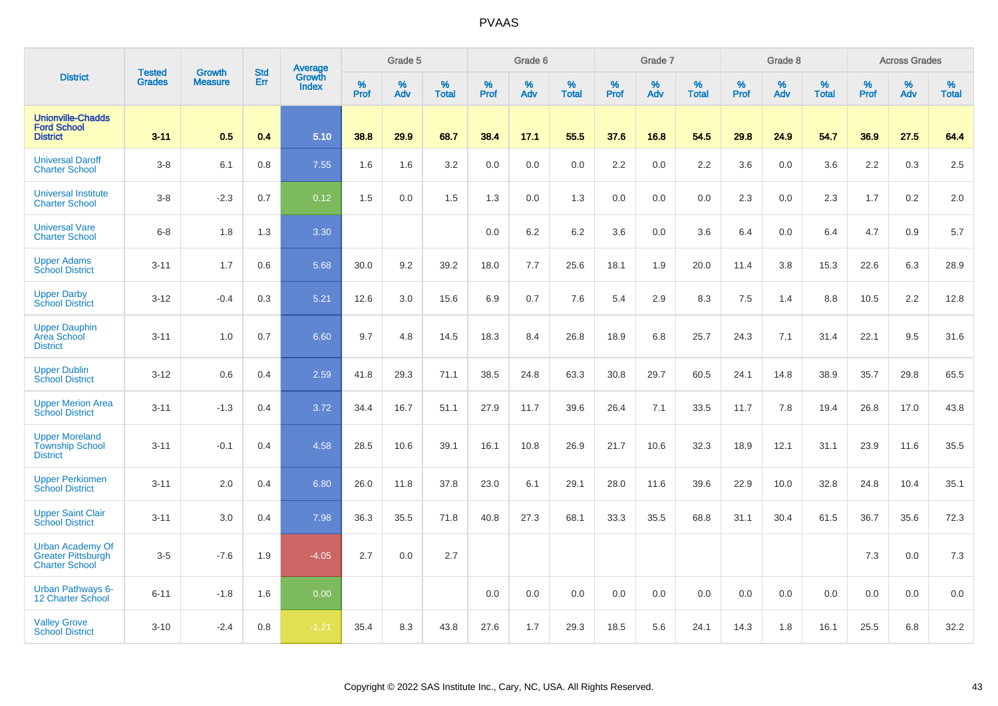|                                                                               |                                | <b>Growth</b>  | <b>Std</b> | Average                |              | Grade 5  |                   |           | Grade 6  |                   |              | Grade 7  |                   |           | Grade 8  |                   |           | <b>Across Grades</b> |                   |
|-------------------------------------------------------------------------------|--------------------------------|----------------|------------|------------------------|--------------|----------|-------------------|-----------|----------|-------------------|--------------|----------|-------------------|-----------|----------|-------------------|-----------|----------------------|-------------------|
| <b>District</b>                                                               | <b>Tested</b><br><b>Grades</b> | <b>Measure</b> | Err        | Growth<br><b>Index</b> | $\%$<br>Prof | %<br>Adv | %<br><b>Total</b> | %<br>Prof | %<br>Adv | %<br><b>Total</b> | $\%$<br>Prof | %<br>Adv | %<br><b>Total</b> | %<br>Prof | %<br>Adv | %<br><b>Total</b> | %<br>Prof | %<br>Adv             | %<br><b>Total</b> |
| <b>Unionville-Chadds</b><br><b>Ford School</b><br><b>District</b>             | $3 - 11$                       | 0.5            | 0.4        | 5.10                   | 38.8         | 29.9     | 68.7              | 38.4      | 17.1     | 55.5              | 37.6         | 16.8     | 54.5              | 29.8      | 24.9     | 54.7              | 36.9      | 27.5                 | 64.4              |
| <b>Universal Daroff</b><br><b>Charter School</b>                              | $3-8$                          | 6.1            | 0.8        | 7.55                   | 1.6          | 1.6      | 3.2               | 0.0       | 0.0      | 0.0               | 2.2          | 0.0      | 2.2               | 3.6       | 0.0      | 3.6               | 2.2       | 0.3                  | 2.5               |
| <b>Universal Institute</b><br><b>Charter School</b>                           | $3-8$                          | $-2.3$         | 0.7        | 0.12                   | 1.5          | 0.0      | 1.5               | 1.3       | 0.0      | 1.3               | 0.0          | 0.0      | 0.0               | 2.3       | 0.0      | 2.3               | 1.7       | 0.2                  | 2.0               |
| <b>Universal Vare</b><br><b>Charter School</b>                                | $6-8$                          | 1.8            | 1.3        | 3.30                   |              |          |                   | 0.0       | 6.2      | 6.2               | 3.6          | 0.0      | 3.6               | 6.4       | 0.0      | 6.4               | 4.7       | 0.9                  | 5.7               |
| <b>Upper Adams</b><br><b>School District</b>                                  | $3 - 11$                       | 1.7            | 0.6        | 5.68                   | 30.0         | 9.2      | 39.2              | 18.0      | 7.7      | 25.6              | 18.1         | 1.9      | 20.0              | 11.4      | 3.8      | 15.3              | 22.6      | 6.3                  | 28.9              |
| <b>Upper Darby</b><br><b>School District</b>                                  | $3 - 12$                       | $-0.4$         | 0.3        | 5.21                   | 12.6         | 3.0      | 15.6              | 6.9       | 0.7      | 7.6               | 5.4          | 2.9      | 8.3               | 7.5       | 1.4      | 8.8               | 10.5      | 2.2                  | 12.8              |
| <b>Upper Dauphin</b><br><b>Area School</b><br><b>District</b>                 | $3 - 11$                       | 1.0            | 0.7        | 6.60                   | 9.7          | 4.8      | 14.5              | 18.3      | 8.4      | 26.8              | 18.9         | 6.8      | 25.7              | 24.3      | 7.1      | 31.4              | 22.1      | 9.5                  | 31.6              |
| <b>Upper Dublin</b><br><b>School District</b>                                 | $3 - 12$                       | 0.6            | 0.4        | 2.59                   | 41.8         | 29.3     | 71.1              | 38.5      | 24.8     | 63.3              | 30.8         | 29.7     | 60.5              | 24.1      | 14.8     | 38.9              | 35.7      | 29.8                 | 65.5              |
| <b>Upper Merion Area</b><br><b>School District</b>                            | $3 - 11$                       | $-1.3$         | 0.4        | 3.72                   | 34.4         | 16.7     | 51.1              | 27.9      | 11.7     | 39.6              | 26.4         | 7.1      | 33.5              | 11.7      | 7.8      | 19.4              | 26.8      | 17.0                 | 43.8              |
| <b>Upper Moreland</b><br><b>Township School</b><br><b>District</b>            | $3 - 11$                       | $-0.1$         | 0.4        | 4.58                   | 28.5         | 10.6     | 39.1              | 16.1      | 10.8     | 26.9              | 21.7         | 10.6     | 32.3              | 18.9      | 12.1     | 31.1              | 23.9      | 11.6                 | 35.5              |
| <b>Upper Perkiomen</b><br><b>School District</b>                              | $3 - 11$                       | 2.0            | 0.4        | 6.80                   | 26.0         | 11.8     | 37.8              | 23.0      | 6.1      | 29.1              | 28.0         | 11.6     | 39.6              | 22.9      | 10.0     | 32.8              | 24.8      | 10.4                 | 35.1              |
| <b>Upper Saint Clair</b><br><b>School District</b>                            | $3 - 11$                       | 3.0            | 0.4        | 7.98                   | 36.3         | 35.5     | 71.8              | 40.8      | 27.3     | 68.1              | 33.3         | 35.5     | 68.8              | 31.1      | 30.4     | 61.5              | 36.7      | 35.6                 | 72.3              |
| <b>Urban Academy Of</b><br><b>Greater Pittsburgh</b><br><b>Charter School</b> | $3-5$                          | $-7.6$         | 1.9        | $-4.05$                | 2.7          | 0.0      | 2.7               |           |          |                   |              |          |                   |           |          |                   | 7.3       | 0.0                  | 7.3               |
| <b>Urban Pathways 6-</b><br>12 Charter School                                 | $6 - 11$                       | $-1.8$         | 1.6        | 0.00                   |              |          |                   | 0.0       | 0.0      | 0.0               | 0.0          | 0.0      | 0.0               | 0.0       | 0.0      | 0.0               | 0.0       | 0.0                  | 0.0               |
| <b>Valley Grove</b><br><b>School District</b>                                 | $3 - 10$                       | $-2.4$         | 0.8        | $-1.21$                | 35.4         | 8.3      | 43.8              | 27.6      | 1.7      | 29.3              | 18.5         | 5.6      | 24.1              | 14.3      | 1.8      | 16.1              | 25.5      | 6.8                  | 32.2              |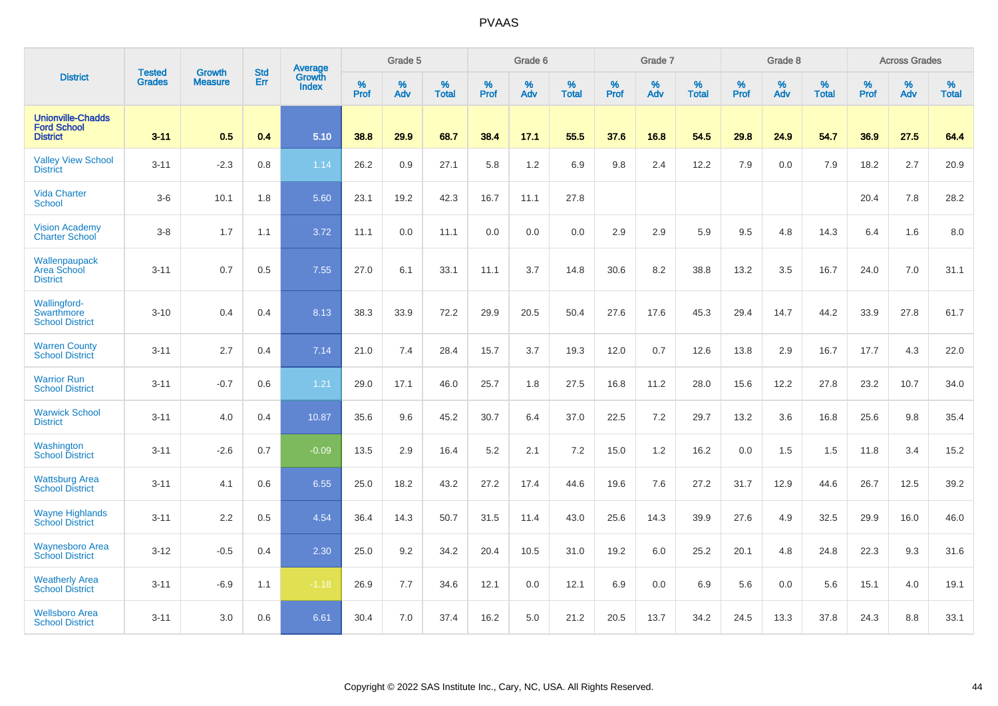|                                                                   | <b>Tested</b> | <b>Growth</b>  | <b>Std</b> | Average                       |              | Grade 5  |                   |           | Grade 6  |                   |           | Grade 7  |                   |           | Grade 8  |                   |           | <b>Across Grades</b> |                   |
|-------------------------------------------------------------------|---------------|----------------|------------|-------------------------------|--------------|----------|-------------------|-----------|----------|-------------------|-----------|----------|-------------------|-----------|----------|-------------------|-----------|----------------------|-------------------|
| <b>District</b>                                                   | <b>Grades</b> | <b>Measure</b> | Err        | <b>Growth</b><br><b>Index</b> | $\%$<br>Prof | %<br>Adv | %<br><b>Total</b> | %<br>Prof | %<br>Adv | %<br><b>Total</b> | %<br>Prof | %<br>Adv | %<br><b>Total</b> | %<br>Prof | %<br>Adv | %<br><b>Total</b> | %<br>Prof | %<br>Adv             | %<br><b>Total</b> |
| <b>Unionville-Chadds</b><br><b>Ford School</b><br><b>District</b> | $3 - 11$      | 0.5            | 0.4        | 5.10                          | 38.8         | 29.9     | 68.7              | 38.4      | 17.1     | 55.5              | 37.6      | 16.8     | 54.5              | 29.8      | 24.9     | 54.7              | 36.9      | 27.5                 | 64.4              |
| <b>Valley View School</b><br><b>District</b>                      | $3 - 11$      | $-2.3$         | 0.8        | 1.14                          | 26.2         | 0.9      | 27.1              | 5.8       | 1.2      | 6.9               | 9.8       | 2.4      | 12.2              | 7.9       | 0.0      | 7.9               | 18.2      | 2.7                  | 20.9              |
| <b>Vida Charter</b><br><b>School</b>                              | $3-6$         | 10.1           | 1.8        | 5.60                          | 23.1         | 19.2     | 42.3              | 16.7      | 11.1     | 27.8              |           |          |                   |           |          |                   | 20.4      | 7.8                  | 28.2              |
| <b>Vision Academy</b><br><b>Charter School</b>                    | $3-8$         | 1.7            | 1.1        | 3.72                          | 11.1         | 0.0      | 11.1              | 0.0       | 0.0      | 0.0               | 2.9       | 2.9      | 5.9               | 9.5       | 4.8      | 14.3              | 6.4       | 1.6                  | 8.0               |
| Wallenpaupack<br>Area School<br><b>District</b>                   | $3 - 11$      | 0.7            | 0.5        | 7.55                          | 27.0         | 6.1      | 33.1              | 11.1      | 3.7      | 14.8              | 30.6      | 8.2      | 38.8              | 13.2      | 3.5      | 16.7              | 24.0      | 7.0                  | 31.1              |
| <b>Wallingford-</b><br>Swarthmore<br><b>School District</b>       | $3 - 10$      | 0.4            | 0.4        | 8.13                          | 38.3         | 33.9     | 72.2              | 29.9      | 20.5     | 50.4              | 27.6      | 17.6     | 45.3              | 29.4      | 14.7     | 44.2              | 33.9      | 27.8                 | 61.7              |
| <b>Warren County</b><br><b>School District</b>                    | $3 - 11$      | 2.7            | 0.4        | 7.14                          | 21.0         | 7.4      | 28.4              | 15.7      | 3.7      | 19.3              | 12.0      | 0.7      | 12.6              | 13.8      | 2.9      | 16.7              | 17.7      | 4.3                  | 22.0              |
| <b>Warrior Run</b><br><b>School District</b>                      | $3 - 11$      | $-0.7$         | 0.6        | 1.21                          | 29.0         | 17.1     | 46.0              | 25.7      | 1.8      | 27.5              | 16.8      | 11.2     | 28.0              | 15.6      | 12.2     | 27.8              | 23.2      | 10.7                 | 34.0              |
| <b>Warwick School</b><br><b>District</b>                          | $3 - 11$      | 4.0            | 0.4        | 10.87                         | 35.6         | 9.6      | 45.2              | 30.7      | 6.4      | 37.0              | 22.5      | 7.2      | 29.7              | 13.2      | 3.6      | 16.8              | 25.6      | 9.8                  | 35.4              |
| Washington<br><b>School District</b>                              | $3 - 11$      | $-2.6$         | 0.7        | $-0.09$                       | 13.5         | 2.9      | 16.4              | 5.2       | 2.1      | 7.2               | 15.0      | 1.2      | 16.2              | 0.0       | 1.5      | 1.5               | 11.8      | 3.4                  | 15.2              |
| <b>Wattsburg Area</b><br><b>School District</b>                   | $3 - 11$      | 4.1            | 0.6        | 6.55                          | 25.0         | 18.2     | 43.2              | 27.2      | 17.4     | 44.6              | 19.6      | 7.6      | 27.2              | 31.7      | 12.9     | 44.6              | 26.7      | 12.5                 | 39.2              |
| <b>Wayne Highlands</b><br><b>School District</b>                  | $3 - 11$      | 2.2            | 0.5        | 4.54                          | 36.4         | 14.3     | 50.7              | 31.5      | 11.4     | 43.0              | 25.6      | 14.3     | 39.9              | 27.6      | 4.9      | 32.5              | 29.9      | 16.0                 | 46.0              |
| <b>Waynesboro Area</b><br><b>School District</b>                  | $3 - 12$      | $-0.5$         | 0.4        | 2.30                          | 25.0         | 9.2      | 34.2              | 20.4      | 10.5     | 31.0              | 19.2      | 6.0      | 25.2              | 20.1      | 4.8      | 24.8              | 22.3      | 9.3                  | 31.6              |
| <b>Weatherly Area</b><br><b>School District</b>                   | $3 - 11$      | $-6.9$         | 1.1        | $-1.18$                       | 26.9         | 7.7      | 34.6              | 12.1      | 0.0      | 12.1              | 6.9       | 0.0      | 6.9               | 5.6       | 0.0      | 5.6               | 15.1      | 4.0                  | 19.1              |
| <b>Wellsboro Area</b><br><b>School District</b>                   | $3 - 11$      | 3.0            | 0.6        | 6.61                          | 30.4         | 7.0      | 37.4              | 16.2      | 5.0      | 21.2              | 20.5      | 13.7     | 34.2              | 24.5      | 13.3     | 37.8              | 24.3      | 8.8                  | 33.1              |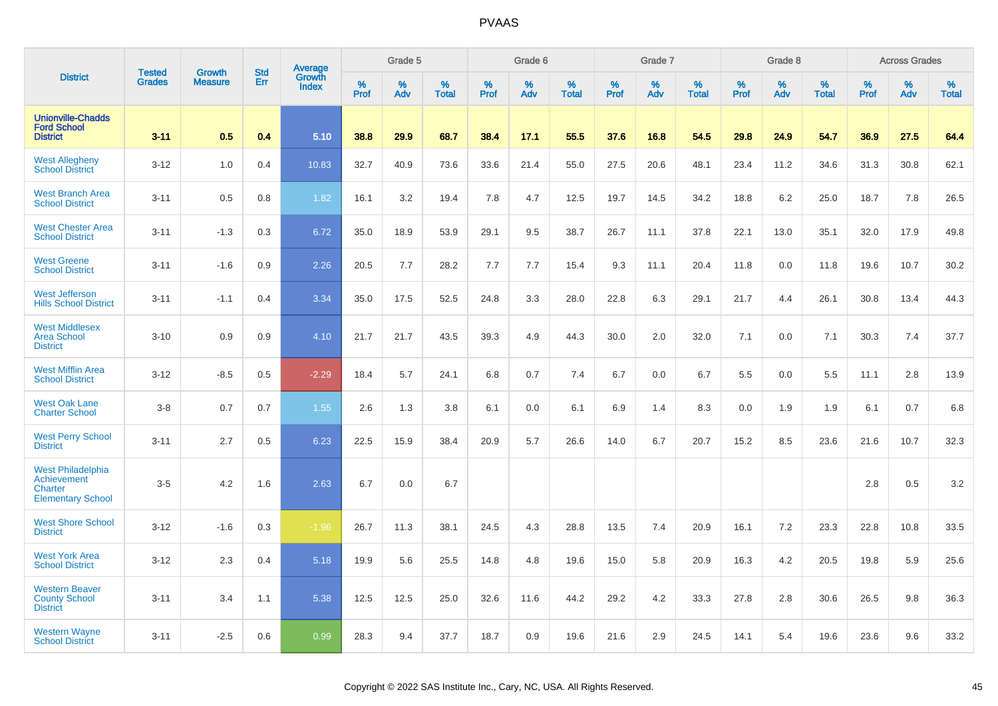|                                                                                | <b>Tested</b> | <b>Growth</b>  | <b>Std</b> |                                          |              | Grade 5  |                   |           | Grade 6  |                   |           | Grade 7  |                   |           | Grade 8  |                   |              | <b>Across Grades</b> |                   |
|--------------------------------------------------------------------------------|---------------|----------------|------------|------------------------------------------|--------------|----------|-------------------|-----------|----------|-------------------|-----------|----------|-------------------|-----------|----------|-------------------|--------------|----------------------|-------------------|
| <b>District</b>                                                                | <b>Grades</b> | <b>Measure</b> | Err        | <b>Average</b><br>Growth<br><b>Index</b> | $\%$<br>Prof | %<br>Adv | %<br><b>Total</b> | %<br>Prof | %<br>Adv | %<br><b>Total</b> | %<br>Prof | %<br>Adv | %<br><b>Total</b> | %<br>Prof | %<br>Adv | %<br><b>Total</b> | $\%$<br>Prof | %<br>Adv             | %<br><b>Total</b> |
| <b>Unionville-Chadds</b><br><b>Ford School</b><br><b>District</b>              | $3 - 11$      | 0.5            | 0.4        | 5.10                                     | 38.8         | 29.9     | 68.7              | 38.4      | 17.1     | 55.5              | 37.6      | 16.8     | 54.5              | 29.8      | 24.9     | 54.7              | 36.9         | 27.5                 | 64.4              |
| <b>West Allegheny</b><br><b>School District</b>                                | $3-12$        | 1.0            | 0.4        | 10.83                                    | 32.7         | 40.9     | 73.6              | 33.6      | 21.4     | 55.0              | 27.5      | 20.6     | 48.1              | 23.4      | 11.2     | 34.6              | 31.3         | 30.8                 | 62.1              |
| <b>West Branch Area</b><br><b>School District</b>                              | $3 - 11$      | 0.5            | 0.8        | 1.82                                     | 16.1         | 3.2      | 19.4              | 7.8       | 4.7      | 12.5              | 19.7      | 14.5     | 34.2              | 18.8      | 6.2      | 25.0              | 18.7         | 7.8                  | 26.5              |
| <b>West Chester Area</b><br><b>School District</b>                             | $3 - 11$      | $-1.3$         | 0.3        | 6.72                                     | 35.0         | 18.9     | 53.9              | 29.1      | 9.5      | 38.7              | 26.7      | 11.1     | 37.8              | 22.1      | 13.0     | 35.1              | 32.0         | 17.9                 | 49.8              |
| <b>West Greene</b><br><b>School District</b>                                   | $3 - 11$      | $-1.6$         | 0.9        | 2.26                                     | 20.5         | 7.7      | 28.2              | 7.7       | 7.7      | 15.4              | 9.3       | 11.1     | 20.4              | 11.8      | 0.0      | 11.8              | 19.6         | 10.7                 | 30.2              |
| <b>West Jefferson</b><br><b>Hills School District</b>                          | $3 - 11$      | $-1.1$         | 0.4        | 3.34                                     | 35.0         | 17.5     | 52.5              | 24.8      | 3.3      | 28.0              | 22.8      | 6.3      | 29.1              | 21.7      | 4.4      | 26.1              | 30.8         | 13.4                 | 44.3              |
| <b>West Middlesex</b><br><b>Area School</b><br><b>District</b>                 | $3 - 10$      | 0.9            | 0.9        | 4.10                                     | 21.7         | 21.7     | 43.5              | 39.3      | 4.9      | 44.3              | 30.0      | 2.0      | 32.0              | 7.1       | 0.0      | 7.1               | 30.3         | 7.4                  | 37.7              |
| <b>West Mifflin Area</b><br><b>School District</b>                             | $3 - 12$      | $-8.5$         | 0.5        | $-2.29$                                  | 18.4         | 5.7      | 24.1              | 6.8       | 0.7      | 7.4               | 6.7       | 0.0      | 6.7               | 5.5       | 0.0      | 5.5               | 11.1         | 2.8                  | 13.9              |
| <b>West Oak Lane</b><br><b>Charter School</b>                                  | $3 - 8$       | 0.7            | 0.7        | 1.55                                     | 2.6          | 1.3      | 3.8               | 6.1       | 0.0      | 6.1               | 6.9       | 1.4      | 8.3               | 0.0       | 1.9      | 1.9               | 6.1          | 0.7                  | 6.8               |
| <b>West Perry School</b><br><b>District</b>                                    | $3 - 11$      | 2.7            | 0.5        | 6.23                                     | 22.5         | 15.9     | 38.4              | 20.9      | 5.7      | 26.6              | 14.0      | 6.7      | 20.7              | 15.2      | 8.5      | 23.6              | 21.6         | 10.7                 | 32.3              |
| <b>West Philadelphia</b><br>Achievement<br>Charter<br><b>Elementary School</b> | $3-5$         | 4.2            | 1.6        | 2.63                                     | 6.7          | 0.0      | 6.7               |           |          |                   |           |          |                   |           |          |                   | 2.8          | 0.5                  | 3.2               |
| <b>West Shore School</b><br><b>District</b>                                    | $3 - 12$      | $-1.6$         | 0.3        | $-1.96$                                  | 26.7         | 11.3     | 38.1              | 24.5      | 4.3      | 28.8              | 13.5      | 7.4      | 20.9              | 16.1      | 7.2      | 23.3              | 22.8         | 10.8                 | 33.5              |
| <b>West York Area</b><br><b>School District</b>                                | $3 - 12$      | 2.3            | 0.4        | 5.18                                     | 19.9         | 5.6      | 25.5              | 14.8      | 4.8      | 19.6              | 15.0      | 5.8      | 20.9              | 16.3      | 4.2      | 20.5              | 19.8         | 5.9                  | 25.6              |
| <b>Western Beaver</b><br><b>County School</b><br><b>District</b>               | $3 - 11$      | 3.4            | 1.1        | 5.38                                     | 12.5         | 12.5     | 25.0              | 32.6      | 11.6     | 44.2              | 29.2      | 4.2      | 33.3              | 27.8      | 2.8      | 30.6              | 26.5         | 9.8                  | 36.3              |
| <b>Western Wayne</b><br><b>School District</b>                                 | $3 - 11$      | $-2.5$         | 0.6        | 0.99                                     | 28.3         | 9.4      | 37.7              | 18.7      | 0.9      | 19.6              | 21.6      | 2.9      | 24.5              | 14.1      | 5.4      | 19.6              | 23.6         | 9.6                  | 33.2              |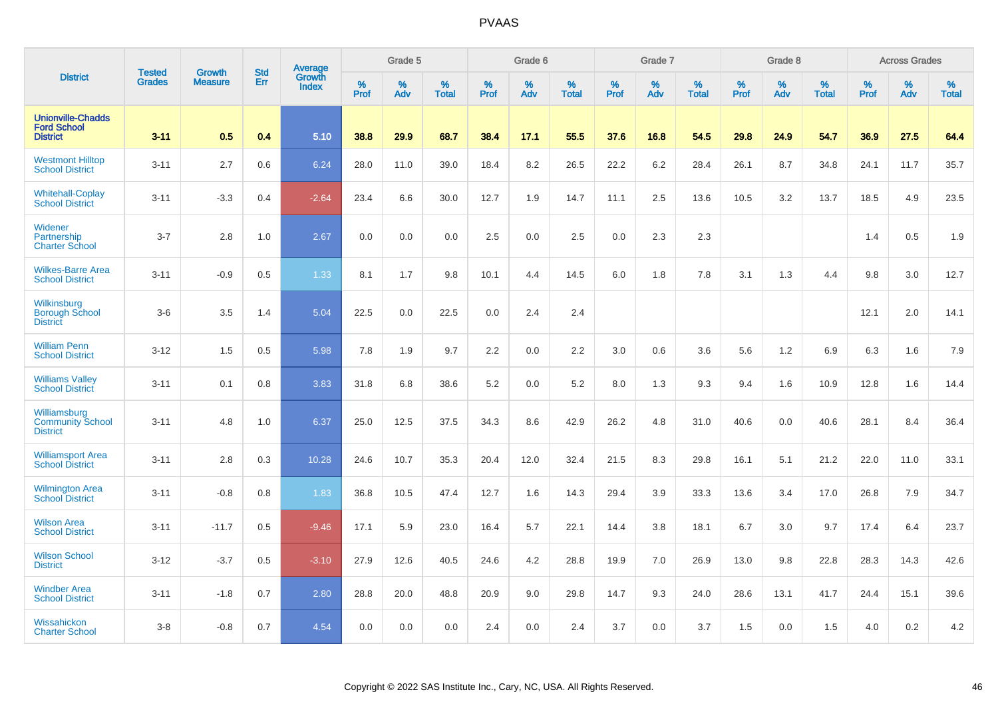|                                                                   | <b>Tested</b> | <b>Growth</b>  | <b>Std</b> | Average                |              | Grade 5  |                   |           | Grade 6  |                   |           | Grade 7  |                   |           | Grade 8  |                   |           | <b>Across Grades</b> |                   |
|-------------------------------------------------------------------|---------------|----------------|------------|------------------------|--------------|----------|-------------------|-----------|----------|-------------------|-----------|----------|-------------------|-----------|----------|-------------------|-----------|----------------------|-------------------|
| <b>District</b>                                                   | <b>Grades</b> | <b>Measure</b> | Err        | Growth<br><b>Index</b> | $\%$<br>Prof | %<br>Adv | %<br><b>Total</b> | %<br>Prof | %<br>Adv | %<br><b>Total</b> | %<br>Prof | %<br>Adv | %<br><b>Total</b> | %<br>Prof | %<br>Adv | %<br><b>Total</b> | %<br>Prof | %<br>Adv             | %<br><b>Total</b> |
| <b>Unionville-Chadds</b><br><b>Ford School</b><br><b>District</b> | $3 - 11$      | 0.5            | 0.4        | 5.10                   | 38.8         | 29.9     | 68.7              | 38.4      | 17.1     | 55.5              | 37.6      | 16.8     | 54.5              | 29.8      | 24.9     | 54.7              | 36.9      | 27.5                 | 64.4              |
| <b>Westmont Hilltop</b><br><b>School District</b>                 | $3 - 11$      | 2.7            | 0.6        | 6.24                   | 28.0         | 11.0     | 39.0              | 18.4      | 8.2      | 26.5              | 22.2      | $6.2\,$  | 28.4              | 26.1      | 8.7      | 34.8              | 24.1      | 11.7                 | 35.7              |
| <b>Whitehall-Coplay</b><br><b>School District</b>                 | $3 - 11$      | $-3.3$         | 0.4        | $-2.64$                | 23.4         | 6.6      | 30.0              | 12.7      | 1.9      | 14.7              | 11.1      | 2.5      | 13.6              | 10.5      | 3.2      | 13.7              | 18.5      | 4.9                  | 23.5              |
| Widener<br>Partnership<br><b>Charter School</b>                   | $3 - 7$       | 2.8            | 1.0        | 2.67                   | 0.0          | 0.0      | 0.0               | 2.5       | 0.0      | 2.5               | 0.0       | 2.3      | 2.3               |           |          |                   | 1.4       | 0.5                  | 1.9               |
| <b>Wilkes-Barre Area</b><br><b>School District</b>                | $3 - 11$      | $-0.9$         | 0.5        | 1.33                   | 8.1          | 1.7      | 9.8               | 10.1      | 4.4      | 14.5              | 6.0       | 1.8      | 7.8               | 3.1       | 1.3      | 4.4               | 9.8       | 3.0                  | 12.7              |
| Wilkinsburg<br><b>Borough School</b><br><b>District</b>           | $3-6$         | 3.5            | 1.4        | 5.04                   | 22.5         | 0.0      | 22.5              | 0.0       | 2.4      | 2.4               |           |          |                   |           |          |                   | 12.1      | 2.0                  | 14.1              |
| <b>William Penn</b><br><b>School District</b>                     | $3 - 12$      | 1.5            | 0.5        | 5.98                   | 7.8          | 1.9      | 9.7               | 2.2       | 0.0      | 2.2               | 3.0       | 0.6      | 3.6               | 5.6       | 1.2      | 6.9               | 6.3       | 1.6                  | 7.9               |
| <b>Williams Valley</b><br><b>School District</b>                  | $3 - 11$      | 0.1            | 0.8        | 3.83                   | 31.8         | 6.8      | 38.6              | 5.2       | 0.0      | 5.2               | 8.0       | 1.3      | 9.3               | 9.4       | 1.6      | 10.9              | 12.8      | 1.6                  | 14.4              |
| Williamsburg<br><b>Community School</b><br><b>District</b>        | $3 - 11$      | 4.8            | 1.0        | 6.37                   | 25.0         | 12.5     | 37.5              | 34.3      | 8.6      | 42.9              | 26.2      | 4.8      | 31.0              | 40.6      | 0.0      | 40.6              | 28.1      | 8.4                  | 36.4              |
| <b>Williamsport Area</b><br><b>School District</b>                | $3 - 11$      | 2.8            | 0.3        | 10.28                  | 24.6         | 10.7     | 35.3              | 20.4      | 12.0     | 32.4              | 21.5      | 8.3      | 29.8              | 16.1      | 5.1      | 21.2              | 22.0      | 11.0                 | 33.1              |
| Wilmington Area<br>School District                                | $3 - 11$      | $-0.8$         | 0.8        | 1.83                   | 36.8         | 10.5     | 47.4              | 12.7      | 1.6      | 14.3              | 29.4      | 3.9      | 33.3              | 13.6      | 3.4      | 17.0              | 26.8      | 7.9                  | 34.7              |
| <b>Wilson Area</b><br><b>School District</b>                      | $3 - 11$      | $-11.7$        | 0.5        | $-9.46$                | 17.1         | 5.9      | 23.0              | 16.4      | 5.7      | 22.1              | 14.4      | 3.8      | 18.1              | 6.7       | 3.0      | 9.7               | 17.4      | 6.4                  | 23.7              |
| <b>Wilson School</b><br><b>District</b>                           | $3 - 12$      | $-3.7$         | 0.5        | $-3.10$                | 27.9         | 12.6     | 40.5              | 24.6      | 4.2      | 28.8              | 19.9      | 7.0      | 26.9              | 13.0      | 9.8      | 22.8              | 28.3      | 14.3                 | 42.6              |
| <b>Windber Area</b><br><b>School District</b>                     | $3 - 11$      | $-1.8$         | 0.7        | 2.80                   | 28.8         | 20.0     | 48.8              | 20.9      | 9.0      | 29.8              | 14.7      | 9.3      | 24.0              | 28.6      | 13.1     | 41.7              | 24.4      | 15.1                 | 39.6              |
| Wissahickon<br><b>Charter School</b>                              | $3 - 8$       | $-0.8$         | 0.7        | 4.54                   | 0.0          | 0.0      | 0.0               | 2.4       | 0.0      | 2.4               | 3.7       | 0.0      | 3.7               | 1.5       | 0.0      | 1.5               | 4.0       | 0.2                  | 4.2               |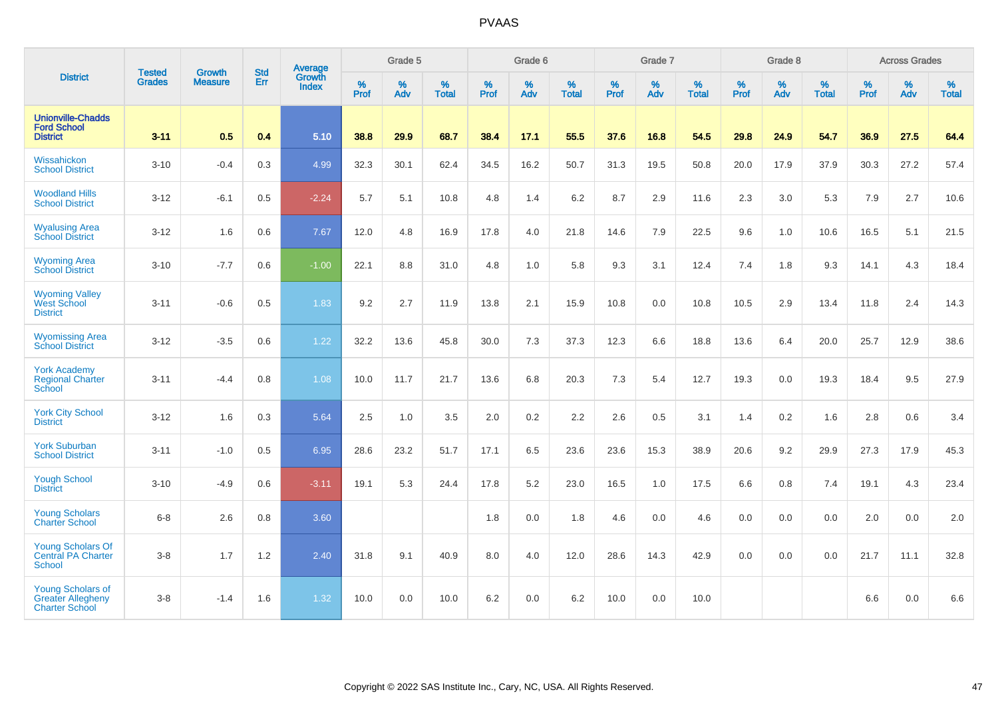|                                                                               |                                |                                 | <b>Std</b> | Average                       |                     | Grade 5  |                   |                  | Grade 6  |                   |                  | Grade 7  |                   |                  | Grade 8  |                   |                  | <b>Across Grades</b> |                   |
|-------------------------------------------------------------------------------|--------------------------------|---------------------------------|------------|-------------------------------|---------------------|----------|-------------------|------------------|----------|-------------------|------------------|----------|-------------------|------------------|----------|-------------------|------------------|----------------------|-------------------|
| <b>District</b>                                                               | <b>Tested</b><br><b>Grades</b> | <b>Growth</b><br><b>Measure</b> | Err        | <b>Growth</b><br><b>Index</b> | $\%$<br><b>Prof</b> | %<br>Adv | %<br><b>Total</b> | %<br><b>Prof</b> | %<br>Adv | %<br><b>Total</b> | %<br><b>Prof</b> | %<br>Adv | %<br><b>Total</b> | %<br><b>Prof</b> | %<br>Adv | %<br><b>Total</b> | %<br><b>Prof</b> | %<br>Adv             | %<br><b>Total</b> |
| <b>Unionville-Chadds</b><br><b>Ford School</b><br><b>District</b>             | $3 - 11$                       | 0.5                             | 0.4        | 5.10                          | 38.8                | 29.9     | 68.7              | 38.4             | 17.1     | 55.5              | 37.6             | 16.8     | 54.5              | 29.8             | 24.9     | 54.7              | 36.9             | 27.5                 | 64.4              |
| Wissahickon<br><b>School District</b>                                         | $3 - 10$                       | $-0.4$                          | 0.3        | 4.99                          | 32.3                | 30.1     | 62.4              | 34.5             | 16.2     | 50.7              | 31.3             | 19.5     | 50.8              | 20.0             | 17.9     | 37.9              | 30.3             | 27.2                 | 57.4              |
| <b>Woodland Hills</b><br><b>School District</b>                               | $3 - 12$                       | $-6.1$                          | 0.5        | $-2.24$                       | 5.7                 | 5.1      | 10.8              | 4.8              | 1.4      | 6.2               | 8.7              | 2.9      | 11.6              | 2.3              | 3.0      | 5.3               | 7.9              | 2.7                  | 10.6              |
| <b>Wyalusing Area</b><br><b>School District</b>                               | $3 - 12$                       | 1.6                             | 0.6        | 7.67                          | 12.0                | 4.8      | 16.9              | 17.8             | 4.0      | 21.8              | 14.6             | 7.9      | 22.5              | 9.6              | 1.0      | 10.6              | 16.5             | 5.1                  | 21.5              |
| <b>Wyoming Area</b><br><b>School District</b>                                 | $3 - 10$                       | $-7.7$                          | 0.6        | $-1.00$                       | 22.1                | 8.8      | 31.0              | 4.8              | 1.0      | 5.8               | 9.3              | 3.1      | 12.4              | 7.4              | 1.8      | 9.3               | 14.1             | 4.3                  | 18.4              |
| <b>Wyoming Valley</b><br>West School<br><b>District</b>                       | $3 - 11$                       | $-0.6$                          | 0.5        | 1.83                          | 9.2                 | 2.7      | 11.9              | 13.8             | 2.1      | 15.9              | 10.8             | 0.0      | 10.8              | 10.5             | 2.9      | 13.4              | 11.8             | 2.4                  | 14.3              |
| <b>Wyomissing Area</b><br><b>School District</b>                              | $3 - 12$                       | $-3.5$                          | 0.6        | 1.22                          | 32.2                | 13.6     | 45.8              | 30.0             | 7.3      | 37.3              | 12.3             | 6.6      | 18.8              | 13.6             | 6.4      | 20.0              | 25.7             | 12.9                 | 38.6              |
| <b>York Academy</b><br><b>Regional Charter</b><br>School                      | $3 - 11$                       | $-4.4$                          | 0.8        | 1.08                          | 10.0                | 11.7     | 21.7              | 13.6             | 6.8      | 20.3              | 7.3              | 5.4      | 12.7              | 19.3             | 0.0      | 19.3              | 18.4             | 9.5                  | 27.9              |
| <b>York City School</b><br><b>District</b>                                    | $3 - 12$                       | 1.6                             | 0.3        | 5.64                          | 2.5                 | 1.0      | 3.5               | 2.0              | 0.2      | 2.2               | 2.6              | 0.5      | 3.1               | 1.4              | 0.2      | 1.6               | 2.8              | 0.6                  | 3.4               |
| <b>York Suburban</b><br><b>School District</b>                                | $3 - 11$                       | $-1.0$                          | 0.5        | 6.95                          | 28.6                | 23.2     | 51.7              | 17.1             | 6.5      | 23.6              | 23.6             | 15.3     | 38.9              | 20.6             | 9.2      | 29.9              | 27.3             | 17.9                 | 45.3              |
| <b>Yough School</b><br><b>District</b>                                        | $3 - 10$                       | $-4.9$                          | 0.6        | $-3.11$                       | 19.1                | 5.3      | 24.4              | 17.8             | 5.2      | 23.0              | 16.5             | 1.0      | 17.5              | 6.6              | 0.8      | 7.4               | 19.1             | 4.3                  | 23.4              |
| <b>Young Scholars</b><br><b>Charter School</b>                                | $6-8$                          | 2.6                             | 0.8        | 3.60                          |                     |          |                   | 1.8              | 0.0      | 1.8               | 4.6              | 0.0      | 4.6               | 0.0              | 0.0      | 0.0               | 2.0              | 0.0                  | 2.0               |
| <b>Young Scholars Of</b><br><b>Central PA Charter</b><br>School               | $3-8$                          | 1.7                             | 1.2        | 2.40                          | 31.8                | 9.1      | 40.9              | 8.0              | 4.0      | 12.0              | 28.6             | 14.3     | 42.9              | 0.0              | 0.0      | 0.0               | 21.7             | 11.1                 | 32.8              |
| <b>Young Scholars of</b><br><b>Greater Allegheny</b><br><b>Charter School</b> | $3 - 8$                        | $-1.4$                          | 1.6        | 1.32                          | 10.0                | 0.0      | 10.0              | 6.2              | 0.0      | 6.2               | 10.0             | 0.0      | 10.0              |                  |          |                   | 6.6              | 0.0                  | 6.6               |